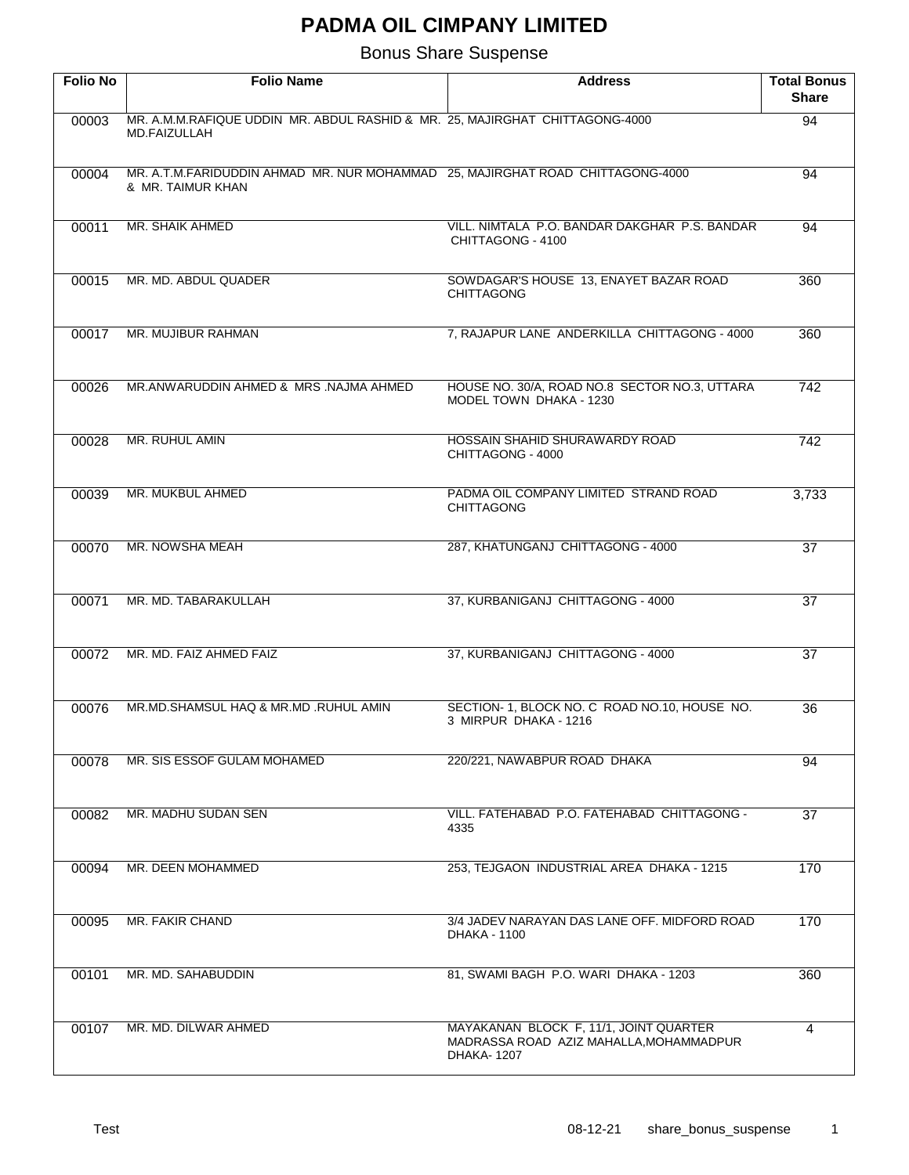| <b>Folio No</b> | <b>Folio Name</b>                                                                                   | <b>Address</b>                                                                                         | <b>Total Bonus</b><br><b>Share</b> |
|-----------------|-----------------------------------------------------------------------------------------------------|--------------------------------------------------------------------------------------------------------|------------------------------------|
| 00003           | MR. A.M.M.RAFIQUE UDDIN MR. ABDUL RASHID & MR. 25, MAJIRGHAT CHITTAGONG-4000<br>MD.FAIZULLAH        |                                                                                                        | 94                                 |
| 00004           | MR. A.T.M.FARIDUDDIN AHMAD MR. NUR MOHAMMAD 25, MAJIRGHAT ROAD CHITTAGONG-4000<br>& MR. TAIMUR KHAN |                                                                                                        | 94                                 |
| 00011           | MR. SHAIK AHMED                                                                                     | VILL, NIMTALA P.O. BANDAR DAKGHAR P.S. BANDAR<br>CHITTAGONG - 4100                                     | 94                                 |
| 00015           | MR. MD. ABDUL QUADER                                                                                | SOWDAGAR'S HOUSE 13, ENAYET BAZAR ROAD<br><b>CHITTAGONG</b>                                            | 360                                |
| 00017           | MR. MUJIBUR RAHMAN                                                                                  | 7, RAJAPUR LANE ANDERKILLA CHITTAGONG - 4000                                                           | 360                                |
| 00026           | MR.ANWARUDDIN AHMED & MRS.NAJMA AHMED                                                               | HOUSE NO. 30/A, ROAD NO.8 SECTOR NO.3, UTTARA<br>MODEL TOWN DHAKA - 1230                               | 742                                |
| 00028           | MR. RUHUL AMIN                                                                                      | HOSSAIN SHAHID SHURAWARDY ROAD<br>CHITTAGONG - 4000                                                    | 742                                |
| 00039           | MR. MUKBUL AHMED                                                                                    | PADMA OIL COMPANY LIMITED STRAND ROAD<br><b>CHITTAGONG</b>                                             | 3,733                              |
| 00070           | MR. NOWSHA MEAH                                                                                     | 287, KHATUNGANJ CHITTAGONG - 4000                                                                      | $\overline{37}$                    |
| 00071           | MR. MD. TABARAKULLAH                                                                                | 37, KURBANIGANJ CHITTAGONG - 4000                                                                      | $\overline{37}$                    |
| 00072           | MR. MD. FAIZ AHMED FAIZ                                                                             | 37, KURBANIGANJ CHITTAGONG - 4000                                                                      | $\overline{37}$                    |
| 00076           | MR.MD.SHAMSUL HAQ & MR.MD .RUHUL AMIN                                                               | SECTION- 1, BLOCK NO. C ROAD NO.10, HOUSE NO.<br>3 MIRPUR DHAKA - 1216                                 | 36                                 |
| 00078           | MR. SIS ESSOF GULAM MOHAMED                                                                         | 220/221, NAWABPUR ROAD DHAKA                                                                           | 94                                 |
| 00082           | MR. MADHU SUDAN SEN                                                                                 | VILL, FATEHABAD P.O. FATEHABAD CHITTAGONG -<br>4335                                                    | 37                                 |
| 00094           | MR. DEEN MOHAMMED                                                                                   | 253, TEJGAON INDUSTRIAL AREA DHAKA - 1215                                                              | 170                                |
| 00095           | MR. FAKIR CHAND                                                                                     | 3/4 JADEV NARAYAN DAS LANE OFF. MIDFORD ROAD<br>DHAKA - 1100                                           | 170                                |
| 00101           | MR. MD. SAHABUDDIN                                                                                  | 81, SWAMI BAGH P.O. WARI DHAKA - 1203                                                                  | 360                                |
| 00107           | MR. MD. DILWAR AHMED                                                                                | MAYAKANAN BLOCK F, 11/1, JOINT QUARTER<br>MADRASSA ROAD AZIZ MAHALLA, MOHAMMADPUR<br><b>DHAKA-1207</b> | 4                                  |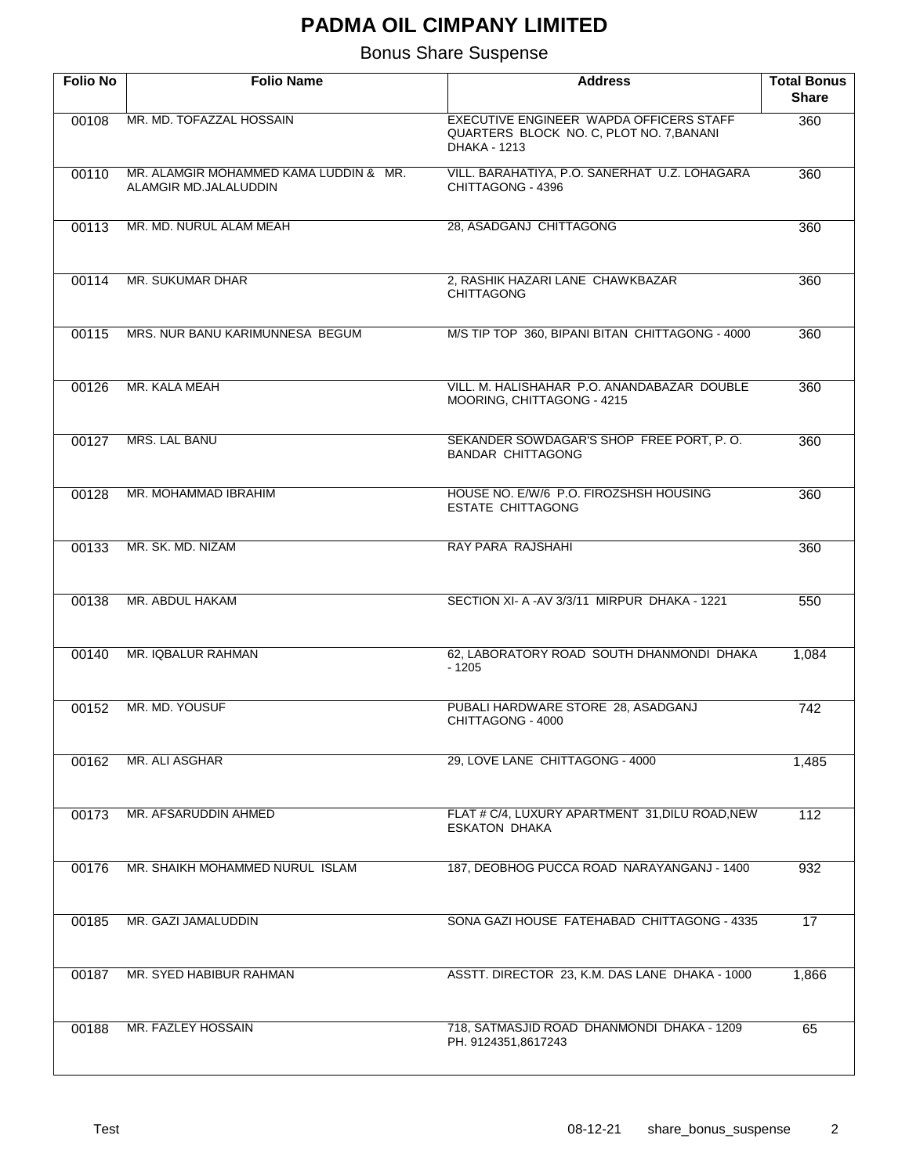| <b>Folio No</b> | <b>Folio Name</b>                                               | <b>Address</b>                                                                                             | <b>Total Bonus</b><br><b>Share</b> |
|-----------------|-----------------------------------------------------------------|------------------------------------------------------------------------------------------------------------|------------------------------------|
| 00108           | MR. MD. TOFAZZAL HOSSAIN                                        | EXECUTIVE ENGINEER WAPDA OFFICERS STAFF<br>QUARTERS BLOCK NO. C, PLOT NO. 7, BANANI<br><b>DHAKA - 1213</b> | 360                                |
| 00110           | MR. ALAMGIR MOHAMMED KAMA LUDDIN & MR.<br>ALAMGIR MD.JALALUDDIN | VILL. BARAHATIYA, P.O. SANERHAT U.Z. LOHAGARA<br>CHITTAGONG - 4396                                         | 360                                |
| 00113           | MR. MD. NURUL ALAM MEAH                                         | 28, ASADGANJ CHITTAGONG                                                                                    | 360                                |
| 00114           | MR. SUKUMAR DHAR                                                | 2, RASHIK HAZARI LANE CHAWKBAZAR<br><b>CHITTAGONG</b>                                                      | 360                                |
| 00115           | MRS. NUR BANU KARIMUNNESA BEGUM                                 | M/S TIP TOP 360, BIPANI BITAN CHITTAGONG - 4000                                                            | 360                                |
| 00126           | MR. KALA MEAH                                                   | VILL, M. HALISHAHAR P.O. ANANDABAZAR DOUBLE<br>MOORING, CHITTAGONG - 4215                                  | 360                                |
| 00127           | <b>MRS. LAL BANU</b>                                            | SEKANDER SOWDAGAR'S SHOP FREE PORT, P.O.<br><b>BANDAR CHITTAGONG</b>                                       | 360                                |
| 00128           | MR. MOHAMMAD IBRAHIM                                            | HOUSE NO. E/W/6 P.O. FIROZSHSH HOUSING<br><b>ESTATE CHITTAGONG</b>                                         | 360                                |
| 00133           | MR. SK. MD. NIZAM                                               | RAY PARA RAJSHAHI                                                                                          | 360                                |
| 00138           | MR. ABDUL HAKAM                                                 | SECTION XI- A-AV 3/3/11 MIRPUR DHAKA - 1221                                                                | 550                                |
| 00140           | MR. IQBALUR RAHMAN                                              | 62, LABORATORY ROAD SOUTH DHANMONDI DHAKA<br>$-1205$                                                       | 1,084                              |
| 00152           | MR. MD. YOUSUF                                                  | PUBALI HARDWARE STORE 28, ASADGANJ<br>CHITTAGONG - 4000                                                    | 742                                |
| 00162           | MR. ALI ASGHAR                                                  | 29, LOVE LANE CHITTAGONG - 4000                                                                            | 1,485                              |
| 00173           | MR. AFSARUDDIN AHMED                                            | FLAT # C/4, LUXURY APARTMENT 31, DILU ROAD, NEW<br><b>ESKATON DHAKA</b>                                    | 112                                |
| 00176           | MR. SHAIKH MOHAMMED NURUL ISLAM                                 | 187, DEOBHOG PUCCA ROAD NARAYANGANJ - 1400                                                                 | 932                                |
| 00185           | MR. GAZI JAMALUDDIN                                             | SONA GAZI HOUSE FATEHABAD CHITTAGONG - 4335                                                                | 17                                 |
| 00187           | MR. SYED HABIBUR RAHMAN                                         | ASSTT. DIRECTOR 23, K.M. DAS LANE DHAKA - 1000                                                             | 1,866                              |
| 00188           | MR. FAZLEY HOSSAIN                                              | 718, SATMASJID ROAD DHANMONDI DHAKA - 1209<br>PH. 9124351,8617243                                          | 65                                 |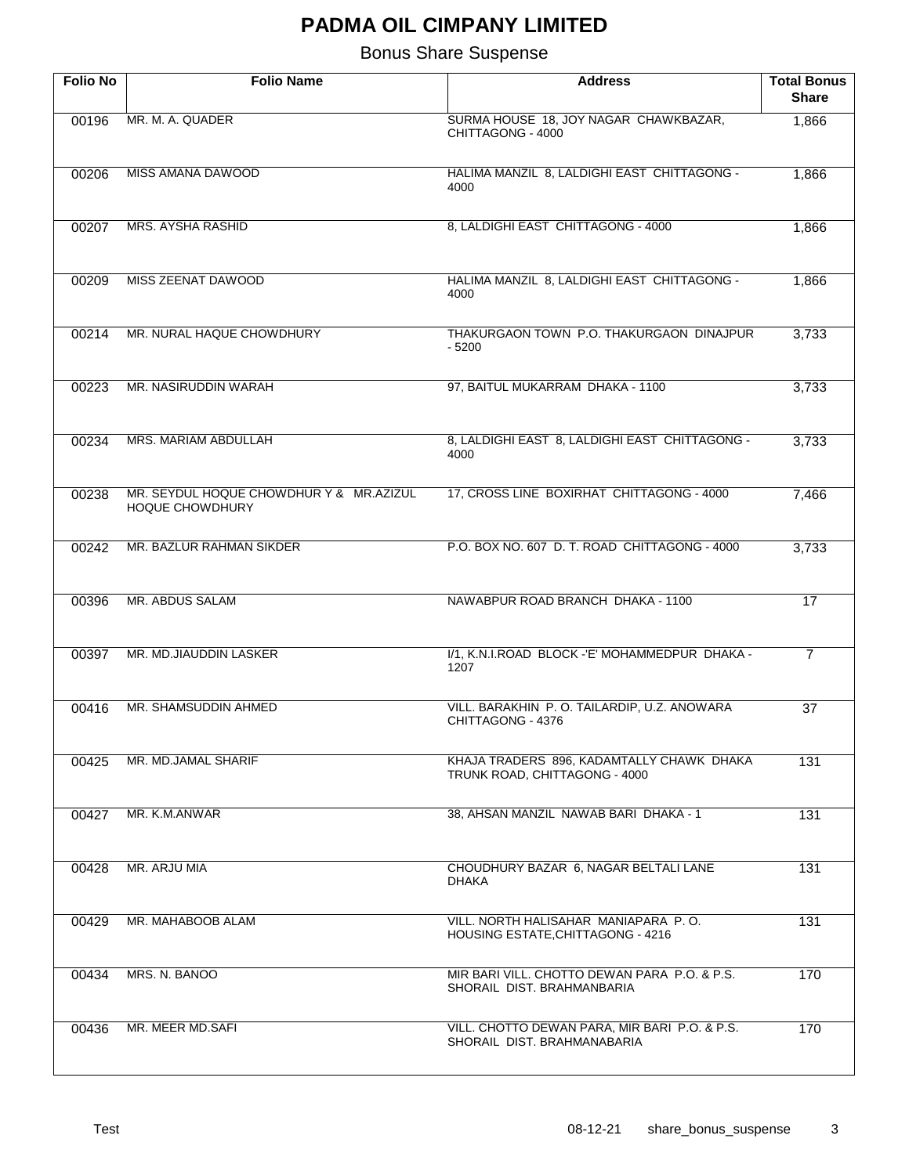| <b>Folio No</b> | <b>Folio Name</b>                                                 | <b>Address</b>                                                               | <b>Total Bonus</b><br><b>Share</b> |
|-----------------|-------------------------------------------------------------------|------------------------------------------------------------------------------|------------------------------------|
| 00196           | MR. M. A. QUADER                                                  | SURMA HOUSE 18, JOY NAGAR CHAWKBAZAR,<br>CHITTAGONG - 4000                   | 1,866                              |
| 00206           | <b>MISS AMANA DAWOOD</b>                                          | HALIMA MANZIL 8, LALDIGHI EAST CHITTAGONG -<br>4000                          | 1,866                              |
| 00207           | <b>MRS. AYSHA RASHID</b>                                          | 8, LALDIGHI EAST CHITTAGONG - 4000                                           | 1,866                              |
| 00209           | MISS ZEENAT DAWOOD                                                | HALIMA MANZIL 8, LALDIGHI EAST CHITTAGONG -<br>4000                          | 1,866                              |
| 00214           | MR. NURAL HAQUE CHOWDHURY                                         | THAKURGAON TOWN P.O. THAKURGAON DINAJPUR<br>- 5200                           | 3,733                              |
| 00223           | MR. NASIRUDDIN WARAH                                              | 97, BAITUL MUKARRAM DHAKA - 1100                                             | 3,733                              |
| 00234           | MRS. MARIAM ABDULLAH                                              | 8, LALDIGHI EAST 8, LALDIGHI EAST CHITTAGONG -<br>4000                       | 3,733                              |
| 00238           | MR. SEYDUL HOQUE CHOWDHUR Y & MR.AZIZUL<br><b>HOQUE CHOWDHURY</b> | 17, CROSS LINE BOXIRHAT CHITTAGONG - 4000                                    | 7,466                              |
| 00242           | MR. BAZLUR RAHMAN SIKDER                                          | P.O. BOX NO. 607 D. T. ROAD CHITTAGONG - 4000                                | 3,733                              |
| 00396           | MR. ABDUS SALAM                                                   | NAWABPUR ROAD BRANCH DHAKA - 1100                                            | 17                                 |
| 00397           | MR. MD.JIAUDDIN LASKER                                            | 1/1, K.N.I.ROAD BLOCK -'E' MOHAMMEDPUR DHAKA -<br>1207                       | $\overline{7}$                     |
| 00416           | MR. SHAMSUDDIN AHMED                                              | VILL. BARAKHIN P. O. TAILARDIP, U.Z. ANOWARA<br>CHITTAGONG - 4376            | 37                                 |
| 00425           | MR. MD.JAMAL SHARIF                                               | KHAJA TRADERS 896, KADAMTALLY CHAWK DHAKA<br>TRUNK ROAD, CHITTAGONG - 4000   | 131                                |
| 00427           | MR. K.M.ANWAR                                                     | 38, AHSAN MANZIL NAWAB BARI DHAKA - 1                                        | 131                                |
| 00428           | MR. ARJU MIA                                                      | CHOUDHURY BAZAR 6, NAGAR BELTALI LANE<br><b>DHAKA</b>                        | 131                                |
| 00429           | MR. MAHABOOB ALAM                                                 | VILL, NORTH HALISAHAR MANIAPARA P.O.<br>HOUSING ESTATE, CHITTAGONG - 4216    | 131                                |
| 00434           | MRS. N. BANOO                                                     | MIR BARI VILL. CHOTTO DEWAN PARA P.O. & P.S.<br>SHORAIL DIST. BRAHMANBARIA   | 170                                |
| 00436           | MR. MEER MD.SAFI                                                  | VILL. CHOTTO DEWAN PARA, MIR BARI P.O. & P.S.<br>SHORAIL DIST, BRAHMANABARIA | 170                                |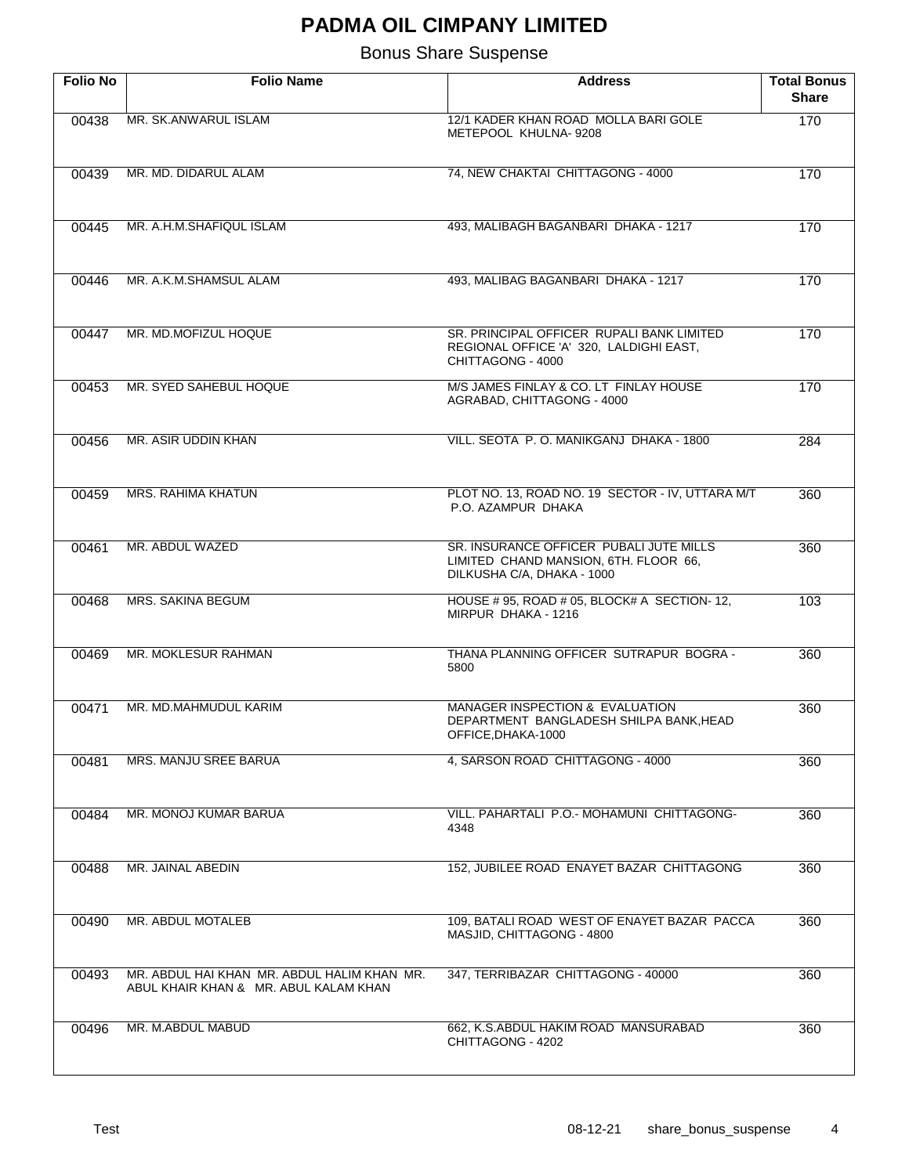| <b>Folio No</b> | <b>Folio Name</b>                                                                    | <b>Address</b>                                                                                                 | <b>Total Bonus</b><br><b>Share</b> |
|-----------------|--------------------------------------------------------------------------------------|----------------------------------------------------------------------------------------------------------------|------------------------------------|
| 00438           | MR. SK.ANWARUL ISLAM                                                                 | 12/1 KADER KHAN ROAD MOLLA BARI GOLE<br>METEPOOL KHULNA-9208                                                   | 170                                |
| 00439           | MR. MD. DIDARUL ALAM                                                                 | 74, NEW CHAKTAI CHITTAGONG - 4000                                                                              | 170                                |
| 00445           | MR. A.H.M.SHAFIQUL ISLAM                                                             | 493. MALIBAGH BAGANBARI DHAKA - 1217                                                                           | 170                                |
| 00446           | MR. A.K.M.SHAMSUL ALAM                                                               | 493, MALIBAG BAGANBARI DHAKA - 1217                                                                            | 170                                |
| 00447           | MR. MD.MOFIZUL HOQUE                                                                 | SR. PRINCIPAL OFFICER RUPALI BANK LIMITED<br>REGIONAL OFFICE 'A' 320, LALDIGHI EAST,<br>CHITTAGONG - 4000      | 170                                |
| 00453           | MR. SYED SAHEBUL HOQUE                                                               | M/S JAMES FINLAY & CO. LT FINLAY HOUSE<br>AGRABAD, CHITTAGONG - 4000                                           | 170                                |
| 00456           | MR. ASIR UDDIN KHAN                                                                  | VILL. SEOTA P.O. MANIKGANJ DHAKA - 1800                                                                        | 284                                |
| 00459           | <b>MRS. RAHIMA KHATUN</b>                                                            | PLOT NO. 13, ROAD NO. 19 SECTOR - IV, UTTARA M/T<br>P.O. AZAMPUR DHAKA                                         | 360                                |
| 00461           | MR. ABDUL WAZED                                                                      | SR. INSURANCE OFFICER PUBALI JUTE MILLS<br>LIMITED CHAND MANSION, 6TH. FLOOR 66,<br>DILKUSHA C/A, DHAKA - 1000 | 360                                |
| 00468           | MRS. SAKINA BEGUM                                                                    | HOUSE # 95, ROAD # 05, BLOCK# A SECTION-12,<br>MIRPUR DHAKA - 1216                                             | 103                                |
| 00469           | MR. MOKLESUR RAHMAN                                                                  | THANA PLANNING OFFICER SUTRAPUR BOGRA -<br>5800                                                                | 360                                |
| 00471           | MR. MD.MAHMUDUL KARIM                                                                | MANAGER INSPECTION & EVALUATION<br>DEPARTMENT BANGLADESH SHILPA BANK, HEAD<br>OFFICE, DHAKA-1000               | 360                                |
| 00481           | MRS. MANJU SREE BARUA                                                                | 4, SARSON ROAD CHITTAGONG - 4000                                                                               | 360                                |
| 00484           | MR. MONOJ KUMAR BARUA                                                                | VILL. PAHARTALI P.O.- MOHAMUNI CHITTAGONG-<br>4348                                                             | 360                                |
| 00488           | MR. JAINAL ABEDIN                                                                    | 152, JUBILEE ROAD ENAYET BAZAR CHITTAGONG                                                                      | 360                                |
| 00490           | <b>MR. ABDUL MOTALEB</b>                                                             | 109, BATALI ROAD WEST OF ENAYET BAZAR PACCA<br>MASJID, CHITTAGONG - 4800                                       | 360                                |
| 00493           | MR. ABDUL HAI KHAN MR. ABDUL HALIM KHAN MR.<br>ABUL KHAIR KHAN & MR. ABUL KALAM KHAN | 347, TERRIBAZAR CHITTAGONG - 40000                                                                             | 360                                |
| 00496           | MR. M.ABDUL MABUD                                                                    | 662, K.S.ABDUL HAKIM ROAD MANSURABAD<br>CHITTAGONG - 4202                                                      | 360                                |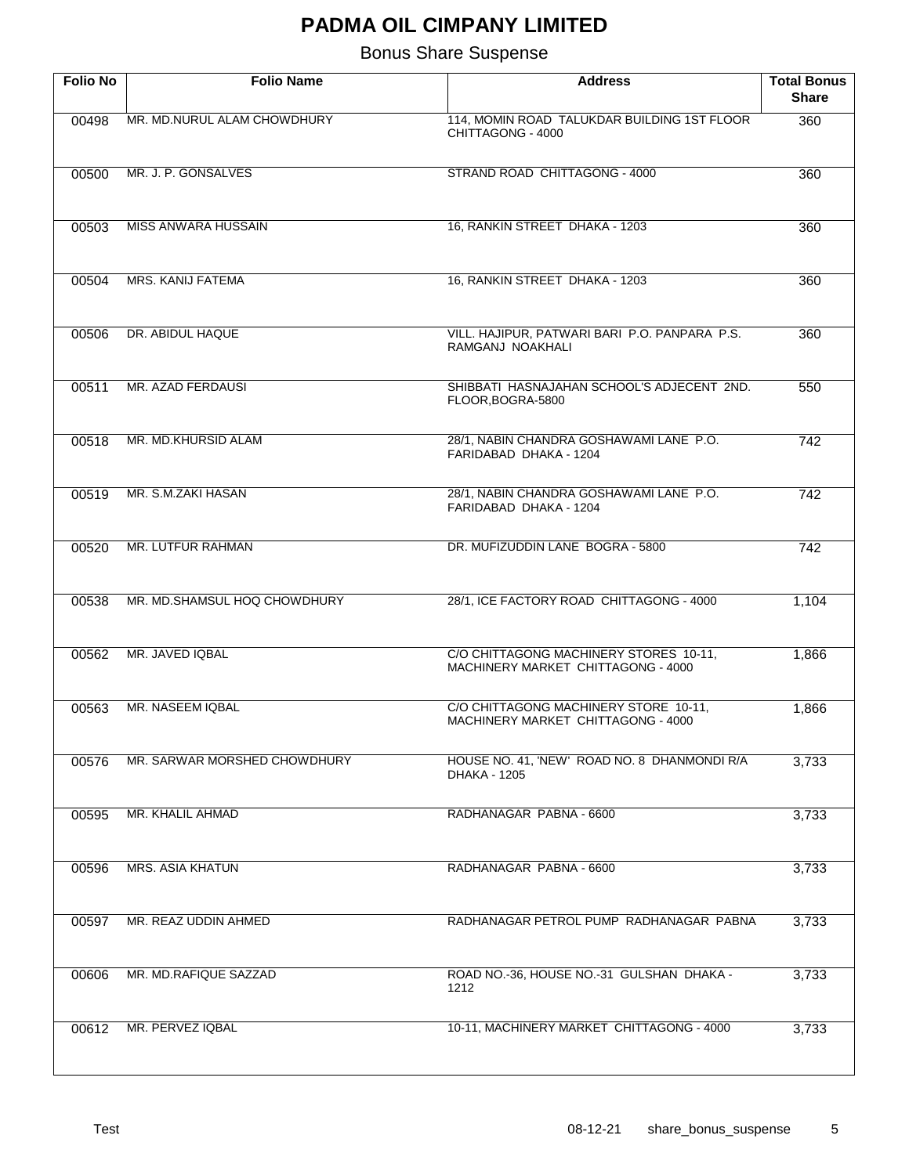| <b>Folio No</b> | <b>Folio Name</b>            | <b>Address</b>                                                               | <b>Total Bonus</b><br><b>Share</b> |
|-----------------|------------------------------|------------------------------------------------------------------------------|------------------------------------|
| 00498           | MR. MD.NURUL ALAM CHOWDHURY  | 114, MOMIN ROAD TALUKDAR BUILDING 1ST FLOOR<br>CHITTAGONG - 4000             | 360                                |
| 00500           | MR. J. P. GONSALVES          | STRAND ROAD CHITTAGONG - 4000                                                | 360                                |
| 00503           | <b>MISS ANWARA HUSSAIN</b>   | 16, RANKIN STREET DHAKA - 1203                                               | 360                                |
| 00504           | MRS. KANIJ FATEMA            | 16, RANKIN STREET DHAKA - 1203                                               | 360                                |
| 00506           | DR. ABIDUL HAQUE             | VILL. HAJIPUR, PATWARI BARI P.O. PANPARA P.S.<br>RAMGANJ NOAKHALI            | 360                                |
| 00511           | MR. AZAD FERDAUSI            | SHIBBATI HASNAJAHAN SCHOOL'S ADJECENT 2ND.<br>FLOOR, BOGRA-5800              | 550                                |
| 00518           | MR. MD.KHURSID ALAM          | 28/1, NABIN CHANDRA GOSHAWAMI LANE P.O.<br>FARIDABAD DHAKA - 1204            | $\overline{742}$                   |
| 00519           | MR. S.M.ZAKI HASAN           | 28/1, NABIN CHANDRA GOSHAWAMI LANE P.O.<br>FARIDABAD DHAKA - 1204            | 742                                |
| 00520           | MR. LUTFUR RAHMAN            | DR. MUFIZUDDIN LANE BOGRA - 5800                                             | $\overline{742}$                   |
| 00538           | MR. MD.SHAMSUL HOQ CHOWDHURY | 28/1, ICE FACTORY ROAD CHITTAGONG - 4000                                     | 1,104                              |
| 00562           | MR. JAVED IQBAL              | C/O CHITTAGONG MACHINERY STORES 10-11,<br>MACHINERY MARKET CHITTAGONG - 4000 | 1,866                              |
| 00563           | MR. NASEEM IQBAL             | C/O CHITTAGONG MACHINERY STORE 10-11,<br>MACHINERY MARKET CHITTAGONG - 4000  | 1,866                              |
| 00576           | MR. SARWAR MORSHED CHOWDHURY | HOUSE NO. 41, 'NEW' ROAD NO. 8 DHANMONDI R/A<br><b>DHAKA - 1205</b>          | 3,733                              |
| 00595           | MR. KHALIL AHMAD             | RADHANAGAR PABNA - 6600                                                      | 3,733                              |
| 00596           | <b>MRS. ASIA KHATUN</b>      | RADHANAGAR PABNA - 6600                                                      | 3,733                              |
| 00597           | MR. REAZ UDDIN AHMED         | RADHANAGAR PETROL PUMP RADHANAGAR PABNA                                      | 3,733                              |
| 00606           | MR. MD.RAFIQUE SAZZAD        | ROAD NO.-36, HOUSE NO.-31 GULSHAN DHAKA -<br>1212                            | 3,733                              |
| 00612           | MR. PERVEZ IQBAL             | 10-11, MACHINERY MARKET CHITTAGONG - 4000                                    | 3,733                              |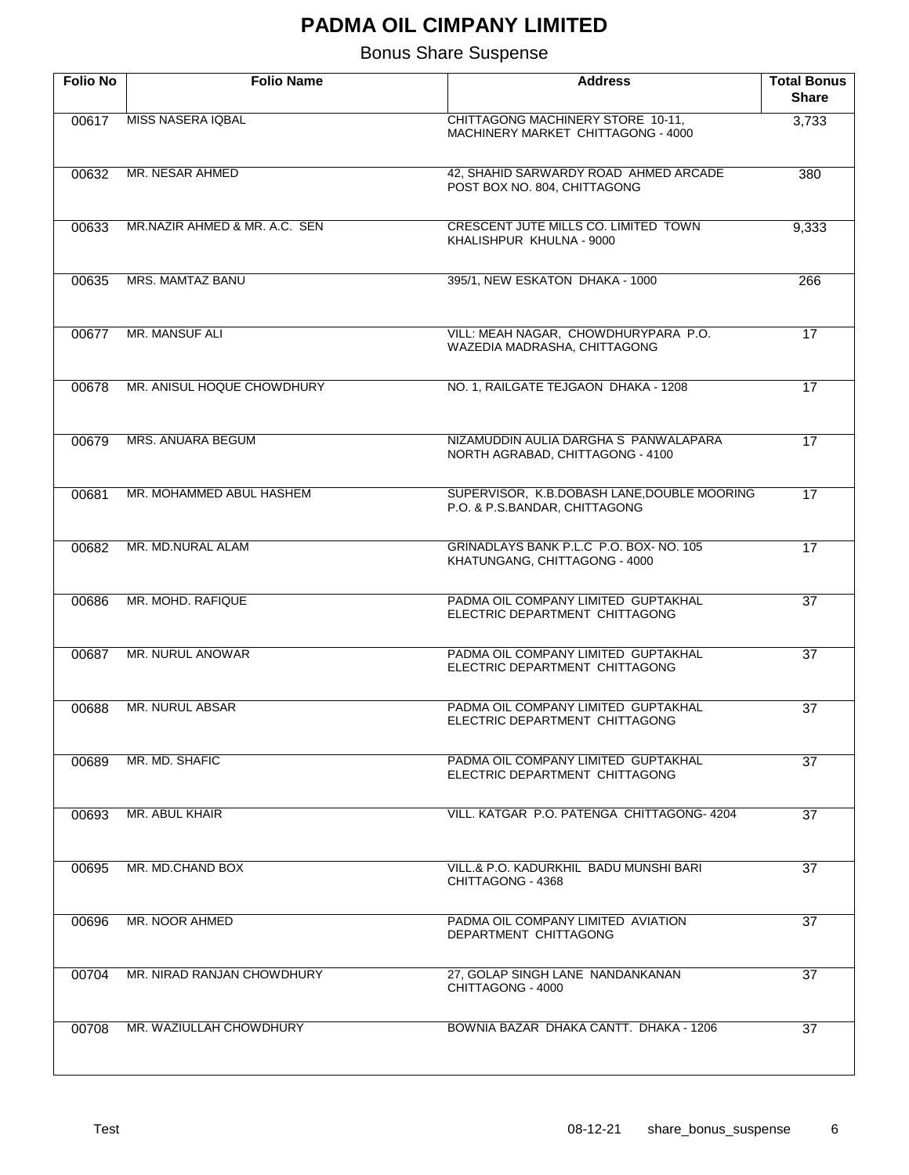| <b>Folio No</b> | <b>Folio Name</b>             | <b>Address</b>                                                               | <b>Total Bonus</b><br><b>Share</b> |
|-----------------|-------------------------------|------------------------------------------------------------------------------|------------------------------------|
| 00617           | MISS NASERA IQBAL             | CHITTAGONG MACHINERY STORE 10-11,<br>MACHINERY MARKET CHITTAGONG - 4000      | 3,733                              |
| 00632           | MR. NESAR AHMED               | 42, SHAHID SARWARDY ROAD AHMED ARCADE<br>POST BOX NO. 804, CHITTAGONG        | 380                                |
| 00633           | MR.NAZIR AHMED & MR. A.C. SEN | CRESCENT JUTE MILLS CO. LIMITED TOWN<br>KHALISHPUR KHULNA - 9000             | 9,333                              |
| 00635           | MRS. MAMTAZ BANU              | 395/1, NEW ESKATON DHAKA - 1000                                              | 266                                |
| 00677           | MR. MANSUF ALI                | VILL: MEAH NAGAR, CHOWDHURYPARA P.O.<br>WAZEDIA MADRASHA, CHITTAGONG         | $\overline{17}$                    |
| 00678           | MR. ANISUL HOQUE CHOWDHURY    | NO. 1, RAILGATE TEJGAON DHAKA - 1208                                         | $\overline{17}$                    |
| 00679           | <b>MRS. ANUARA BEGUM</b>      | NIZAMUDDIN AULIA DARGHA S PANWALAPARA<br>NORTH AGRABAD, CHITTAGONG - 4100    | $\overline{17}$                    |
| 00681           | MR. MOHAMMED ABUL HASHEM      | SUPERVISOR, K.B.DOBASH LANE, DOUBLE MOORING<br>P.O. & P.S.BANDAR, CHITTAGONG | $\overline{17}$                    |
| 00682           | MR. MD.NURAL ALAM             | GRINADLAYS BANK P.L.C P.O. BOX-NO. 105<br>KHATUNGANG, CHITTAGONG - 4000      | $\overline{17}$                    |
| 00686           | MR. MOHD. RAFIQUE             | PADMA OIL COMPANY LIMITED GUPTAKHAL<br>ELECTRIC DEPARTMENT CHITTAGONG        | $\overline{37}$                    |
| 00687           | MR. NURUL ANOWAR              | PADMA OIL COMPANY LIMITED GUPTAKHAL<br>ELECTRIC DEPARTMENT CHITTAGONG        | $\overline{37}$                    |
| 00688           | <b>MR. NURUL ABSAR</b>        | PADMA OIL COMPANY LIMITED GUPTAKHAL<br>ELECTRIC DEPARTMENT CHITTAGONG        | $\overline{37}$                    |
| 00689           | MR. MD. SHAFIC                | PADMA OIL COMPANY LIMITED GUPTAKHAL<br>ELECTRIC DEPARTMENT CHITTAGONG        | 37                                 |
| 00693           | MR. ABUL KHAIR                | VILL, KATGAR P.O. PATENGA CHITTAGONG-4204                                    | 37                                 |
| 00695           | MR. MD.CHAND BOX              | VILL.& P.O. KADURKHIL BADU MUNSHI BARI<br>CHITTAGONG - 4368                  | 37                                 |
| 00696           | MR. NOOR AHMED                | PADMA OIL COMPANY LIMITED AVIATION<br>DEPARTMENT CHITTAGONG                  | 37                                 |
| 00704           | MR. NIRAD RANJAN CHOWDHURY    | 27, GOLAP SINGH LANE NANDANKANAN<br>CHITTAGONG - 4000                        | 37                                 |
| 00708           | MR. WAZIULLAH CHOWDHURY       | BOWNIA BAZAR DHAKA CANTT. DHAKA - 1206                                       | 37                                 |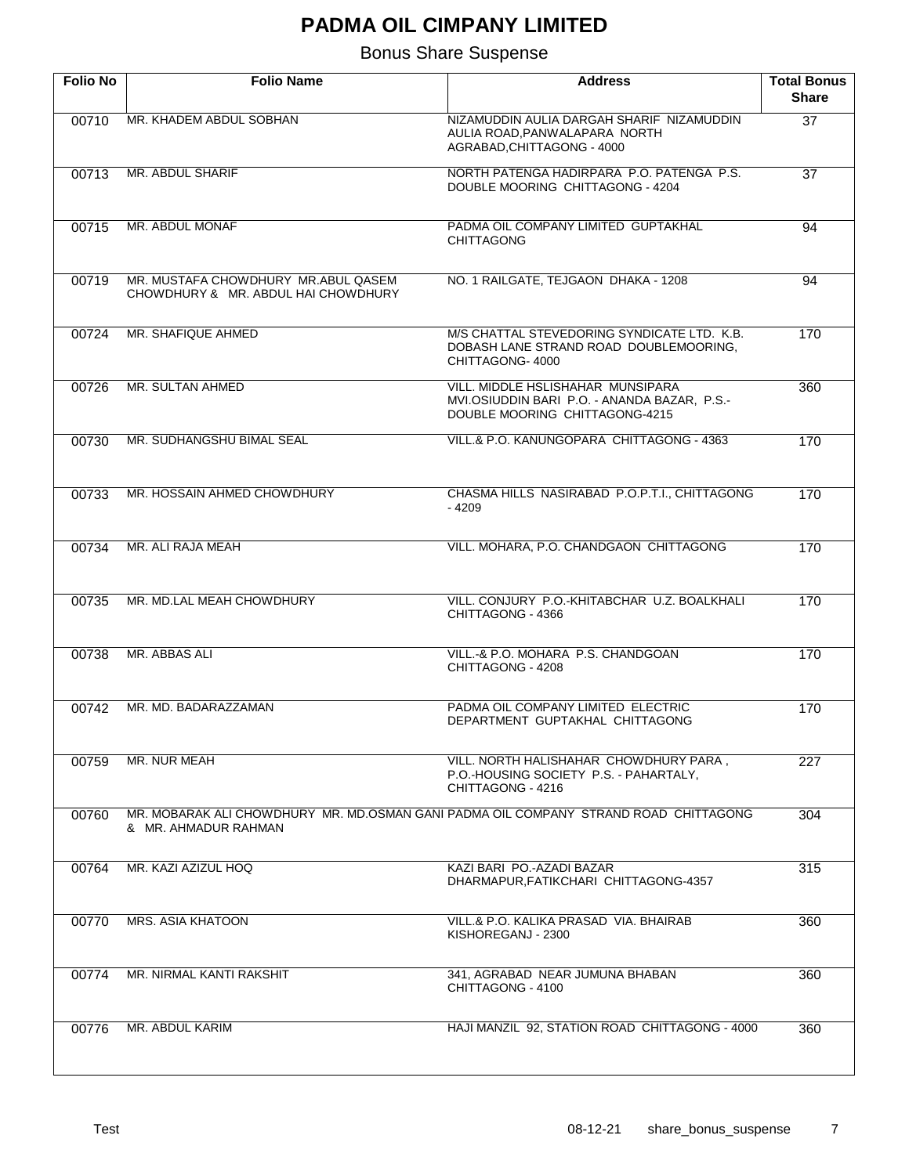| <b>Folio No</b> | <b>Folio Name</b>                                                                                            | <b>Address</b>                                                                                                      | <b>Total Bonus</b><br><b>Share</b> |
|-----------------|--------------------------------------------------------------------------------------------------------------|---------------------------------------------------------------------------------------------------------------------|------------------------------------|
| 00710           | MR. KHADEM ABDUL SOBHAN                                                                                      | NIZAMUDDIN AULIA DARGAH SHARIF NIZAMUDDIN<br>AULIA ROAD, PANWALAPARA NORTH<br>AGRABAD, CHITTAGONG - 4000            | $\overline{37}$                    |
| 00713           | MR. ABDUL SHARIF                                                                                             | NORTH PATENGA HADIRPARA P.O. PATENGA P.S.<br>DOUBLE MOORING CHITTAGONG - 4204                                       | $\overline{37}$                    |
| 00715           | MR. ABDUL MONAF                                                                                              | PADMA OIL COMPANY LIMITED GUPTAKHAL<br><b>CHITTAGONG</b>                                                            | 94                                 |
| 00719           | MR. MUSTAFA CHOWDHURY MR.ABUL QASEM<br>CHOWDHURY & MR. ABDUL HAI CHOWDHURY                                   | NO. 1 RAILGATE, TEJGAON DHAKA - 1208                                                                                | 94                                 |
| 00724           | MR. SHAFIQUE AHMED                                                                                           | M/S CHATTAL STEVEDORING SYNDICATE LTD. K.B.<br>DOBASH LANE STRAND ROAD DOUBLEMOORING,<br>CHITTAGONG-4000            | 170                                |
| 00726           | MR. SULTAN AHMED                                                                                             | VILL. MIDDLE HSLISHAHAR MUNSIPARA<br>MVI.OSIUDDIN BARI P.O. - ANANDA BAZAR, P.S.-<br>DOUBLE MOORING CHITTAGONG-4215 | 360                                |
| 00730           | MR. SUDHANGSHU BIMAL SEAL                                                                                    | VILL.& P.O. KANUNGOPARA CHITTAGONG - 4363                                                                           | 170                                |
| 00733           | MR. HOSSAIN AHMED CHOWDHURY                                                                                  | CHASMA HILLS NASIRABAD P.O.P.T.I., CHITTAGONG<br>- 4209                                                             | 170                                |
| 00734           | MR. ALI RAJA MEAH                                                                                            | VILL. MOHARA, P.O. CHANDGAON CHITTAGONG                                                                             | 170                                |
| 00735           | MR. MD.LAL MEAH CHOWDHURY                                                                                    | VILL, CONJURY P.O.-KHITABCHAR U.Z. BOALKHALI<br>CHITTAGONG - 4366                                                   | 170                                |
| 00738           | MR. ABBAS ALI                                                                                                | VILL.-& P.O. MOHARA P.S. CHANDGOAN<br>CHITTAGONG - 4208                                                             | 170                                |
| 00742           | MR. MD. BADARAZZAMAN                                                                                         | PADMA OIL COMPANY LIMITED ELECTRIC<br>DEPARTMENT GUPTAKHAL CHITTAGONG                                               | 170                                |
| 00759           | MR. NUR MEAH                                                                                                 | VILL. NORTH HALISHAHAR CHOWDHURY PARA,<br>P.O.-HOUSING SOCIETY P.S. - PAHARTALY,<br>CHITTAGONG - 4216               | 227                                |
| 00760           | MR. MOBARAK ALI CHOWDHURY MR. MD.OSMAN GANI PADMA OIL COMPANY STRAND ROAD CHITTAGONG<br>& MR. AHMADUR RAHMAN |                                                                                                                     | 304                                |
| 00764           | MR. KAZI AZIZUL HOQ                                                                                          | KAZI BARI PO.-AZADI BAZAR<br>DHARMAPUR, FATIKCHARI CHITTAGONG-4357                                                  | 315                                |
| 00770           | MRS. ASIA KHATOON                                                                                            | VILL.& P.O. KALIKA PRASAD VIA, BHAIRAB<br>KISHOREGANJ - 2300                                                        | 360                                |
| 00774           | MR. NIRMAL KANTI RAKSHIT                                                                                     | 341, AGRABAD NEAR JUMUNA BHABAN<br>CHITTAGONG - 4100                                                                | 360                                |
| 00776           | MR. ABDUL KARIM                                                                                              | HAJI MANZIL 92, STATION ROAD CHITTAGONG - 4000                                                                      | 360                                |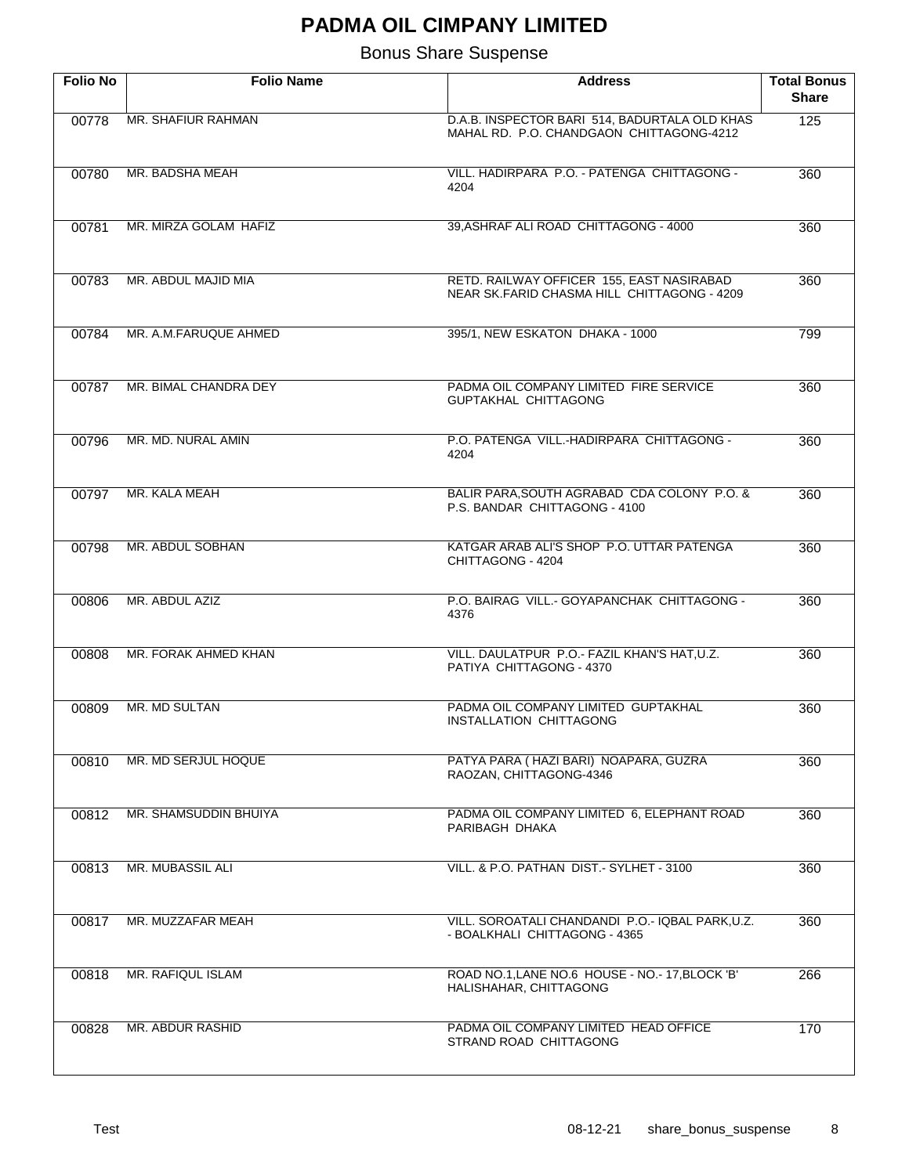| <b>Folio No</b> | <b>Folio Name</b>       | <b>Address</b>                                                                            | <b>Total Bonus</b><br><b>Share</b> |
|-----------------|-------------------------|-------------------------------------------------------------------------------------------|------------------------------------|
| 00778           | MR. SHAFIUR RAHMAN      | D.A.B. INSPECTOR BARI 514, BADURTALA OLD KHAS<br>MAHAL RD. P.O. CHANDGAON CHITTAGONG-4212 | $\overline{125}$                   |
| 00780           | MR. BADSHA MEAH         | VILL, HADIRPARA P.O. - PATENGA CHITTAGONG -<br>4204                                       | 360                                |
| 00781           | MR. MIRZA GOLAM HAFIZ   | 39, ASHRAF ALI ROAD CHITTAGONG - 4000                                                     | 360                                |
| 00783           | MR. ABDUL MAJID MIA     | RETD. RAILWAY OFFICER 155, EAST NASIRABAD<br>NEAR SK.FARID CHASMA HILL CHITTAGONG - 4209  | 360                                |
| 00784           | MR. A.M.FARUQUE AHMED   | 395/1, NEW ESKATON DHAKA - 1000                                                           | 799                                |
| 00787           | MR. BIMAL CHANDRA DEY   | PADMA OIL COMPANY LIMITED FIRE SERVICE<br>GUPTAKHAL CHITTAGONG                            | 360                                |
| 00796           | MR. MD. NURAL AMIN      | P.O. PATENGA VILL.-HADIRPARA CHITTAGONG -<br>4204                                         | 360                                |
| 00797           | MR. KALA MEAH           | BALIR PARA, SOUTH AGRABAD CDA COLONY P.O. &<br>P.S. BANDAR CHITTAGONG - 4100              | 360                                |
| 00798           | MR. ABDUL SOBHAN        | KATGAR ARAB ALI'S SHOP P.O. UTTAR PATENGA<br>CHITTAGONG - 4204                            | 360                                |
| 00806           | MR. ABDUL AZIZ          | P.O. BAIRAG VILL.- GOYAPANCHAK CHITTAGONG -<br>4376                                       | 360                                |
| 00808           | MR. FORAK AHMED KHAN    | VILL. DAULATPUR P.O.- FAZIL KHAN'S HAT, U.Z.<br>PATIYA CHITTAGONG - 4370                  | 360                                |
| 00809           | MR. MD SULTAN           | PADMA OIL COMPANY LIMITED GUPTAKHAL<br><b>INSTALLATION CHITTAGONG</b>                     | 360                                |
| 00810           | MR. MD SERJUL HOQUE     | PATYA PARA ( HAZI BARI) NOAPARA, GUZRA<br>RAOZAN, CHITTAGONG-4346                         | 360                                |
| 00812           | MR. SHAMSUDDIN BHUIYA   | PADMA OIL COMPANY LIMITED 6, ELEPHANT ROAD<br>PARIBAGH DHAKA                              | 360                                |
| 00813           | <b>MR. MUBASSIL ALI</b> | VILL, & P.O. PATHAN DIST. - SYLHET - 3100                                                 | 360                                |
| 00817           | MR. MUZZAFAR MEAH       | VILL. SOROATALI CHANDANDI P.O.- IQBAL PARK,U.Z.<br>- BOALKHALI CHITTAGONG - 4365          | 360                                |
| 00818           | MR. RAFIQUL ISLAM       | ROAD NO.1, LANE NO.6 HOUSE - NO. - 17, BLOCK 'B'<br>HALISHAHAR, CHITTAGONG                | 266                                |
| 00828           | MR. ABDUR RASHID        | PADMA OIL COMPANY LIMITED HEAD OFFICE<br>STRAND ROAD CHITTAGONG                           | 170                                |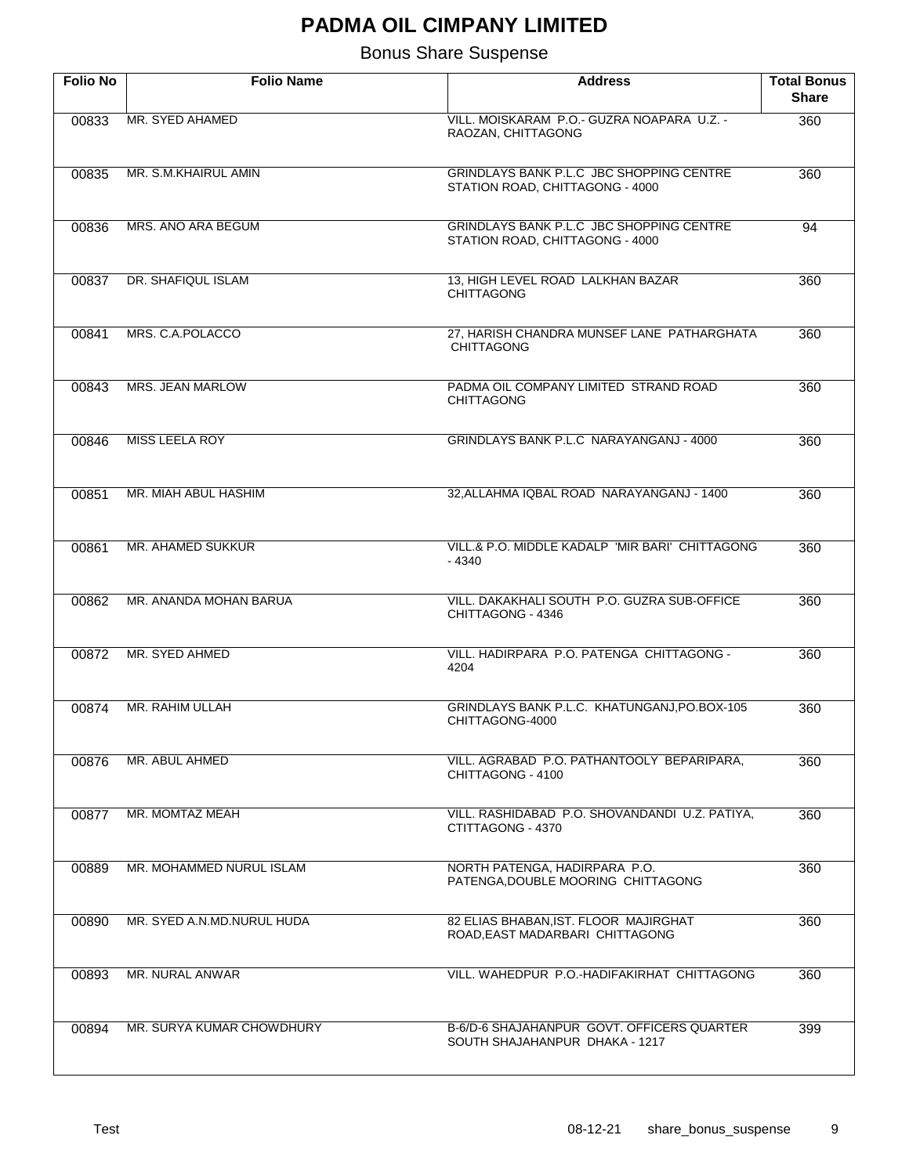| <b>Folio No</b> | <b>Folio Name</b>          | <b>Address</b>                                                               | <b>Total Bonus</b><br><b>Share</b> |
|-----------------|----------------------------|------------------------------------------------------------------------------|------------------------------------|
| 00833           | MR. SYED AHAMED            | VILL. MOISKARAM P.O.- GUZRA NOAPARA U.Z. -<br>RAOZAN, CHITTAGONG             | 360                                |
| 00835           | MR. S.M.KHAIRUL AMIN       | GRINDLAYS BANK P.L.C JBC SHOPPING CENTRE<br>STATION ROAD, CHITTAGONG - 4000  | 360                                |
| 00836           | MRS. ANO ARA BEGUM         | GRINDLAYS BANK P.L.C JBC SHOPPING CENTRE<br>STATION ROAD, CHITTAGONG - 4000  | 94                                 |
| 00837           | DR. SHAFIQUL ISLAM         | 13, HIGH LEVEL ROAD LALKHAN BAZAR<br><b>CHITTAGONG</b>                       | 360                                |
| 00841           | MRS. C.A.POLACCO           | 27, HARISH CHANDRA MUNSEF LANE PATHARGHATA<br><b>CHITTAGONG</b>              | 360                                |
| 00843           | <b>MRS. JEAN MARLOW</b>    | PADMA OIL COMPANY LIMITED STRAND ROAD<br><b>CHITTAGONG</b>                   | 360                                |
| 00846           | <b>MISS LEELA ROY</b>      | GRINDLAYS BANK P.L.C NARAYANGANJ - 4000                                      | 360                                |
| 00851           | MR. MIAH ABUL HASHIM       | 32, ALLAHMA IQBAL ROAD NARAYANGANJ - 1400                                    | 360                                |
| 00861           | <b>MR. AHAMED SUKKUR</b>   | VILL.& P.O. MIDDLE KADALP 'MIR BARI' CHITTAGONG<br>- 4340                    | 360                                |
| 00862           | MR. ANANDA MOHAN BARUA     | VILL. DAKAKHALI SOUTH P.O. GUZRA SUB-OFFICE<br>CHITTAGONG - 4346             | 360                                |
| 00872           | MR. SYED AHMED             | VILL. HADIRPARA P.O. PATENGA CHITTAGONG -<br>4204                            | 360                                |
| 00874           | MR. RAHIM ULLAH            | GRINDLAYS BANK P.L.C. KHATUNGANJ, PO.BOX-105<br>CHITTAGONG-4000              | 360                                |
| 00876           | MR. ABUL AHMED             | VILL. AGRABAD P.O. PATHANTOOLY BEPARIPARA,<br>CHITTAGONG - 4100              | 360                                |
| 00877           | MR. MOMTAZ MEAH            | VILL. RASHIDABAD P.O. SHOVANDANDI U.Z. PATIYA,<br>CTITTAGONG - 4370          | 360                                |
| 00889           | MR. MOHAMMED NURUL ISLAM   | NORTH PATENGA, HADIRPARA P.O.<br>PATENGA, DOUBLE MOORING CHITTAGONG          | 360                                |
| 00890           | MR. SYED A.N.MD.NURUL HUDA | 82 ELIAS BHABAN, IST. FLOOR MAJIRGHAT<br>ROAD, EAST MADARBARI CHITTAGONG     | 360                                |
| 00893           | MR. NURAL ANWAR            | VILL. WAHEDPUR P.O.-HADIFAKIRHAT CHITTAGONG                                  | 360                                |
| 00894           | MR. SURYA KUMAR CHOWDHURY  | B-6/D-6 SHAJAHANPUR GOVT. OFFICERS QUARTER<br>SOUTH SHAJAHANPUR DHAKA - 1217 | 399                                |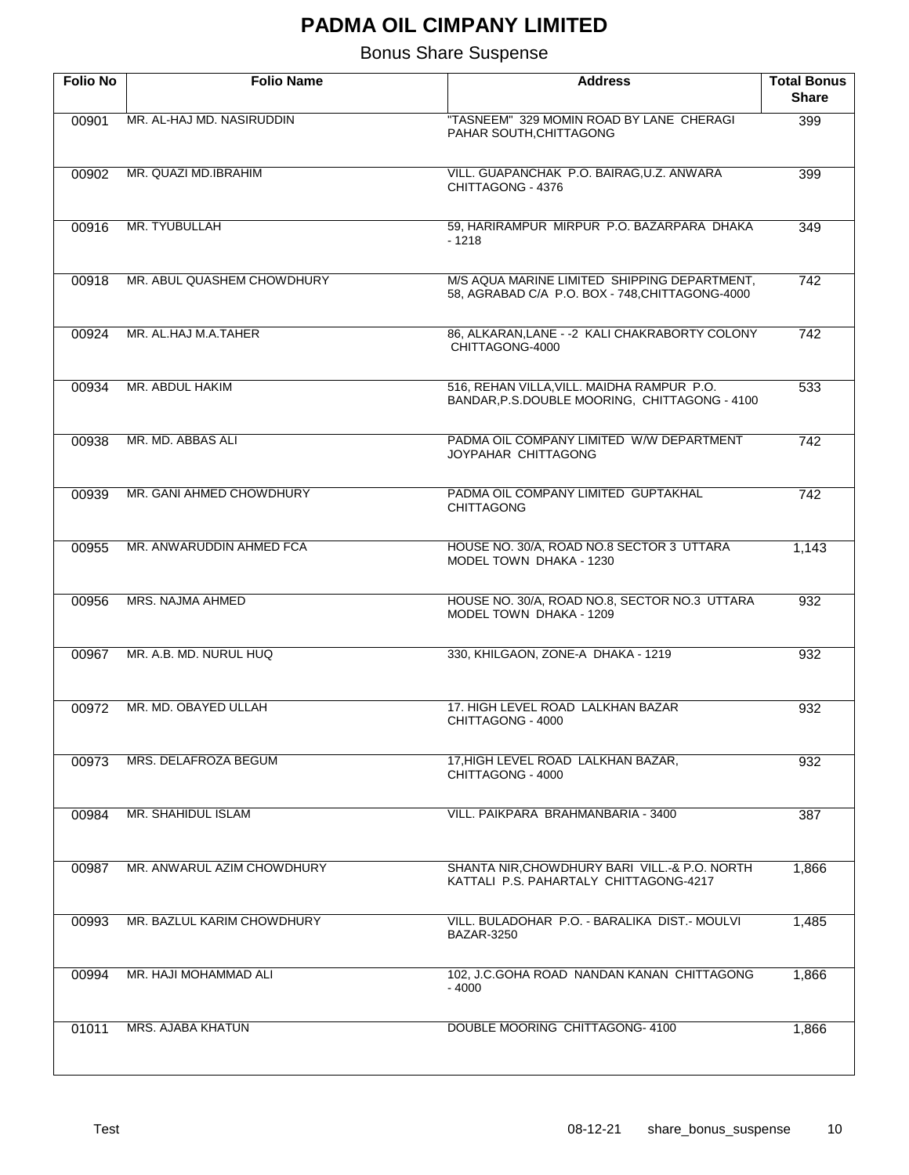| <b>Folio No</b> | <b>Folio Name</b>          | <b>Address</b>                                                                                  | <b>Total Bonus</b><br><b>Share</b> |
|-----------------|----------------------------|-------------------------------------------------------------------------------------------------|------------------------------------|
| 00901           | MR. AL-HAJ MD. NASIRUDDIN  | "TASNEEM" 329 MOMIN ROAD BY LANE CHERAGI<br>PAHAR SOUTH, CHITTAGONG                             | 399                                |
| 00902           | MR. QUAZI MD.IBRAHIM       | VILL. GUAPANCHAK P.O. BAIRAG, U.Z. ANWARA<br>CHITTAGONG - 4376                                  | 399                                |
| 00916           | MR. TYUBULLAH              | 59, HARIRAMPUR MIRPUR P.O. BAZARPARA DHAKA<br>$-1218$                                           | 349                                |
| 00918           | MR. ABUL QUASHEM CHOWDHURY | M/S AQUA MARINE LIMITED SHIPPING DEPARTMENT,<br>58, AGRABAD C/A P.O. BOX - 748, CHITTAGONG-4000 | 742                                |
| 00924           | MR. AL.HAJ M.A.TAHER       | 86, ALKARAN, LANE - - 2 KALI CHAKRABORTY COLONY<br>CHITTAGONG-4000                              | $\overline{742}$                   |
| 00934           | MR. ABDUL HAKIM            | 516, REHAN VILLA, VILL. MAIDHA RAMPUR P.O.<br>BANDAR, P.S.DOUBLE MOORING, CHITTAGONG - 4100     | 533                                |
| 00938           | MR. MD. ABBAS ALI          | PADMA OIL COMPANY LIMITED W/W DEPARTMENT<br>JOYPAHAR CHITTAGONG                                 | 742                                |
| 00939           | MR. GANI AHMED CHOWDHURY   | PADMA OIL COMPANY LIMITED GUPTAKHAL<br><b>CHITTAGONG</b>                                        | 742                                |
| 00955           | MR. ANWARUDDIN AHMED FCA   | HOUSE NO. 30/A, ROAD NO.8 SECTOR 3 UTTARA<br>MODEL TOWN DHAKA - 1230                            | 1,143                              |
| 00956           | MRS. NAJMA AHMED           | HOUSE NO. 30/A, ROAD NO.8, SECTOR NO.3 UTTARA<br>MODEL TOWN DHAKA - 1209                        | 932                                |
| 00967           | MR. A.B. MD. NURUL HUQ     | 330, KHILGAON, ZONE-A DHAKA - 1219                                                              | 932                                |
| 00972           | MR. MD. OBAYED ULLAH       | 17. HIGH LEVEL ROAD LALKHAN BAZAR<br>CHITTAGONG - 4000                                          | 932                                |
| 00973           | MRS. DELAFROZA BEGUM       | 17, HIGH LEVEL ROAD LALKHAN BAZAR,<br>CHITTAGONG - 4000                                         | 932                                |
| 00984           | MR. SHAHIDUL ISLAM         | VILL, PAIKPARA BRAHMANBARIA - 3400                                                              | 387                                |
| 00987           | MR. ANWARUL AZIM CHOWDHURY | SHANTA NIR, CHOWDHURY BARI VILL.-& P.O. NORTH<br>KATTALI P.S. PAHARTALY CHITTAGONG-4217         | 1,866                              |
| 00993           | MR. BAZLUL KARIM CHOWDHURY | VILL. BULADOHAR P.O. - BARALIKA DIST. - MOULVI<br><b>BAZAR-3250</b>                             | 1,485                              |
| 00994           | MR. HAJI MOHAMMAD ALI      | 102, J.C.GOHA ROAD NANDAN KANAN CHITTAGONG<br>$-4000$                                           | 1,866                              |
| 01011           | MRS. AJABA KHATUN          | DOUBLE MOORING CHITTAGONG- 4100                                                                 | 1,866                              |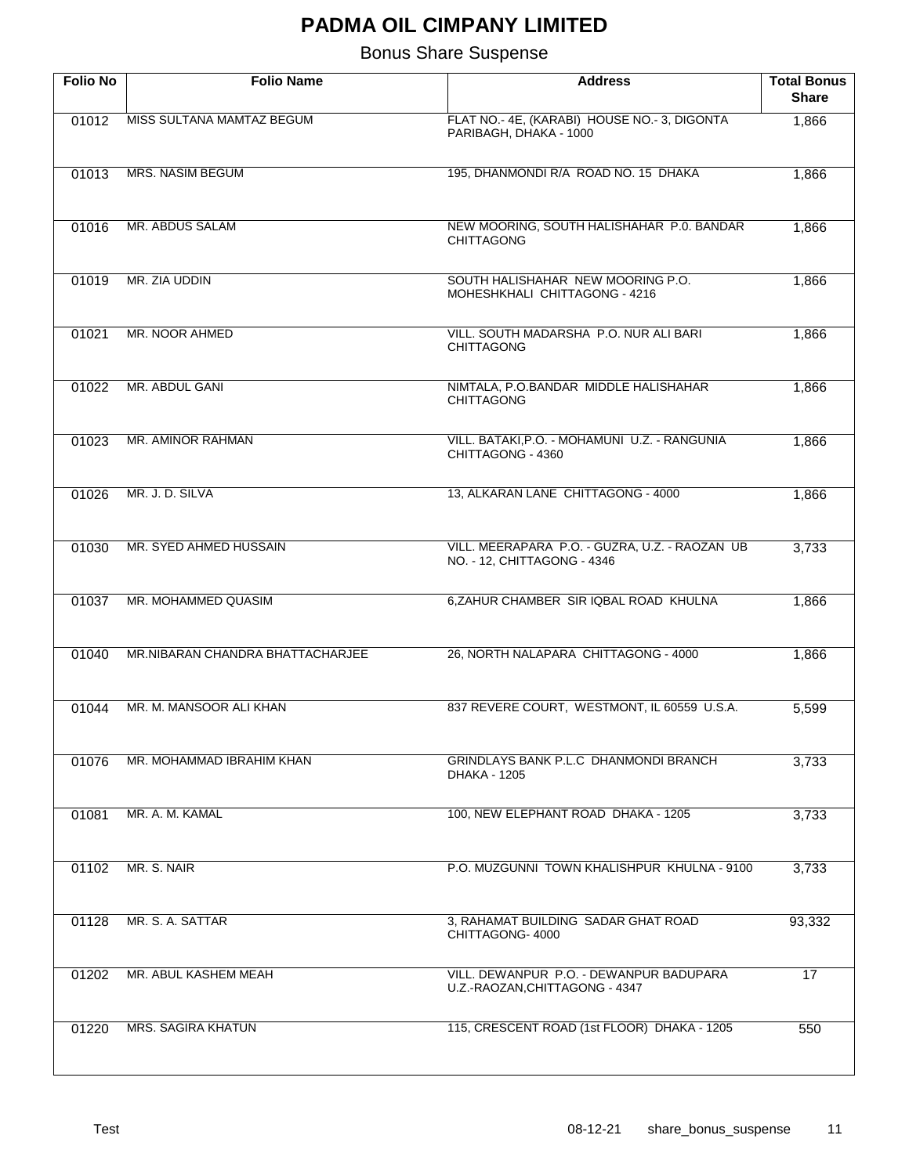| <b>Folio No</b> | <b>Folio Name</b>                | <b>Address</b>                                                                | <b>Total Bonus</b><br><b>Share</b> |
|-----------------|----------------------------------|-------------------------------------------------------------------------------|------------------------------------|
| 01012           | MISS SULTANA MAMTAZ BEGUM        | FLAT NO.-4E, (KARABI) HOUSE NO.-3, DIGONTA<br>PARIBAGH, DHAKA - 1000          | 1,866                              |
| 01013           | <b>MRS. NASIM BEGUM</b>          | 195, DHANMONDI R/A ROAD NO. 15 DHAKA                                          | 1,866                              |
| 01016           | MR. ABDUS SALAM                  | NEW MOORING, SOUTH HALISHAHAR P.0. BANDAR<br><b>CHITTAGONG</b>                | 1,866                              |
| 01019           | MR. ZIA UDDIN                    | SOUTH HALISHAHAR NEW MOORING P.O.<br>MOHESHKHALI CHITTAGONG - 4216            | 1,866                              |
| 01021           | MR. NOOR AHMED                   | VILL. SOUTH MADARSHA P.O. NUR ALI BARI<br><b>CHITTAGONG</b>                   | 1,866                              |
| 01022           | <b>MR. ABDUL GANI</b>            | NIMTALA, P.O.BANDAR MIDDLE HALISHAHAR<br><b>CHITTAGONG</b>                    | 1,866                              |
| 01023           | MR. AMINOR RAHMAN                | VILL. BATAKI, P.O. - MOHAMUNI U.Z. - RANGUNIA<br>CHITTAGONG - 4360            | 1,866                              |
| 01026           | MR. J. D. SILVA                  | 13, ALKARAN LANE CHITTAGONG - 4000                                            | 1,866                              |
| 01030           | MR. SYED AHMED HUSSAIN           | VILL. MEERAPARA P.O. - GUZRA, U.Z. - RAOZAN UB<br>NO. - 12, CHITTAGONG - 4346 | 3,733                              |
| 01037           | MR. MOHAMMED QUASIM              | 6, ZAHUR CHAMBER SIR IQBAL ROAD KHULNA                                        | 1,866                              |
| 01040           | MR.NIBARAN CHANDRA BHATTACHARJEE | 26, NORTH NALAPARA CHITTAGONG - 4000                                          | 1,866                              |
| 01044           | MR. M. MANSOOR ALI KHAN          | 837 REVERE COURT, WESTMONT, IL 60559 U.S.A.                                   | 5,599                              |
| 01076           | MR. MOHAMMAD IBRAHIM KHAN        | <b>GRINDLAYS BANK P.L.C DHANMONDI BRANCH</b><br>DHAKA - 1205                  | 3,733                              |
| 01081           | MR. A. M. KAMAL                  | 100, NEW ELEPHANT ROAD DHAKA - 1205                                           | 3,733                              |
| 01102           | MR. S. NAIR                      | P.O. MUZGUNNI TOWN KHALISHPUR KHULNA - 9100                                   | 3,733                              |
| 01128           | MR. S. A. SATTAR                 | 3, RAHAMAT BUILDING SADAR GHAT ROAD<br>CHITTAGONG-4000                        | 93,332                             |
| 01202           | MR. ABUL KASHEM MEAH             | VILL. DEWANPUR P.O. - DEWANPUR BADUPARA<br>U.Z.-RAOZAN, CHITTAGONG - 4347     | 17                                 |
| 01220           | <b>MRS. SAGIRA KHATUN</b>        | 115, CRESCENT ROAD (1st FLOOR) DHAKA - 1205                                   | 550                                |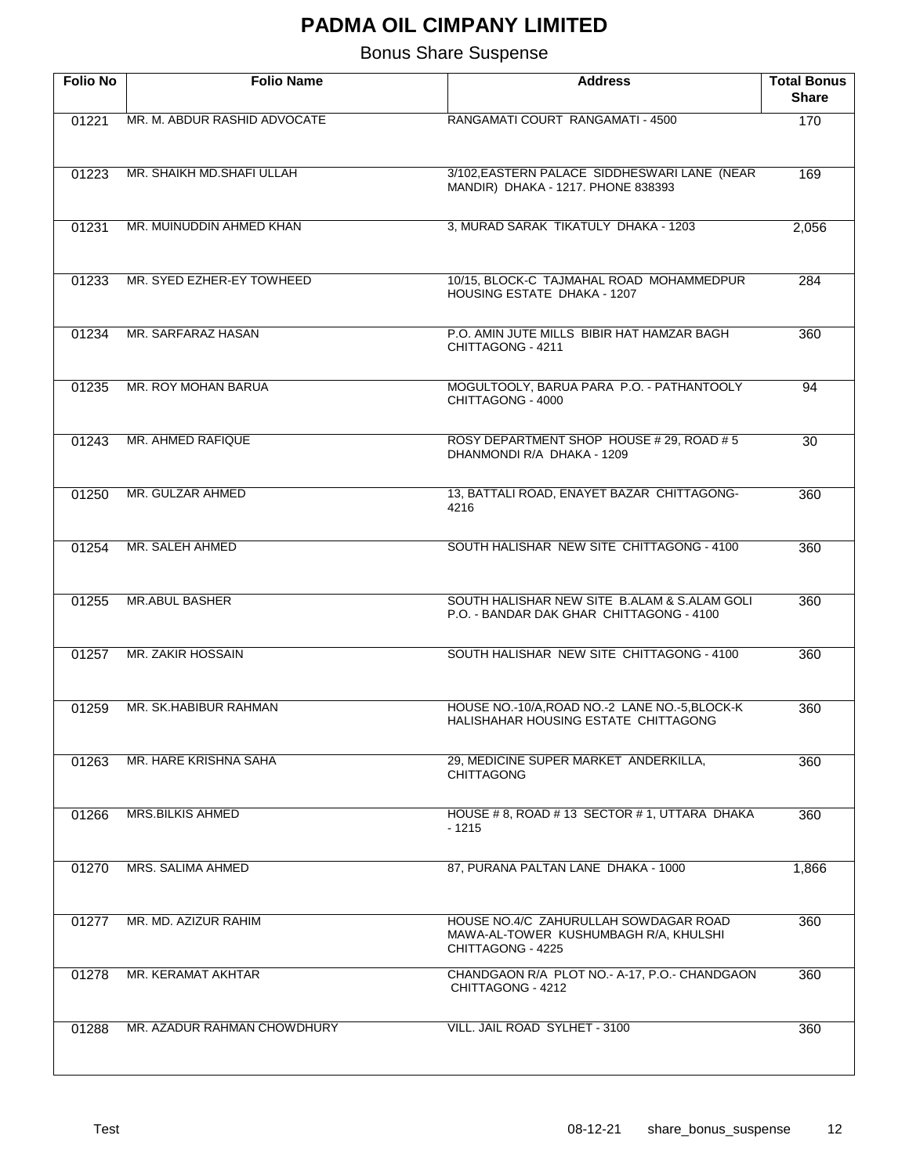| <b>Folio No</b> | <b>Folio Name</b>            | <b>Address</b>                                                                                      | <b>Total Bonus</b><br><b>Share</b> |
|-----------------|------------------------------|-----------------------------------------------------------------------------------------------------|------------------------------------|
| 01221           | MR. M. ABDUR RASHID ADVOCATE | RANGAMATI COURT RANGAMATI - 4500                                                                    | 170                                |
| 01223           | MR. SHAIKH MD. SHAFI ULLAH   | 3/102, EASTERN PALACE SIDDHESWARI LANE (NEAR<br>MANDIR) DHAKA - 1217. PHONE 838393                  | 169                                |
| 01231           | MR. MUINUDDIN AHMED KHAN     | 3, MURAD SARAK TIKATULY DHAKA - 1203                                                                | 2,056                              |
| 01233           | MR. SYED EZHER-EY TOWHEED    | 10/15, BLOCK-C TAJMAHAL ROAD MOHAMMEDPUR<br>HOUSING ESTATE DHAKA - 1207                             | 284                                |
| 01234           | MR. SARFARAZ HASAN           | P.O. AMIN JUTE MILLS BIBIR HAT HAMZAR BAGH<br>CHITTAGONG - 4211                                     | 360                                |
| 01235           | MR. ROY MOHAN BARUA          | MOGULTOOLY, BARUA PARA P.O. - PATHANTOOLY<br>CHITTAGONG - 4000                                      | 94                                 |
| 01243           | MR. AHMED RAFIQUE            | ROSY DEPARTMENT SHOP HOUSE # 29, ROAD # 5<br>DHANMONDI R/A DHAKA - 1209                             | 30                                 |
| 01250           | MR. GULZAR AHMED             | 13, BATTALI ROAD, ENAYET BAZAR CHITTAGONG-<br>4216                                                  | 360                                |
| 01254           | MR. SALEH AHMED              | SOUTH HALISHAR NEW SITE CHITTAGONG - 4100                                                           | 360                                |
| 01255           | <b>MR.ABUL BASHER</b>        | SOUTH HALISHAR NEW SITE B.ALAM & S.ALAM GOLI<br>P.O. - BANDAR DAK GHAR CHITTAGONG - 4100            | 360                                |
| 01257           | MR. ZAKIR HOSSAIN            | SOUTH HALISHAR NEW SITE CHITTAGONG - 4100                                                           | 360                                |
| 01259           | MR. SK.HABIBUR RAHMAN        | HOUSE NO.-10/A, ROAD NO.-2 LANE NO.-5, BLOCK-K<br>HALISHAHAR HOUSING ESTATE CHITTAGONG              | 360                                |
| 01263           | MR. HARE KRISHNA SAHA        | 29, MEDICINE SUPER MARKET ANDERKILLA,<br><b>CHITTAGONG</b>                                          | 360                                |
| 01266           | <b>MRS.BILKIS AHMED</b>      | HOUSE #8, ROAD #13 SECTOR #1, UTTARA DHAKA<br>- 1215                                                | 360                                |
| 01270           | MRS. SALIMA AHMED            | 87, PURANA PALTAN LANE DHAKA - 1000                                                                 | 1,866                              |
| 01277           | MR. MD. AZIZUR RAHIM         | HOUSE NO.4/C ZAHURULLAH SOWDAGAR ROAD<br>MAWA-AL-TOWER KUSHUMBAGH R/A, KHULSHI<br>CHITTAGONG - 4225 | 360                                |
| 01278           | MR. KERAMAT AKHTAR           | CHANDGAON R/A PLOT NO.- A-17, P.O.- CHANDGAON<br>CHITTAGONG - 4212                                  | 360                                |
| 01288           | MR. AZADUR RAHMAN CHOWDHURY  | VILL. JAIL ROAD SYLHET - 3100                                                                       | 360                                |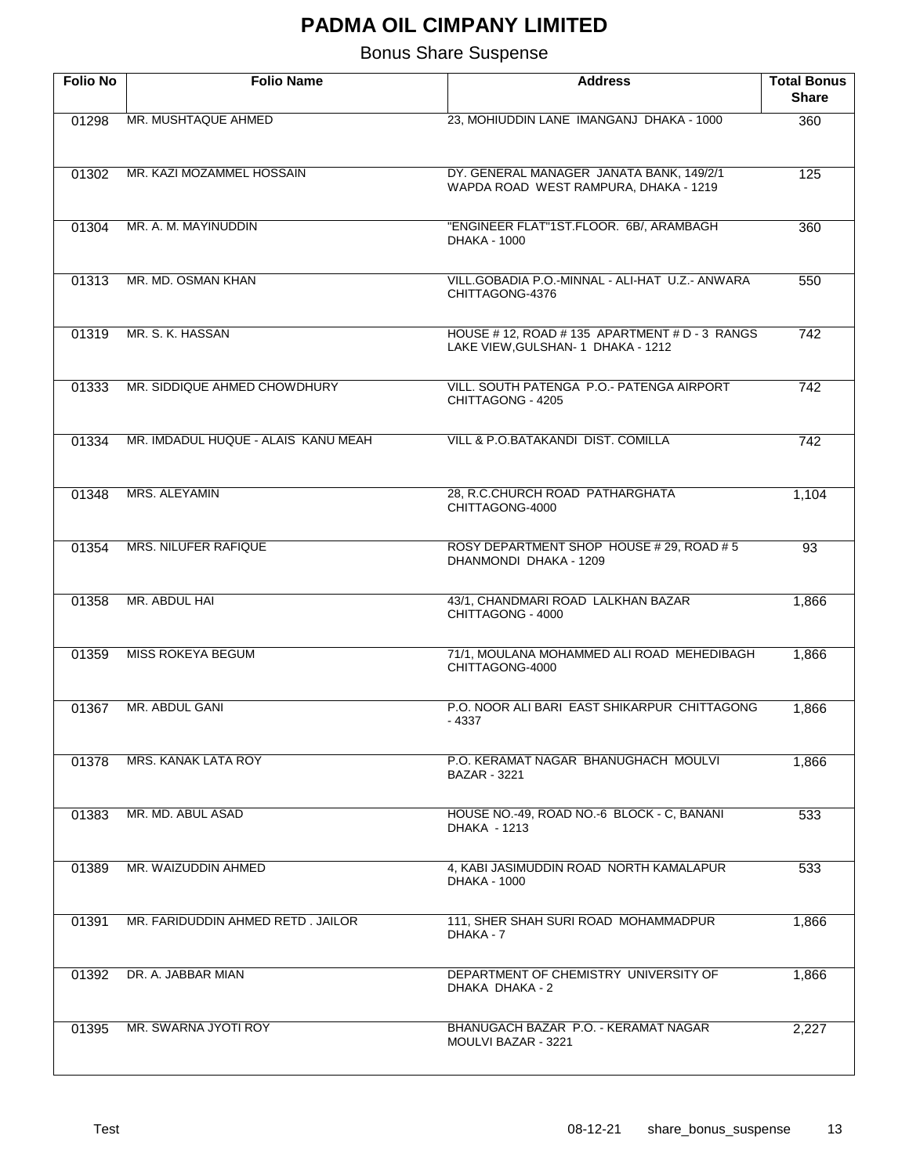| <b>Folio No</b> | <b>Folio Name</b>                   | <b>Address</b>                                                                       | <b>Total Bonus</b><br><b>Share</b> |
|-----------------|-------------------------------------|--------------------------------------------------------------------------------------|------------------------------------|
| 01298           | MR. MUSHTAQUE AHMED                 | 23, MOHIUDDIN LANE IMANGANJ DHAKA - 1000                                             | 360                                |
| 01302           | MR. KAZI MOZAMMEL HOSSAIN           | DY. GENERAL MANAGER JANATA BANK, 149/2/1<br>WAPDA ROAD WEST RAMPURA, DHAKA - 1219    | 125                                |
| 01304           | MR. A. M. MAYINUDDIN                | "ENGINEER FLAT"1ST.FLOOR. 6B/, ARAMBAGH<br>DHAKA - 1000                              | 360                                |
| 01313           | MR. MD. OSMAN KHAN                  | VILL.GOBADIA P.O.-MINNAL - ALI-HAT U.Z.- ANWARA<br>CHITTAGONG-4376                   | 550                                |
| 01319           | MR. S. K. HASSAN                    | HOUSE # 12, ROAD # 135 APARTMENT # D - 3 RANGS<br>LAKE VIEW, GULSHAN- 1 DHAKA - 1212 | 742                                |
| 01333           | MR. SIDDIQUE AHMED CHOWDHURY        | VILL. SOUTH PATENGA P.O.- PATENGA AIRPORT<br>CHITTAGONG - 4205                       | 742                                |
| 01334           | MR. IMDADUL HUQUE - ALAIS KANU MEAH | VILL & P.O.BATAKANDI DIST. COMILLA                                                   | 742                                |
| 01348           | MRS. ALEYAMIN                       | 28, R.C.CHURCH ROAD PATHARGHATA<br>CHITTAGONG-4000                                   | 1,104                              |
| 01354           | MRS. NILUFER RAFIQUE                | ROSY DEPARTMENT SHOP HOUSE # 29, ROAD # 5<br>DHANMONDI DHAKA - 1209                  | 93                                 |
| 01358           | MR. ABDUL HAI                       | 43/1, CHANDMARI ROAD LALKHAN BAZAR<br>CHITTAGONG - 4000                              | 1,866                              |
| 01359           | <b>MISS ROKEYA BEGUM</b>            | 71/1, MOULANA MOHAMMED ALI ROAD MEHEDIBAGH<br>CHITTAGONG-4000                        | 1,866                              |
| 01367           | MR. ABDUL GANI                      | P.O. NOOR ALI BARI EAST SHIKARPUR CHITTAGONG<br>- 4337                               | 1,866                              |
| 01378           | MRS. KANAK LATA ROY                 | P.O. KERAMAT NAGAR BHANUGHACH MOULVI<br>BAZAR - 3221                                 | 1,866                              |
| 01383           | MR. MD. ABUL ASAD                   | HOUSE NO.-49, ROAD NO.-6 BLOCK - C, BANANI<br>DHAKA - 1213                           | 533                                |
| 01389           | MR. WAIZUDDIN AHMED                 | 4, KABI JASIMUDDIN ROAD NORTH KAMALAPUR<br>DHAKA - 1000                              | 533                                |
| 01391           | MR. FARIDUDDIN AHMED RETD. JAILOR   | 111, SHER SHAH SURI ROAD MOHAMMADPUR<br>DHAKA - 7                                    | 1,866                              |
| 01392           | DR. A. JABBAR MIAN                  | DEPARTMENT OF CHEMISTRY UNIVERSITY OF<br>DHAKA DHAKA - 2                             | 1,866                              |
| 01395           | MR. SWARNA JYOTI ROY                | BHANUGACH BAZAR P.O. - KERAMAT NAGAR<br>MOULVI BAZAR - 3221                          | 2,227                              |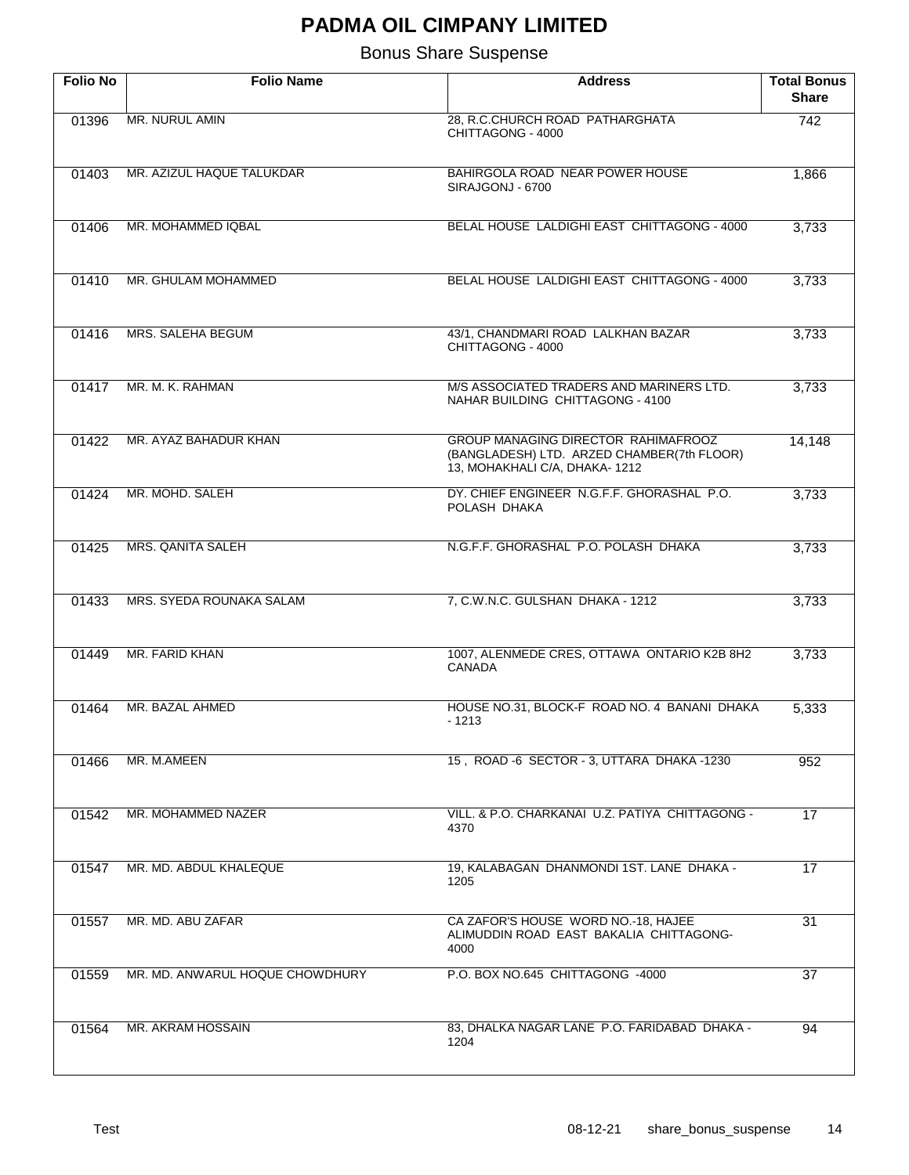| <b>Folio No</b> | <b>Folio Name</b>               | <b>Address</b>                                                                                                     | <b>Total Bonus</b><br><b>Share</b> |
|-----------------|---------------------------------|--------------------------------------------------------------------------------------------------------------------|------------------------------------|
| 01396           | MR. NURUL AMIN                  | 28, R.C.CHURCH ROAD PATHARGHATA<br>CHITTAGONG - 4000                                                               | $\overline{742}$                   |
| 01403           | MR. AZIZUL HAQUE TALUKDAR       | BAHIRGOLA ROAD NEAR POWER HOUSE<br>SIRAJGONJ - 6700                                                                | 1,866                              |
| 01406           | MR. MOHAMMED IQBAL              | BELAL HOUSE LALDIGHI EAST CHITTAGONG - 4000                                                                        | 3,733                              |
| 01410           | MR. GHULAM MOHAMMED             | BELAL HOUSE LALDIGHI EAST CHITTAGONG - 4000                                                                        | 3,733                              |
| 01416           | MRS. SALEHA BEGUM               | 43/1, CHANDMARI ROAD LALKHAN BAZAR<br>CHITTAGONG - 4000                                                            | 3,733                              |
| 01417           | MR. M. K. RAHMAN                | M/S ASSOCIATED TRADERS AND MARINERS LTD.<br>NAHAR BUILDING CHITTAGONG - 4100                                       | 3,733                              |
| 01422           | MR. AYAZ BAHADUR KHAN           | GROUP MANAGING DIRECTOR RAHIMAFROOZ<br>(BANGLADESH) LTD. ARZED CHAMBER(7th FLOOR)<br>13, MOHAKHALI C/A, DHAKA-1212 | 14,148                             |
| 01424           | MR. MOHD. SALEH                 | DY. CHIEF ENGINEER N.G.F.F. GHORASHAL P.O.<br>POLASH DHAKA                                                         | 3,733                              |
| 01425           | MRS. QANITA SALEH               | N.G.F.F. GHORASHAL P.O. POLASH DHAKA                                                                               | 3,733                              |
| 01433           | MRS. SYEDA ROUNAKA SALAM        | 7, C.W.N.C. GULSHAN DHAKA - 1212                                                                                   | 3,733                              |
| 01449           | MR. FARID KHAN                  | 1007, ALENMEDE CRES, OTTAWA ONTARIO K2B 8H2<br><b>CANADA</b>                                                       | 3,733                              |
| 01464           | MR. BAZAL AHMED                 | HOUSE NO.31, BLOCK-F ROAD NO. 4 BANANI DHAKA<br>- 1213                                                             | 5,333                              |
| 01466           | MR. M.AMEEN                     | 15, ROAD -6 SECTOR - 3, UTTARA DHAKA -1230                                                                         | 952                                |
| 01542           | MR. MOHAMMED NAZER              | VILL, & P.O. CHARKANAI U.Z. PATIYA CHITTAGONG -<br>4370                                                            | 17                                 |
| 01547           | MR. MD. ABDUL KHALEQUE          | 19. KALABAGAN DHANMONDI 1ST, LANE DHAKA -<br>1205                                                                  | 17                                 |
| 01557           | MR. MD. ABU ZAFAR               | CA ZAFOR'S HOUSE WORD NO.-18, HAJEE<br>ALIMUDDIN ROAD EAST BAKALIA CHITTAGONG-<br>4000                             | 31                                 |
| 01559           | MR. MD. ANWARUL HOQUE CHOWDHURY | P.O. BOX NO.645 CHITTAGONG -4000                                                                                   | 37                                 |
| 01564           | MR. AKRAM HOSSAIN               | 83, DHALKA NAGAR LANE P.O. FARIDABAD DHAKA -<br>1204                                                               | 94                                 |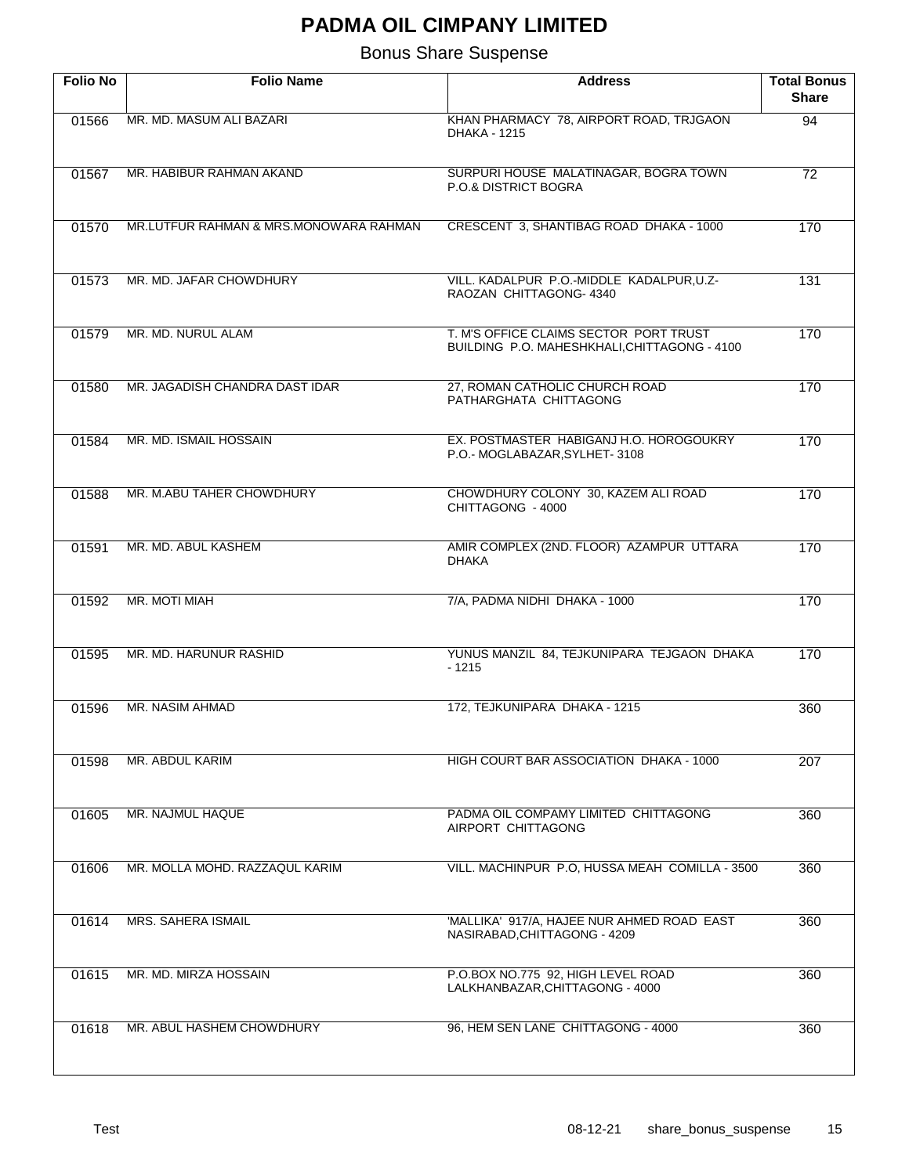| <b>Folio No</b> | <b>Folio Name</b>                      | <b>Address</b>                                                                         | <b>Total Bonus</b><br><b>Share</b> |
|-----------------|----------------------------------------|----------------------------------------------------------------------------------------|------------------------------------|
| 01566           | MR. MD. MASUM ALI BAZARI               | KHAN PHARMACY 78, AIRPORT ROAD, TRJGAON<br>DHAKA - 1215                                | $\overline{94}$                    |
| 01567           | MR. HABIBUR RAHMAN AKAND               | SURPURI HOUSE MALATINAGAR, BOGRA TOWN<br>P.O.& DISTRICT BOGRA                          | 72                                 |
| 01570           | MR.LUTFUR RAHMAN & MRS.MONOWARA RAHMAN | CRESCENT 3, SHANTIBAG ROAD DHAKA - 1000                                                | 170                                |
| 01573           | MR. MD. JAFAR CHOWDHURY                | VILL. KADALPUR P.O.-MIDDLE KADALPUR, U.Z-<br>RAOZAN CHITTAGONG- 4340                   | 131                                |
| 01579           | MR. MD. NURUL ALAM                     | T. M'S OFFICE CLAIMS SECTOR PORT TRUST<br>BUILDING P.O. MAHESHKHALI, CHITTAGONG - 4100 | 170                                |
| 01580           | MR. JAGADISH CHANDRA DAST IDAR         | 27, ROMAN CATHOLIC CHURCH ROAD<br>PATHARGHATA CHITTAGONG                               | 170                                |
| 01584           | MR. MD. ISMAIL HOSSAIN                 | EX. POSTMASTER HABIGANJ H.O. HOROGOUKRY<br>P.O.- MOGLABAZAR, SYLHET-3108               | 170                                |
| 01588           | MR. M.ABU TAHER CHOWDHURY              | CHOWDHURY COLONY 30, KAZEM ALI ROAD<br>CHITTAGONG - 4000                               | 170                                |
| 01591           | MR. MD. ABUL KASHEM                    | AMIR COMPLEX (2ND. FLOOR) AZAMPUR UTTARA<br><b>DHAKA</b>                               | 170                                |
| 01592           | MR. MOTI MIAH                          | 7/A, PADMA NIDHI DHAKA - 1000                                                          | 170                                |
| 01595           | MR. MD. HARUNUR RASHID                 | YUNUS MANZIL 84, TEJKUNIPARA TEJGAON DHAKA<br>$-1215$                                  | 170                                |
| 01596           | MR. NASIM AHMAD                        | 172, TEJKUNIPARA DHAKA - 1215                                                          | 360                                |
| 01598           | MR. ABDUL KARIM                        | HIGH COURT BAR ASSOCIATION DHAKA - 1000                                                | 207                                |
| 01605           | MR. NAJMUL HAQUE                       | PADMA OIL COMPAMY LIMITED CHITTAGONG<br>AIRPORT CHITTAGONG                             | 360                                |
| 01606           | MR. MOLLA MOHD. RAZZAQUL KARIM         | VILL. MACHINPUR P.O, HUSSA MEAH COMILLA - 3500                                         | 360                                |
| 01614           | MRS. SAHERA ISMAIL                     | 'MALLIKA' 917/A, HAJEE NUR AHMED ROAD EAST<br>NASIRABAD, CHITTAGONG - 4209             | 360                                |
| 01615           | MR. MD. MIRZA HOSSAIN                  | P.O.BOX NO.775 92, HIGH LEVEL ROAD<br>LALKHANBAZAR, CHITTAGONG - 4000                  | 360                                |
| 01618           | MR. ABUL HASHEM CHOWDHURY              | 96, HEM SEN LANE CHITTAGONG - 4000                                                     | 360                                |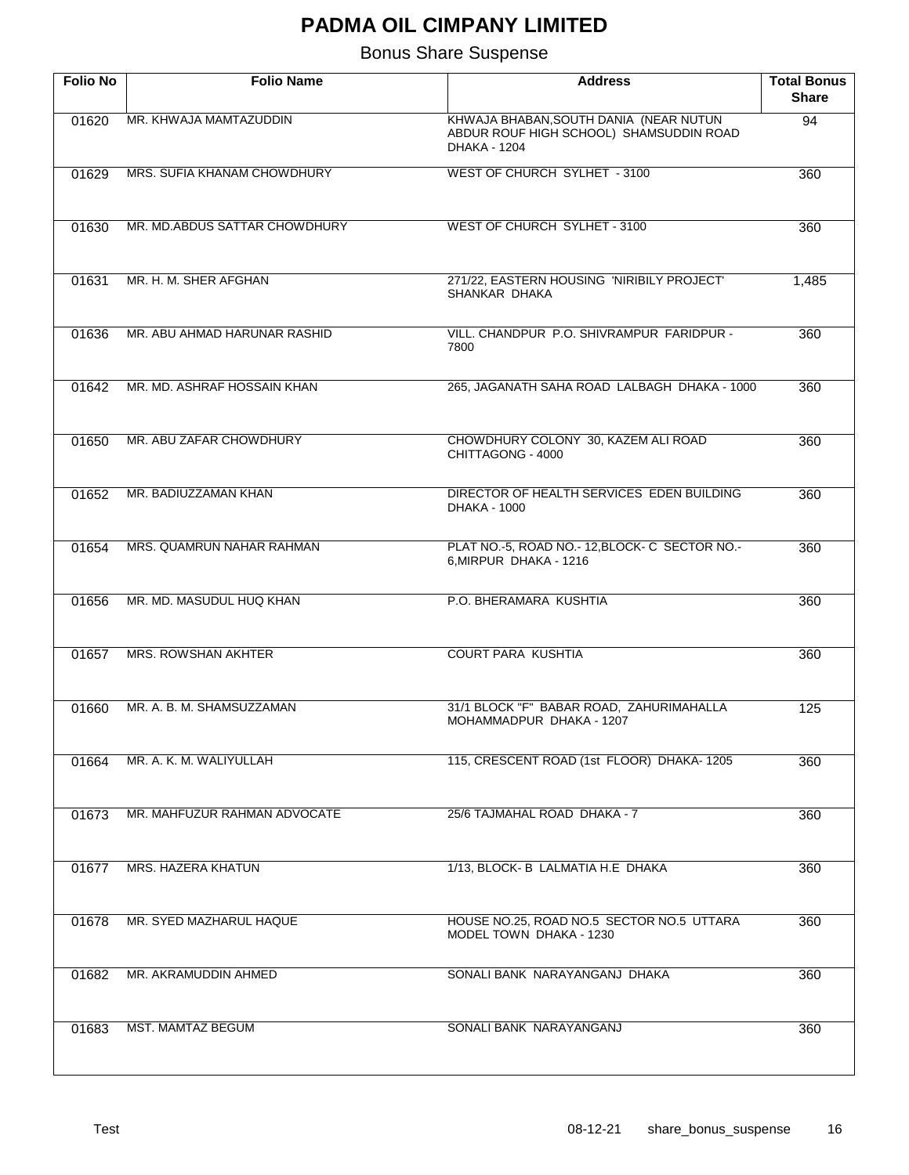| <b>Folio No</b> | <b>Folio Name</b>             | <b>Address</b>                                                                                    | <b>Total Bonus</b><br><b>Share</b> |
|-----------------|-------------------------------|---------------------------------------------------------------------------------------------------|------------------------------------|
| 01620           | MR. KHWAJA MAMTAZUDDIN        | KHWAJA BHABAN, SOUTH DANIA (NEAR NUTUN<br>ABDUR ROUF HIGH SCHOOL) SHAMSUDDIN ROAD<br>DHAKA - 1204 | $\overline{94}$                    |
| 01629           | MRS. SUFIA KHANAM CHOWDHURY   | <b>WEST OF CHURCH SYLHET - 3100</b>                                                               | 360                                |
| 01630           | MR. MD.ABDUS SATTAR CHOWDHURY | WEST OF CHURCH SYLHET - 3100                                                                      | 360                                |
| 01631           | MR. H. M. SHER AFGHAN         | 271/22, EASTERN HOUSING 'NIRIBILY PROJECT'<br>SHANKAR DHAKA                                       | 1,485                              |
| 01636           | MR. ABU AHMAD HARUNAR RASHID  | VILL. CHANDPUR P.O. SHIVRAMPUR FARIDPUR -<br>7800                                                 | 360                                |
| 01642           | MR. MD. ASHRAF HOSSAIN KHAN   | 265, JAGANATH SAHA ROAD LALBAGH DHAKA - 1000                                                      | 360                                |
| 01650           | MR. ABU ZAFAR CHOWDHURY       | CHOWDHURY COLONY 30, KAZEM ALI ROAD<br>CHITTAGONG - 4000                                          | 360                                |
| 01652           | MR. BADIUZZAMAN KHAN          | DIRECTOR OF HEALTH SERVICES EDEN BUILDING<br>DHAKA - 1000                                         | 360                                |
| 01654           | MRS. QUAMRUN NAHAR RAHMAN     | PLAT NO.-5, ROAD NO.- 12, BLOCK- C SECTOR NO.-<br>6, MIRPUR DHAKA - 1216                          | 360                                |
| 01656           | MR. MD. MASUDUL HUQ KHAN      | P.O. BHERAMARA KUSHTIA                                                                            | 360                                |
| 01657           | <b>MRS. ROWSHAN AKHTER</b>    | <b>COURT PARA KUSHTIA</b>                                                                         | 360                                |
| 01660           | MR. A. B. M. SHAMSUZZAMAN     | 31/1 BLOCK "F" BABAR ROAD, ZAHURIMAHALLA<br>MOHAMMADPUR DHAKA - 1207                              | 125                                |
| 01664           | MR. A. K. M. WALIYULLAH       | 115, CRESCENT ROAD (1st FLOOR) DHAKA-1205                                                         | 360                                |
| 01673           | MR. MAHFUZUR RAHMAN ADVOCATE  | 25/6 TAJMAHAL ROAD DHAKA - 7                                                                      | 360                                |
| 01677           | <b>MRS. HAZERA KHATUN</b>     | 1/13, BLOCK- B LALMATIA H.E DHAKA                                                                 | 360                                |
| 01678           | MR. SYED MAZHARUL HAQUE       | HOUSE NO.25, ROAD NO.5 SECTOR NO.5 UTTARA<br>MODEL TOWN DHAKA - 1230                              | 360                                |
| 01682           | MR. AKRAMUDDIN AHMED          | SONALI BANK NARAYANGANJ DHAKA                                                                     | 360                                |
| 01683           | MST. MAMTAZ BEGUM             | SONALI BANK NARAYANGANJ                                                                           | 360                                |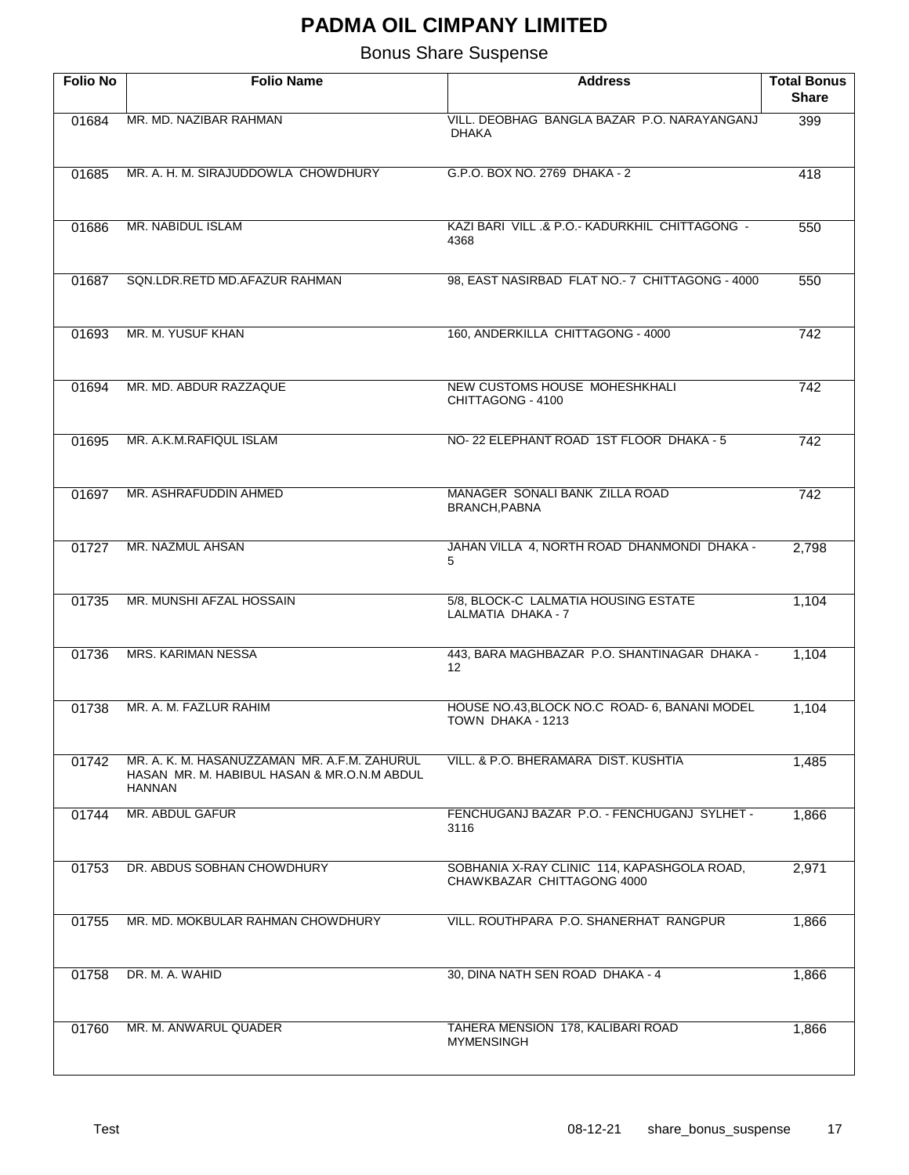| <b>Folio No</b> | <b>Folio Name</b>                                                                                            | <b>Address</b>                                                            | <b>Total Bonus</b><br><b>Share</b> |
|-----------------|--------------------------------------------------------------------------------------------------------------|---------------------------------------------------------------------------|------------------------------------|
| 01684           | MR. MD. NAZIBAR RAHMAN                                                                                       | VILL. DEOBHAG BANGLA BAZAR P.O. NARAYANGANJ                               | 399                                |
|                 |                                                                                                              | <b>DHAKA</b>                                                              |                                    |
| 01685           | MR. A. H. M. SIRAJUDDOWLA CHOWDHURY                                                                          | G.P.O. BOX NO. 2769 DHAKA - 2                                             | 418                                |
|                 |                                                                                                              |                                                                           |                                    |
| 01686           | MR. NABIDUL ISLAM                                                                                            | KAZI BARI VILL & P.O.- KADURKHIL CHITTAGONG -<br>4368                     | 550                                |
| 01687           | SQN.LDR.RETD MD.AFAZUR RAHMAN                                                                                | 98, EAST NASIRBAD FLAT NO.- 7 CHITTAGONG - 4000                           | 550                                |
| 01693           | MR. M. YUSUF KHAN                                                                                            | 160, ANDERKILLA CHITTAGONG - 4000                                         | 742                                |
| 01694           | MR. MD. ABDUR RAZZAQUE                                                                                       | NEW CUSTOMS HOUSE MOHESHKHALI<br>CHITTAGONG - 4100                        | 742                                |
|                 |                                                                                                              |                                                                           |                                    |
| 01695           | MR. A.K.M.RAFIQUL ISLAM                                                                                      | NO-22 ELEPHANT ROAD 1ST FLOOR DHAKA - 5                                   | 742                                |
| 01697           | MR. ASHRAFUDDIN AHMED                                                                                        | MANAGER SONALI BANK ZILLA ROAD<br>BRANCH, PABNA                           | 742                                |
|                 |                                                                                                              |                                                                           |                                    |
| 01727           | MR. NAZMUL AHSAN                                                                                             | JAHAN VILLA 4, NORTH ROAD DHANMONDI DHAKA -<br>5                          | 2,798                              |
| 01735           | MR. MUNSHI AFZAL HOSSAIN                                                                                     | 5/8, BLOCK-C LALMATIA HOUSING ESTATE<br>LALMATIA DHAKA - 7                | 1,104                              |
| 01736           | <b>MRS. KARIMAN NESSA</b>                                                                                    | 443, BARA MAGHBAZAR P.O. SHANTINAGAR DHAKA -<br>12 <sup>2</sup>           | 1,104                              |
| 01738           | MR. A. M. FAZLUR RAHIM                                                                                       | HOUSE NO.43, BLOCK NO.C ROAD- 6, BANANI MODEL<br>TOWN DHAKA - 1213        | 1,104                              |
| 01742           | MR. A. K. M. HASANUZZAMAN MR. A.F.M. ZAHURUL<br>HASAN MR. M. HABIBUL HASAN & MR.O.N.M ABDUL<br><b>HANNAN</b> | VILL. & P.O. BHERAMARA DIST. KUSHTIA                                      | 1,485                              |
| 01744           | MR. ABDUL GAFUR                                                                                              | FENCHUGANJ BAZAR P.O. - FENCHUGANJ SYLHET -<br>3116                       | 1,866                              |
| 01753           | DR. ABDUS SOBHAN CHOWDHURY                                                                                   | SOBHANIA X-RAY CLINIC 114, KAPASHGOLA ROAD,<br>CHAWKBAZAR CHITTAGONG 4000 | 2,971                              |
| 01755           | MR. MD. MOKBULAR RAHMAN CHOWDHURY                                                                            | VILL. ROUTHPARA P.O. SHANERHAT RANGPUR                                    | 1,866                              |
| 01758           | DR. M. A. WAHID                                                                                              | 30, DINA NATH SEN ROAD DHAKA - 4                                          | 1,866                              |
| 01760           | MR. M. ANWARUL QUADER                                                                                        | TAHERA MENSION 178, KALIBARI ROAD<br><b>MYMENSINGH</b>                    | 1,866                              |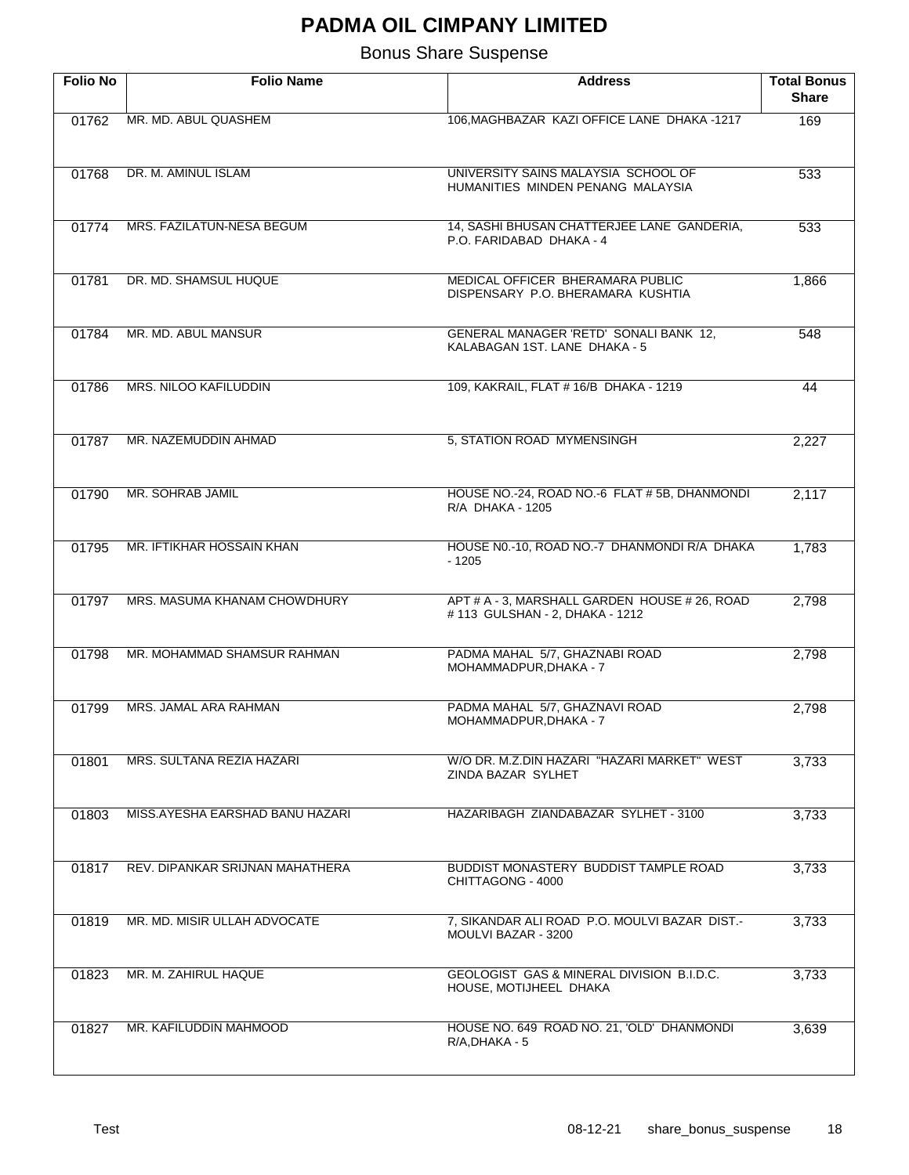| <b>Folio No</b> | <b>Folio Name</b>               | <b>Address</b>                                                                   | <b>Total Bonus</b><br><b>Share</b> |
|-----------------|---------------------------------|----------------------------------------------------------------------------------|------------------------------------|
| 01762           | MR. MD. ABUL QUASHEM            | 106, MAGHBAZAR KAZI OFFICE LANE DHAKA - 1217                                     | 169                                |
|                 |                                 |                                                                                  |                                    |
| 01768           | DR. M. AMINUL ISLAM             | UNIVERSITY SAINS MALAYSIA SCHOOL OF                                              | 533                                |
|                 |                                 | HUMANITIES MINDEN PENANG MALAYSIA                                                |                                    |
| 01774           | MRS. FAZILATUN-NESA BEGUM       | 14, SASHI BHUSAN CHATTERJEE LANE GANDERIA,<br>P.O. FARIDABAD DHAKA - 4           | 533                                |
|                 |                                 |                                                                                  |                                    |
| 01781           | DR. MD. SHAMSUL HUQUE           | MEDICAL OFFICER BHERAMARA PUBLIC<br>DISPENSARY P.O. BHERAMARA KUSHTIA            | 1,866                              |
|                 |                                 |                                                                                  |                                    |
| 01784           | MR. MD. ABUL MANSUR             | GENERAL MANAGER 'RETD' SONALI BANK 12,<br>KALABAGAN 1ST. LANE DHAKA - 5          | 548                                |
| 01786           | MRS. NILOO KAFILUDDIN           | 109, KAKRAIL, FLAT # 16/B DHAKA - 1219                                           | 44                                 |
|                 |                                 |                                                                                  |                                    |
| 01787           | MR. NAZEMUDDIN AHMAD            | 5, STATION ROAD MYMENSINGH                                                       | 2,227                              |
|                 |                                 |                                                                                  |                                    |
| 01790           | MR. SOHRAB JAMIL                | HOUSE NO.-24, ROAD NO.-6 FLAT # 5B, DHANMONDI                                    | 2,117                              |
|                 |                                 | R/A DHAKA - 1205                                                                 |                                    |
| 01795           | MR. IFTIKHAR HOSSAIN KHAN       | HOUSE N0.-10, ROAD NO.-7 DHANMONDI R/A DHAKA<br>$-1205$                          | 1,783                              |
|                 |                                 |                                                                                  |                                    |
| 01797           | MRS. MASUMA KHANAM CHOWDHURY    | APT # A - 3, MARSHALL GARDEN HOUSE # 26, ROAD<br># 113 GULSHAN - 2, DHAKA - 1212 | 2,798                              |
|                 |                                 |                                                                                  |                                    |
| 01798           | MR. MOHAMMAD SHAMSUR RAHMAN     | PADMA MAHAL 5/7, GHAZNABI ROAD<br>MOHAMMADPUR, DHAKA - 7                         | 2,798                              |
| 01799           | MRS. JAMAL ARA RAHMAN           | PADMA MAHAL 5/7, GHAZNAVI ROAD                                                   | 2,798                              |
|                 |                                 | MOHAMMADPUR, DHAKA - 7                                                           |                                    |
| 01801           | MRS. SULTANA REZIA HAZARI       | W/O DR. M.Z.DIN HAZARI "HAZARI MARKET" WEST                                      | 3,733                              |
|                 |                                 | ZINDA BAZAR SYLHET                                                               |                                    |
| 01803           | MISS.AYESHA EARSHAD BANU HAZARI | HAZARIBAGH ZIANDABAZAR SYLHET - 3100                                             | 3,733                              |
|                 |                                 |                                                                                  |                                    |
| 01817           | REV. DIPANKAR SRIJNAN MAHATHERA | <b>BUDDIST MONASTERY BUDDIST TAMPLE ROAD</b>                                     | 3,733                              |
|                 |                                 | CHITTAGONG - 4000                                                                |                                    |
| 01819           | MR. MD. MISIR ULLAH ADVOCATE    | 7, SIKANDAR ALI ROAD P.O. MOULVI BAZAR DIST.-<br>MOULVI BAZAR - 3200             | 3,733                              |
|                 |                                 |                                                                                  |                                    |
| 01823           | MR. M. ZAHIRUL HAQUE            | GEOLOGIST GAS & MINERAL DIVISION B.I.D.C.<br>HOUSE, MOTIJHEEL DHAKA              | 3,733                              |
|                 |                                 |                                                                                  |                                    |
| 01827           | MR. KAFILUDDIN MAHMOOD          | HOUSE NO. 649 ROAD NO. 21, 'OLD' DHANMONDI<br>R/A, DHAKA - 5                     | 3,639                              |
|                 |                                 |                                                                                  |                                    |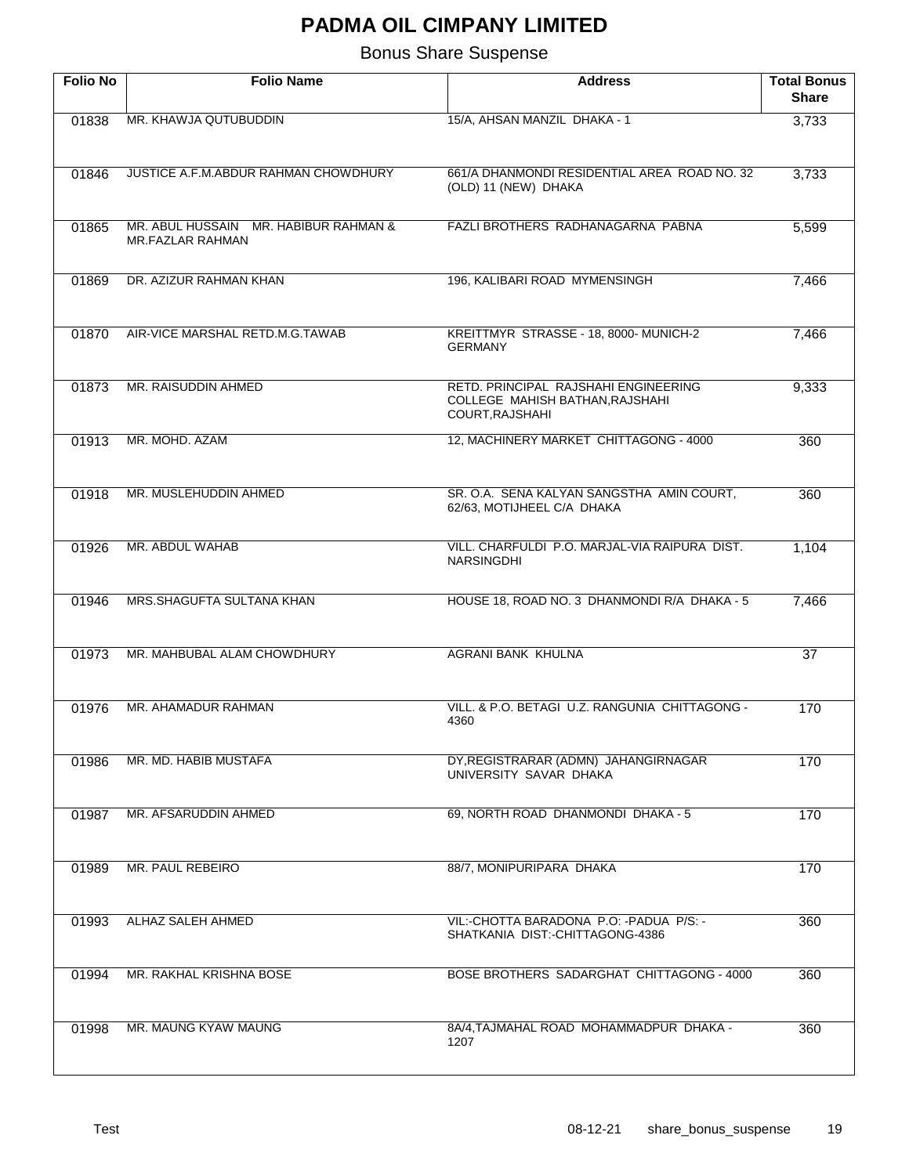| <b>Folio No</b> | <b>Folio Name</b>                                                | <b>Address</b>                                                                             | <b>Total Bonus</b><br><b>Share</b> |
|-----------------|------------------------------------------------------------------|--------------------------------------------------------------------------------------------|------------------------------------|
| 01838           | MR. KHAWJA QUTUBUDDIN                                            | 15/A, AHSAN MANZIL DHAKA - 1                                                               | 3,733                              |
| 01846           | JUSTICE A.F.M.ABDUR RAHMAN CHOWDHURY                             | 661/A DHANMONDI RESIDENTIAL AREA ROAD NO. 32<br>(OLD) 11 (NEW) DHAKA                       | 3,733                              |
| 01865           | MR. ABUL HUSSAIN MR. HABIBUR RAHMAN &<br><b>MR.FAZLAR RAHMAN</b> | FAZLI BROTHERS RADHANAGARNA PABNA                                                          | 5,599                              |
| 01869           | DR. AZIZUR RAHMAN KHAN                                           | 196, KALIBARI ROAD MYMENSINGH                                                              | 7,466                              |
| 01870           | AIR-VICE MARSHAL RETD.M.G.TAWAB                                  | KREITTMYR STRASSE - 18, 8000- MUNICH-2<br><b>GERMANY</b>                                   | 7,466                              |
| 01873           | MR. RAISUDDIN AHMED                                              | RETD, PRINCIPAL RAJSHAHI ENGINEERING<br>COLLEGE MAHISH BATHAN, RAJSHAHI<br>COURT, RAJSHAHI | 9,333                              |
| 01913           | MR. MOHD, AZAM                                                   | 12, MACHINERY MARKET CHITTAGONG - 4000                                                     | 360                                |
| 01918           | MR. MUSLEHUDDIN AHMED                                            | SR. O.A. SENA KALYAN SANGSTHA AMIN COURT,<br>62/63, MOTIJHEEL C/A DHAKA                    | 360                                |
| 01926           | MR. ABDUL WAHAB                                                  | VILL. CHARFULDI P.O. MARJAL-VIA RAIPURA DIST.<br><b>NARSINGDHI</b>                         | 1,104                              |
| 01946           | MRS. SHAGUFTA SULTANA KHAN                                       | HOUSE 18, ROAD NO. 3 DHANMONDI R/A DHAKA - 5                                               | 7,466                              |
| 01973           | MR. MAHBUBAL ALAM CHOWDHURY                                      | <b>AGRANI BANK KHULNA</b>                                                                  | 37                                 |
| 01976           | MR. AHAMADUR RAHMAN                                              | VILL, & P.O. BETAGI U.Z. RANGUNIA CHITTAGONG -<br>4360                                     | 170                                |
| 01986           | MR. MD. HABIB MUSTAFA                                            | DY, REGISTRARAR (ADMN) JAHANGIRNAGAR<br>UNIVERSITY SAVAR DHAKA                             | 170                                |
| 01987           | MR. AFSARUDDIN AHMED                                             | 69, NORTH ROAD DHANMONDI DHAKA - 5                                                         | 170                                |
| 01989           | MR. PAUL REBEIRO                                                 | 88/7, MONIPURIPARA DHAKA                                                                   | 170                                |
| 01993           | <b>ALHAZ SALEH AHMED</b>                                         | VIL: CHOTTA BARADONA P.O. - PADUA P/S. -<br>SHATKANIA DIST:-CHITTAGONG-4386                | 360                                |
| 01994           | MR. RAKHAL KRISHNA BOSE                                          | BOSE BROTHERS SADARGHAT CHITTAGONG - 4000                                                  | 360                                |
| 01998           | MR. MAUNG KYAW MAUNG                                             | 8A/4, TAJMAHAL ROAD MOHAMMADPUR DHAKA -<br>1207                                            | 360                                |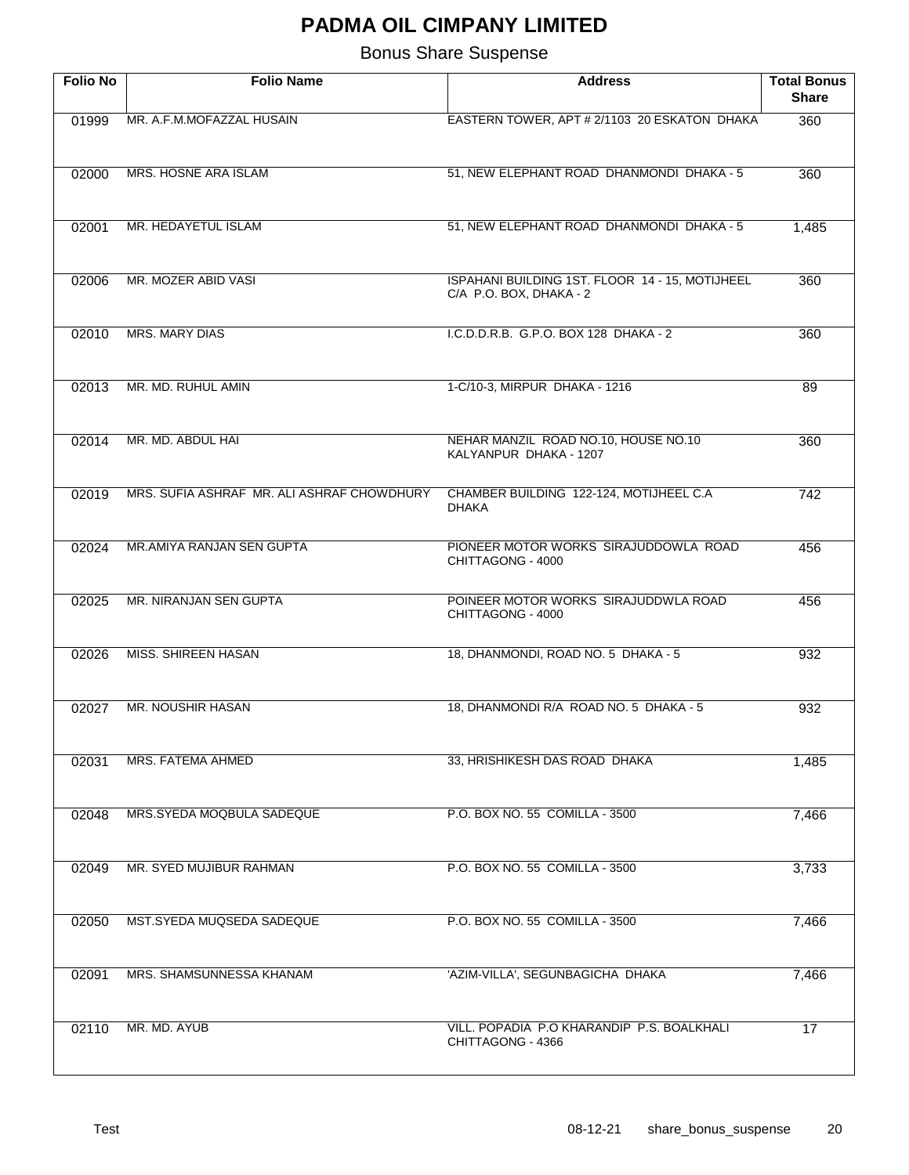| <b>Folio No</b> | <b>Folio Name</b>                          | <b>Address</b>                                                             | <b>Total Bonus</b><br><b>Share</b> |
|-----------------|--------------------------------------------|----------------------------------------------------------------------------|------------------------------------|
| 01999           | MR. A.F.M.MOFAZZAL HUSAIN                  | EASTERN TOWER, APT # 2/1103 20 ESKATON DHAKA                               | 360                                |
| 02000           | <b>MRS. HOSNE ARA ISLAM</b>                | 51, NEW ELEPHANT ROAD DHANMONDI DHAKA - 5                                  | 360                                |
| 02001           | MR. HEDAYETUL ISLAM                        | 51, NEW ELEPHANT ROAD DHANMONDI DHAKA - 5                                  | 1,485                              |
| 02006           | MR. MOZER ABID VASI                        | ISPAHANI BUILDING 1ST. FLOOR 14 - 15, MOTIJHEEL<br>C/A P.O. BOX, DHAKA - 2 | 360                                |
| 02010           | <b>MRS. MARY DIAS</b>                      | I.C.D.D.R.B. G.P.O. BOX 128 DHAKA - 2                                      | 360                                |
| 02013           | MR. MD. RUHUL AMIN                         | 1-C/10-3, MIRPUR DHAKA - 1216                                              | 89                                 |
| 02014           | MR. MD. ABDUL HAI                          | NEHAR MANZIL ROAD NO.10, HOUSE NO.10<br>KALYANPUR DHAKA - 1207             | 360                                |
| 02019           | MRS. SUFIA ASHRAF MR. ALI ASHRAF CHOWDHURY | CHAMBER BUILDING 122-124, MOTIJHEEL C.A<br><b>DHAKA</b>                    | 742                                |
| 02024           | <b>MR.AMIYA RANJAN SEN GUPTA</b>           | PIONEER MOTOR WORKS SIRAJUDDOWLA ROAD<br>CHITTAGONG - 4000                 | 456                                |
| 02025           | MR. NIRANJAN SEN GUPTA                     | POINEER MOTOR WORKS SIRAJUDDWLA ROAD<br>CHITTAGONG - 4000                  | 456                                |
| 02026           | <b>MISS. SHIREEN HASAN</b>                 | 18, DHANMONDI, ROAD NO. 5 DHAKA - 5                                        | 932                                |
| 02027           | MR. NOUSHIR HASAN                          | 18, DHANMONDI R/A ROAD NO. 5 DHAKA - 5                                     | 932                                |
| 02031           | MRS. FATEMA AHMED                          | 33, HRISHIKESH DAS ROAD DHAKA                                              | 1,485                              |
| 02048           | MRS.SYEDA MOQBULA SADEQUE                  | P.O. BOX NO. 55 COMILLA - 3500                                             | 7,466                              |
| 02049           | MR. SYED MUJIBUR RAHMAN                    | P.O. BOX NO. 55 COMILLA - 3500                                             | 3,733                              |
| 02050           | MST.SYEDA MUQSEDA SADEQUE                  | P.O. BOX NO. 55 COMILLA - 3500                                             | 7,466                              |
| 02091           | MRS. SHAMSUNNESSA KHANAM                   | 'AZIM-VILLA', SEGUNBAGICHA DHAKA                                           | 7,466                              |
| 02110           | MR. MD. AYUB                               | VILL. POPADIA P.O KHARANDIP P.S. BOALKHALI<br>CHITTAGONG - 4366            | 17                                 |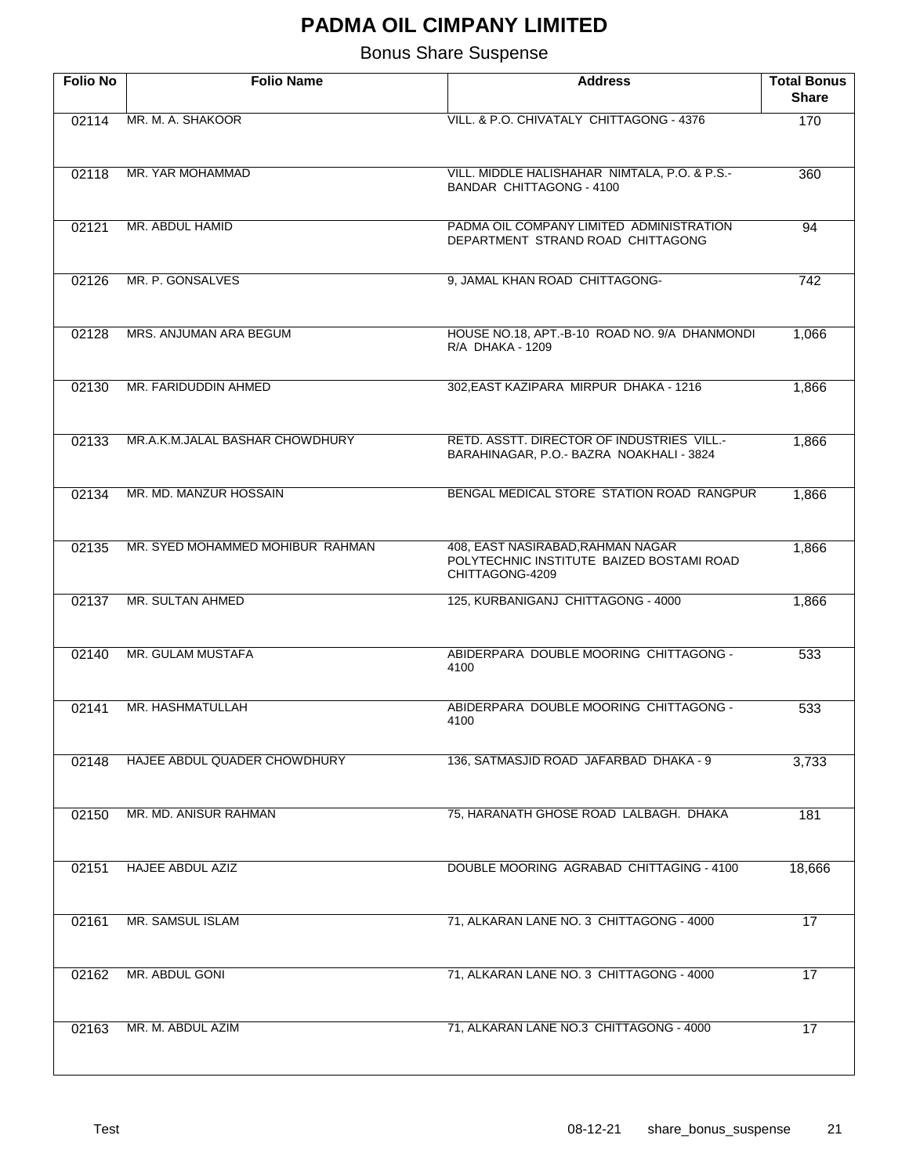| <b>Folio No</b> | <b>Folio Name</b>                | <b>Address</b>                                                                                    | <b>Total Bonus</b><br><b>Share</b> |
|-----------------|----------------------------------|---------------------------------------------------------------------------------------------------|------------------------------------|
| 02114           | MR. M. A. SHAKOOR                | VILL. & P.O. CHIVATALY CHITTAGONG - 4376                                                          | 170                                |
| 02118           | MR. YAR MOHAMMAD                 | VILL. MIDDLE HALISHAHAR NIMTALA, P.O. & P.S.-<br>BANDAR CHITTAGONG - 4100                         | 360                                |
| 02121           | MR. ABDUL HAMID                  | PADMA OIL COMPANY LIMITED ADMINISTRATION<br>DEPARTMENT STRAND ROAD CHITTAGONG                     | 94                                 |
| 02126           | MR. P. GONSALVES                 | 9, JAMAL KHAN ROAD CHITTAGONG-                                                                    | 742                                |
| 02128           | MRS. ANJUMAN ARA BEGUM           | HOUSE NO.18, APT.-B-10 ROAD NO. 9/A DHANMONDI<br>R/A DHAKA - 1209                                 | 1,066                              |
| 02130           | MR. FARIDUDDIN AHMED             | 302, EAST KAZIPARA MIRPUR DHAKA - 1216                                                            | 1,866                              |
| 02133           | MR.A.K.M.JALAL BASHAR CHOWDHURY  | <b>RETD. ASSTT. DIRECTOR OF INDUSTRIES VILL.-</b><br>BARAHINAGAR, P.O.- BAZRA NOAKHALI - 3824     | 1,866                              |
| 02134           | MR. MD. MANZUR HOSSAIN           | BENGAL MEDICAL STORE STATION ROAD RANGPUR                                                         | 1,866                              |
| 02135           | MR. SYED MOHAMMED MOHIBUR RAHMAN | 408, EAST NASIRABAD, RAHMAN NAGAR<br>POLYTECHNIC INSTITUTE BAIZED BOSTAMI ROAD<br>CHITTAGONG-4209 | 1,866                              |
| 02137           | MR. SULTAN AHMED                 | 125, KURBANIGANJ CHITTAGONG - 4000                                                                | 1,866                              |
| 02140           | MR. GULAM MUSTAFA                | ABIDERPARA DOUBLE MOORING CHITTAGONG -<br>4100                                                    | 533                                |
| 02141           | MR. HASHMATULLAH                 | ABIDERPARA DOUBLE MOORING CHITTAGONG -<br>4100                                                    | 533                                |
| 02148           | HAJEE ABDUL QUADER CHOWDHURY     | 136, SATMASJID ROAD JAFARBAD DHAKA - 9                                                            | 3,733                              |
| 02150           | MR. MD. ANISUR RAHMAN            | 75, HARANATH GHOSE ROAD LALBAGH. DHAKA                                                            | 181                                |
| 02151           | <b>HAJEE ABDUL AZIZ</b>          | DOUBLE MOORING AGRABAD CHITTAGING - 4100                                                          | 18,666                             |
| 02161           | MR. SAMSUL ISLAM                 | 71, ALKARAN LANE NO. 3 CHITTAGONG - 4000                                                          | 17                                 |
| 02162           | MR. ABDUL GONI                   | 71, ALKARAN LANE NO. 3 CHITTAGONG - 4000                                                          | 17                                 |
| 02163           | MR. M. ABDUL AZIM                | 71, ALKARAN LANE NO.3 CHITTAGONG - 4000                                                           | 17                                 |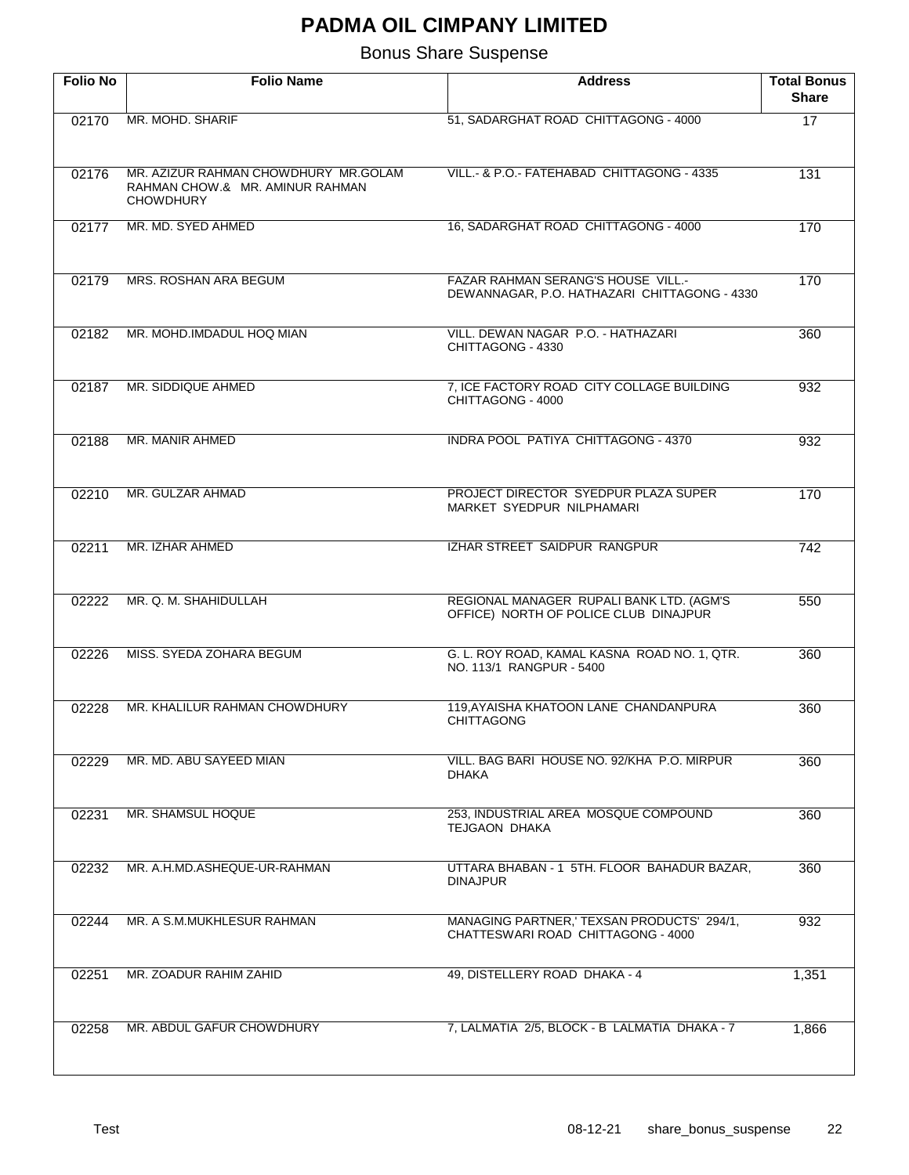| <b>Folio No</b> | <b>Folio Name</b>                                                                           | <b>Address</b>                                                                            | <b>Total Bonus</b><br>Share |
|-----------------|---------------------------------------------------------------------------------------------|-------------------------------------------------------------------------------------------|-----------------------------|
| 02170           | MR. MOHD, SHARIF                                                                            | 51, SADARGHAT ROAD CHITTAGONG - 4000                                                      | 17                          |
| 02176           | MR. AZIZUR RAHMAN CHOWDHURY MR.GOLAM<br>RAHMAN CHOW.& MR. AMINUR RAHMAN<br><b>CHOWDHURY</b> | VILL.- & P.O.- FATEHABAD CHITTAGONG - 4335                                                | 131                         |
| 02177           | MR. MD. SYED AHMED                                                                          | 16, SADARGHAT ROAD CHITTAGONG - 4000                                                      | 170                         |
| 02179           | MRS. ROSHAN ARA BEGUM                                                                       | <b>FAZAR RAHMAN SERANG'S HOUSE VILL.-</b><br>DEWANNAGAR, P.O. HATHAZARI CHITTAGONG - 4330 | 170                         |
| 02182           | MR. MOHD.IMDADUL HOQ MIAN                                                                   | VILL. DEWAN NAGAR P.O. - HATHAZARI<br>CHITTAGONG - 4330                                   | 360                         |
| 02187           | MR. SIDDIQUE AHMED                                                                          | 7, ICE FACTORY ROAD CITY COLLAGE BUILDING<br>CHITTAGONG - 4000                            | 932                         |
| 02188           | MR. MANIR AHMED                                                                             | <b>INDRA POOL PATIYA CHITTAGONG - 4370</b>                                                | 932                         |
| 02210           | MR. GULZAR AHMAD                                                                            | PROJECT DIRECTOR SYEDPUR PLAZA SUPER<br>MARKET SYEDPUR NILPHAMARI                         | 170                         |
| 02211           | MR. IZHAR AHMED                                                                             | IZHAR STREET SAIDPUR RANGPUR                                                              | $\overline{742}$            |
| 02222           | MR. Q. M. SHAHIDULLAH                                                                       | REGIONAL MANAGER RUPALI BANK LTD. (AGM'S<br>OFFICE) NORTH OF POLICE CLUB DINAJPUR         | 550                         |
| 02226           | MISS. SYEDA ZOHARA BEGUM                                                                    | G. L. ROY ROAD, KAMAL KASNA ROAD NO. 1, QTR.<br>NO. 113/1 RANGPUR - 5400                  | 360                         |
| 02228           | MR. KHALILUR RAHMAN CHOWDHURY                                                               | 119, AYAISHA KHATOON LANE CHANDANPURA<br><b>CHITTAGONG</b>                                | 360                         |
| 02229           | MR. MD. ABU SAYEED MIAN                                                                     | VILL, BAG BARI HOUSE NO. 92/KHA P.O. MIRPUR<br>DHAKA                                      | 360                         |
| 02231           | MR. SHAMSUL HOQUE                                                                           | 253. INDUSTRIAL AREA MOSQUE COMPOUND<br>TEJGAON DHAKA                                     | 360                         |
| 02232           | MR. A.H.MD.ASHEQUE-UR-RAHMAN                                                                | UTTARA BHABAN - 1 5TH. FLOOR BAHADUR BAZAR,<br><b>DINAJPUR</b>                            | 360                         |
| 02244           | MR. A S.M.MUKHLESUR RAHMAN                                                                  | MANAGING PARTNER,' TEXSAN PRODUCTS' 294/1,<br>CHATTESWARI ROAD CHITTAGONG - 4000          | 932                         |
| 02251           | MR. ZOADUR RAHIM ZAHID                                                                      | 49, DISTELLERY ROAD DHAKA - 4                                                             | 1,351                       |
| 02258           | MR. ABDUL GAFUR CHOWDHURY                                                                   | 7, LALMATIA 2/5, BLOCK - B LALMATIA DHAKA - 7                                             | 1,866                       |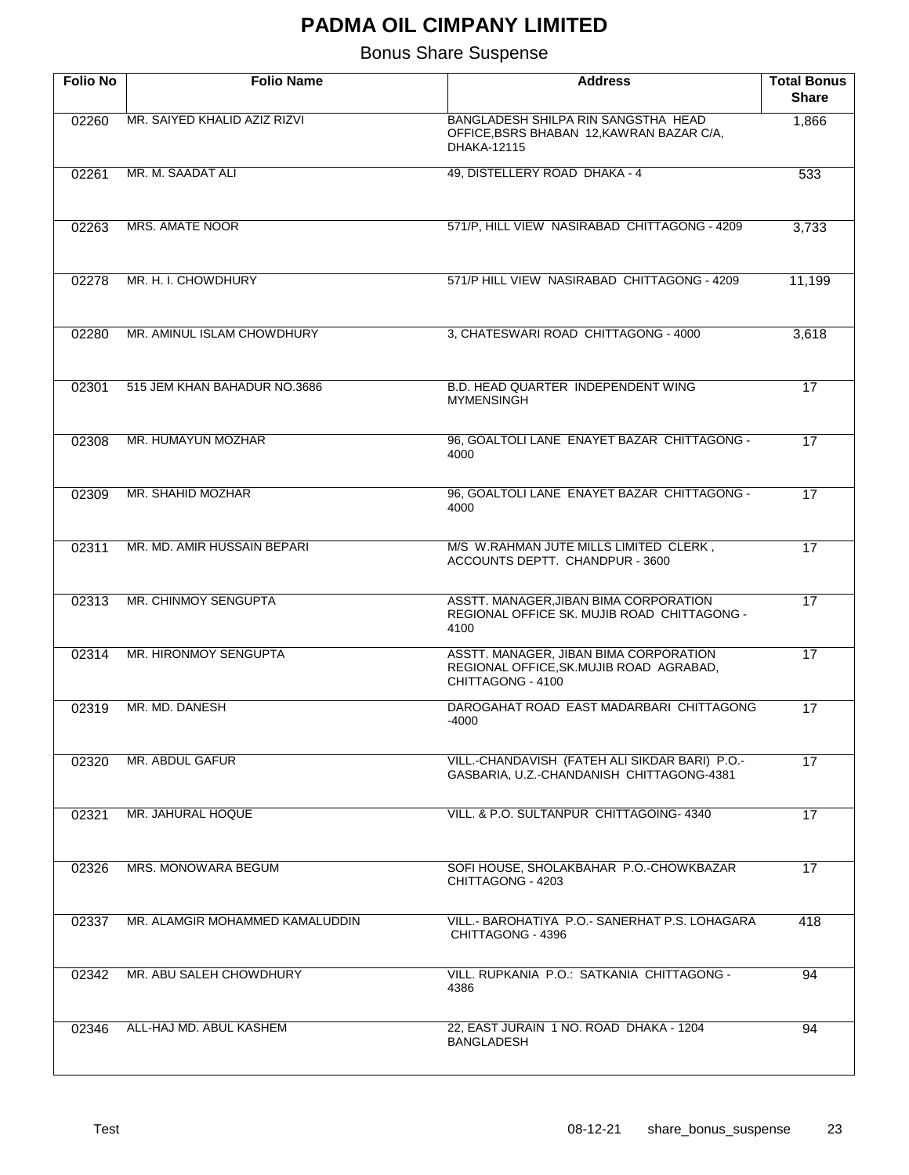| <b>Folio No</b> | <b>Folio Name</b>               | <b>Address</b>                                                                                          | <b>Total Bonus</b><br><b>Share</b> |
|-----------------|---------------------------------|---------------------------------------------------------------------------------------------------------|------------------------------------|
| 02260           | MR. SAIYED KHALID AZIZ RIZVI    | BANGLADESH SHILPA RIN SANGSTHA HEAD<br>OFFICE, BSRS BHABAN 12, KAWRAN BAZAR C/A,<br>DHAKA-12115         | 1,866                              |
| 02261           | MR. M. SAADAT ALI               | 49, DISTELLERY ROAD DHAKA - 4                                                                           | 533                                |
| 02263           | MRS. AMATE NOOR                 | 571/P, HILL VIEW NASIRABAD CHITTAGONG - 4209                                                            | 3,733                              |
| 02278           | MR. H. I. CHOWDHURY             | 571/P HILL VIEW NASIRABAD CHITTAGONG - 4209                                                             | 11,199                             |
| 02280           | MR. AMINUL ISLAM CHOWDHURY      | 3, CHATESWARI ROAD CHITTAGONG - 4000                                                                    | 3,618                              |
| 02301           | 515 JEM KHAN BAHADUR NO.3686    | B.D. HEAD QUARTER INDEPENDENT WING<br><b>MYMENSINGH</b>                                                 | 17                                 |
| 02308           | MR. HUMAYUN MOZHAR              | 96, GOALTOLI LANE ENAYET BAZAR CHITTAGONG -<br>4000                                                     | 17                                 |
| 02309           | MR. SHAHID MOZHAR               | 96, GOALTOLI LANE ENAYET BAZAR CHITTAGONG -<br>4000                                                     | 17                                 |
| 02311           | MR. MD. AMIR HUSSAIN BEPARI     | M/S W.RAHMAN JUTE MILLS LIMITED CLERK,<br>ACCOUNTS DEPTT. CHANDPUR - 3600                               | 17                                 |
| 02313           | MR. CHINMOY SENGUPTA            | ASSTT. MANAGER, JIBAN BIMA CORPORATION<br>REGIONAL OFFICE SK. MUJIB ROAD CHITTAGONG -<br>4100           | 17                                 |
| 02314           | <b>MR. HIRONMOY SENGUPTA</b>    | ASSTT. MANAGER, JIBAN BIMA CORPORATION<br>REGIONAL OFFICE, SK. MUJIB ROAD AGRABAD,<br>CHITTAGONG - 4100 | 17                                 |
| 02319           | MR. MD. DANESH                  | DAROGAHAT ROAD EAST MADARBARI CHITTAGONG<br>-4000                                                       | 17                                 |
| 02320           | MR. ABDUL GAFUR                 | VILL.-CHANDAVISH (FATEH ALI SIKDAR BARI) P.O.-<br>GASBARIA, U.Z.-CHANDANISH CHITTAGONG-4381             | 17                                 |
| 02321           | MR. JAHURAL HOQUE               | VILL. & P.O. SULTANPUR CHITTAGOING- 4340                                                                | 17                                 |
| 02326           | MRS. MONOWARA BEGUM             | SOFI HOUSE, SHOLAKBAHAR P.O.-CHOWKBAZAR<br>CHITTAGONG - 4203                                            | 17                                 |
| 02337           | MR. ALAMGIR MOHAMMED KAMALUDDIN | VILL.- BAROHATIYA P.O.- SANERHAT P.S. LOHAGARA<br>CHITTAGONG - 4396                                     | 418                                |
| 02342           | MR. ABU SALEH CHOWDHURY         | VILL. RUPKANIA P.O.: SATKANIA CHITTAGONG -<br>4386                                                      | 94                                 |
| 02346           | ALL-HAJ MD. ABUL KASHEM         | 22, EAST JURAIN 1 NO. ROAD DHAKA - 1204<br><b>BANGLADESH</b>                                            | 94                                 |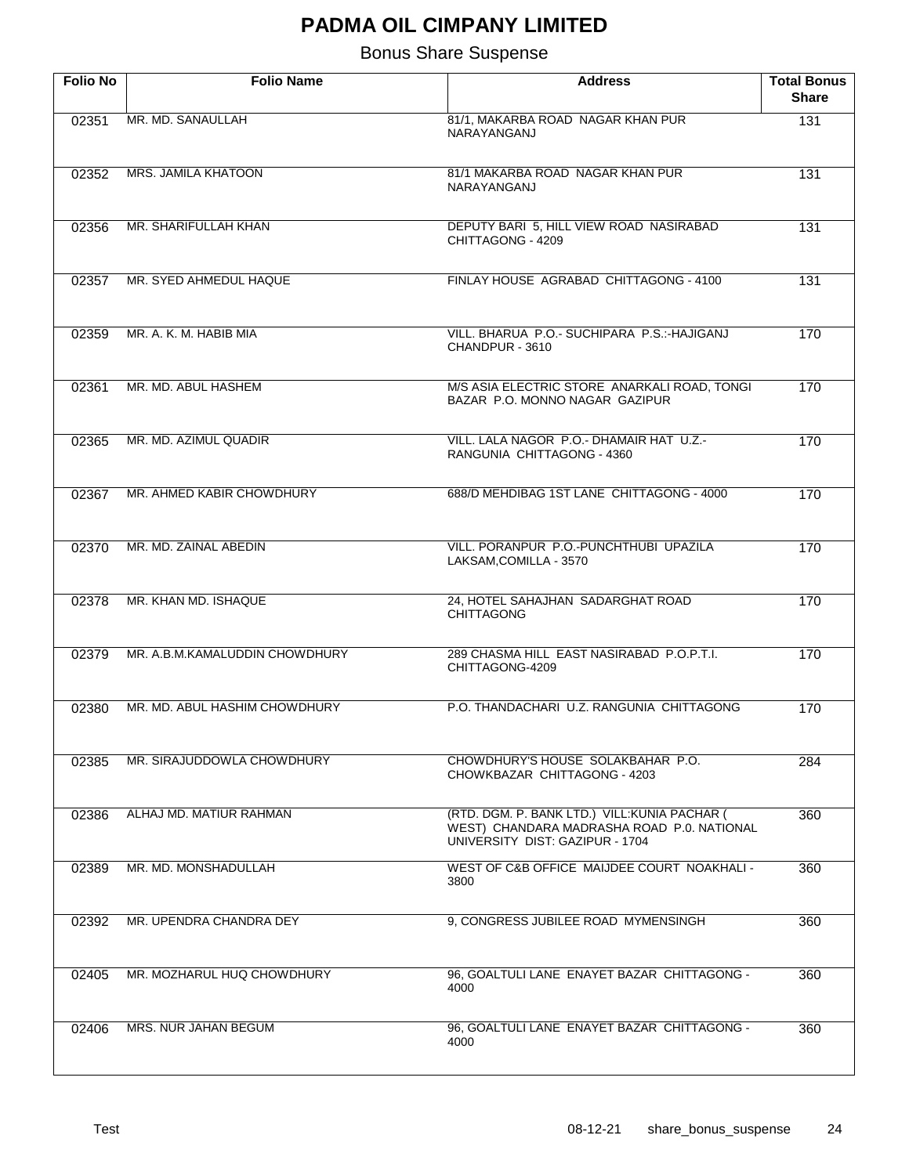| <b>Folio No</b> | <b>Folio Name</b>              | <b>Address</b>                                                                                                                 | <b>Total Bonus</b><br><b>Share</b> |
|-----------------|--------------------------------|--------------------------------------------------------------------------------------------------------------------------------|------------------------------------|
| 02351           | MR. MD. SANAULLAH              | 81/1, MAKARBA ROAD NAGAR KHAN PUR<br>NARAYANGANJ                                                                               | 131                                |
| 02352           | MRS. JAMILA KHATOON            | 81/1 MAKARBA ROAD NAGAR KHAN PUR<br>NARAYANGANJ                                                                                | 131                                |
| 02356           | MR. SHARIFULLAH KHAN           | DEPUTY BARI 5, HILL VIEW ROAD NASIRABAD<br>CHITTAGONG - 4209                                                                   | 131                                |
| 02357           | MR. SYED AHMEDUL HAQUE         | FINLAY HOUSE AGRABAD CHITTAGONG - 4100                                                                                         | 131                                |
| 02359           | MR. A. K. M. HABIB MIA         | VILL. BHARUA P.O.- SUCHIPARA P.S.:-HAJIGANJ<br>CHANDPUR - 3610                                                                 | 170                                |
| 02361           | MR. MD. ABUL HASHEM            | M/S ASIA ELECTRIC STORE ANARKALI ROAD, TONGI<br>BAZAR P.O. MONNO NAGAR GAZIPUR                                                 | 170                                |
| 02365           | MR. MD. AZIMUL QUADIR          | VILL, LALA NAGOR P.O.- DHAMAIR HAT U.Z.-<br>RANGUNIA CHITTAGONG - 4360                                                         | 170                                |
| 02367           | MR. AHMED KABIR CHOWDHURY      | 688/D MEHDIBAG 1ST LANE CHITTAGONG - 4000                                                                                      | 170                                |
| 02370           | MR. MD. ZAINAL ABEDIN          | VILL, PORANPUR P.O.-PUNCHTHUBI UPAZILA<br>LAKSAM, COMILLA - 3570                                                               | 170                                |
| 02378           | MR. KHAN MD. ISHAQUE           | 24, HOTEL SAHAJHAN SADARGHAT ROAD<br><b>CHITTAGONG</b>                                                                         | 170                                |
| 02379           | MR. A.B.M.KAMALUDDIN CHOWDHURY | 289 CHASMA HILL EAST NASIRABAD P.O.P.T.I.<br>CHITTAGONG-4209                                                                   | 170                                |
| 02380           | MR. MD. ABUL HASHIM CHOWDHURY  | P.O. THANDACHARI U.Z. RANGUNIA CHITTAGONG                                                                                      | 170                                |
| 02385           | MR. SIRAJUDDOWLA CHOWDHURY     | CHOWDHURY'S HOUSE SOLAKBAHAR P.O.<br>CHOWKBAZAR CHITTAGONG - 4203                                                              | 284                                |
| 02386           | ALHAJ MD. MATIUR RAHMAN        | (RTD. DGM. P. BANK LTD.) VILL: KUNIA PACHAR (<br>WEST) CHANDARA MADRASHA ROAD P.0. NATIONAL<br>UNIVERSITY DIST: GAZIPUR - 1704 | 360                                |
| 02389           | MR. MD. MONSHADULLAH           | WEST OF C&B OFFICE MAIJDEE COURT NOAKHALI -<br>3800                                                                            | 360                                |
| 02392           | MR. UPENDRA CHANDRA DEY        | 9, CONGRESS JUBILEE ROAD MYMENSINGH                                                                                            | 360                                |
| 02405           | MR. MOZHARUL HUQ CHOWDHURY     | 96, GOALTULI LANE ENAYET BAZAR CHITTAGONG -<br>4000                                                                            | 360                                |
| 02406           | MRS. NUR JAHAN BEGUM           | 96, GOALTULI LANE ENAYET BAZAR CHITTAGONG -<br>4000                                                                            | 360                                |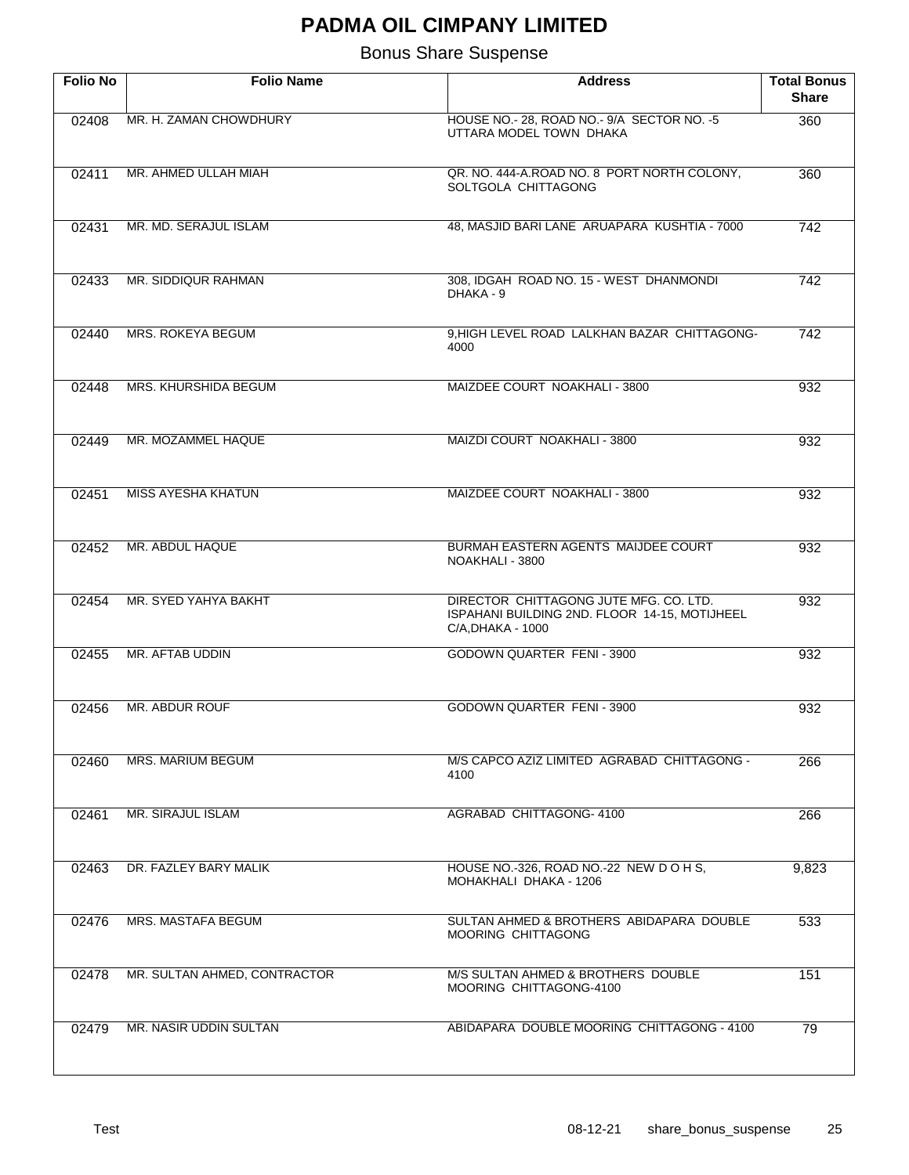| <b>Folio No</b> | <b>Folio Name</b>            | <b>Address</b>                                                                                               | <b>Total Bonus</b><br><b>Share</b> |
|-----------------|------------------------------|--------------------------------------------------------------------------------------------------------------|------------------------------------|
| 02408           | MR. H. ZAMAN CHOWDHURY       | HOUSE NO.- 28, ROAD NO.- 9/A SECTOR NO. - 5<br>UTTARA MODEL TOWN DHAKA                                       | 360                                |
| 02411           | MR. AHMED ULLAH MIAH         | QR. NO. 444-A.ROAD NO. 8 PORT NORTH COLONY,<br>SOLTGOLA CHITTAGONG                                           | 360                                |
| 02431           | MR. MD. SERAJUL ISLAM        | 48, MASJID BARI LANE ARUAPARA KUSHTIA - 7000                                                                 | 742                                |
| 02433           | MR. SIDDIQUR RAHMAN          | 308, IDGAH ROAD NO. 15 - WEST DHANMONDI<br>DHAKA - 9                                                         | 742                                |
| 02440           | MRS. ROKEYA BEGUM            | 9.HIGH LEVEL ROAD LALKHAN BAZAR CHITTAGONG-<br>4000                                                          | $\overline{742}$                   |
| 02448           | MRS. KHURSHIDA BEGUM         | MAIZDEE COURT NOAKHALI - 3800                                                                                | 932                                |
| 02449           | MR. MOZAMMEL HAQUE           | MAIZDI COURT NOAKHALI - 3800                                                                                 | 932                                |
| 02451           | <b>MISS AYESHA KHATUN</b>    | MAIZDEE COURT NOAKHALI - 3800                                                                                | 932                                |
| 02452           | MR. ABDUL HAQUE              | BURMAH EASTERN AGENTS MAIJDEE COURT<br>NOAKHALI - 3800                                                       | 932                                |
| 02454           | MR. SYED YAHYA BAKHT         | DIRECTOR CHITTAGONG JUTE MFG. CO. LTD.<br>ISPAHANI BUILDING 2ND. FLOOR 14-15, MOTIJHEEL<br>C/A, DHAKA - 1000 | 932                                |
| 02455           | MR. AFTAB UDDIN              | GODOWN QUARTER FENI - 3900                                                                                   | 932                                |
| 02456           | MR. ABDUR ROUF               | GODOWN QUARTER FENI - 3900                                                                                   | 932                                |
| 02460           | <b>MRS. MARIUM BEGUM</b>     | M/S CAPCO AZIZ LIMITED AGRABAD CHITTAGONG -<br>4100                                                          | 266                                |
| 02461           | MR. SIRAJUL ISLAM            | <b>AGRABAD CHITTAGONG-4100</b>                                                                               | 266                                |
| 02463           | DR. FAZLEY BARY MALIK        | HOUSE NO.-326, ROAD NO.-22 NEW DOHS,<br>MOHAKHALI DHAKA - 1206                                               | 9,823                              |
| 02476           | <b>MRS. MASTAFA BEGUM</b>    | SULTAN AHMED & BROTHERS ABIDAPARA DOUBLE<br><b>MOORING CHITTAGONG</b>                                        | 533                                |
| 02478           | MR. SULTAN AHMED, CONTRACTOR | M/S SULTAN AHMED & BROTHERS DOUBLE<br>MOORING CHITTAGONG-4100                                                | 151                                |
| 02479           | MR. NASIR UDDIN SULTAN       | ABIDAPARA DOUBLE MOORING CHITTAGONG - 4100                                                                   | 79                                 |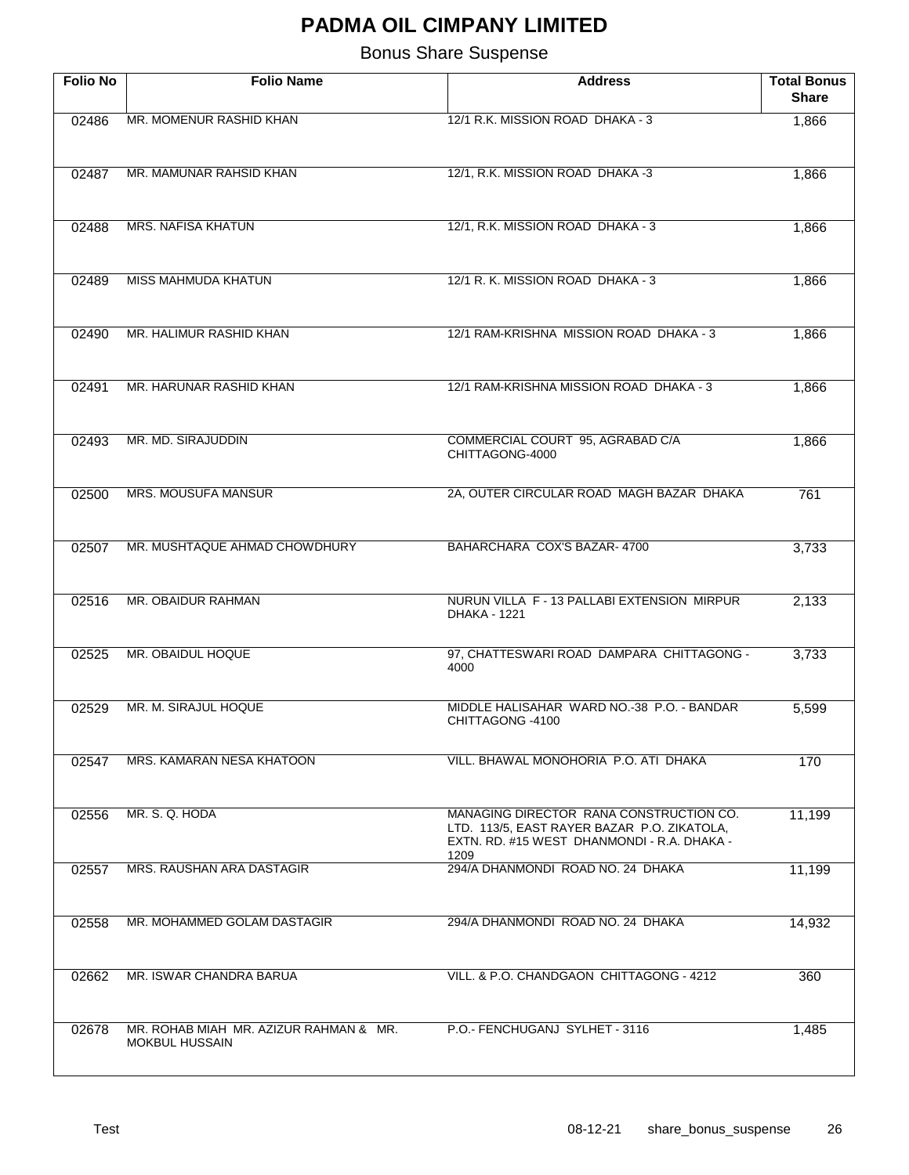| <b>Folio No</b> | <b>Folio Name</b>                                               | <b>Address</b>                                                                                                                        | <b>Total Bonus</b><br><b>Share</b> |
|-----------------|-----------------------------------------------------------------|---------------------------------------------------------------------------------------------------------------------------------------|------------------------------------|
| 02486           | MR. MOMENUR RASHID KHAN                                         | 12/1 R.K. MISSION ROAD DHAKA - 3                                                                                                      | 1,866                              |
| 02487           | MR. MAMUNAR RAHSID KHAN                                         | 12/1, R.K. MISSION ROAD DHAKA -3                                                                                                      | 1,866                              |
| 02488           | <b>MRS. NAFISA KHATUN</b>                                       | 12/1, R.K. MISSION ROAD DHAKA - 3                                                                                                     | 1,866                              |
| 02489           | <b>MISS MAHMUDA KHATUN</b>                                      | 12/1 R. K. MISSION ROAD DHAKA - 3                                                                                                     | 1,866                              |
| 02490           | MR. HALIMUR RASHID KHAN                                         | 12/1 RAM-KRISHNA MISSION ROAD DHAKA - 3                                                                                               | 1,866                              |
| 02491           | MR. HARUNAR RASHID KHAN                                         | 12/1 RAM-KRISHNA MISSION ROAD DHAKA - 3                                                                                               | 1,866                              |
| 02493           | MR. MD. SIRAJUDDIN                                              | COMMERCIAL COURT 95, AGRABAD C/A<br>CHITTAGONG-4000                                                                                   | 1,866                              |
| 02500           | <b>MRS. MOUSUFA MANSUR</b>                                      | 2A, OUTER CIRCULAR ROAD MAGH BAZAR DHAKA                                                                                              | 761                                |
| 02507           | MR. MUSHTAQUE AHMAD CHOWDHURY                                   | BAHARCHARA COX'S BAZAR- 4700                                                                                                          | 3,733                              |
| 02516           | MR. OBAIDUR RAHMAN                                              | NURUN VILLA F - 13 PALLABI EXTENSION MIRPUR<br>DHAKA - 1221                                                                           | 2,133                              |
| 02525           | MR. OBAIDUL HOQUE                                               | 97, CHATTESWARI ROAD DAMPARA CHITTAGONG -<br>4000                                                                                     | 3,733                              |
| 02529           | MR. M. SIRAJUL HOQUE                                            | MIDDLE HALISAHAR WARD NO.-38 P.O. - BANDAR<br>CHITTAGONG -4100                                                                        | 5,599                              |
| 02547           | MRS. KAMARAN NESA KHATOON                                       | VILL, BHAWAL MONOHORIA P.O. ATI DHAKA                                                                                                 | 170                                |
| 02556           | MR. S. Q. HODA                                                  | MANAGING DIRECTOR RANA CONSTRUCTION CO.<br>LTD. 113/5, EAST RAYER BAZAR P.O. ZIKATOLA,<br>EXTN. RD. #15 WEST DHANMONDI - R.A. DHAKA - | 11,199                             |
| 02557           | MRS. RAUSHAN ARA DASTAGIR                                       | 1209<br>294/A DHANMONDI ROAD NO. 24 DHAKA                                                                                             | 11,199                             |
| 02558           | MR. MOHAMMED GOLAM DASTAGIR                                     | 294/A DHANMONDI ROAD NO. 24 DHAKA                                                                                                     | 14,932                             |
| 02662           | MR. ISWAR CHANDRA BARUA                                         | VILL. & P.O. CHANDGAON CHITTAGONG - 4212                                                                                              | 360                                |
| 02678           | MR. ROHAB MIAH MR. AZIZUR RAHMAN & MR.<br><b>MOKBUL HUSSAIN</b> | P.O.- FENCHUGANJ SYLHET - 3116                                                                                                        | 1,485                              |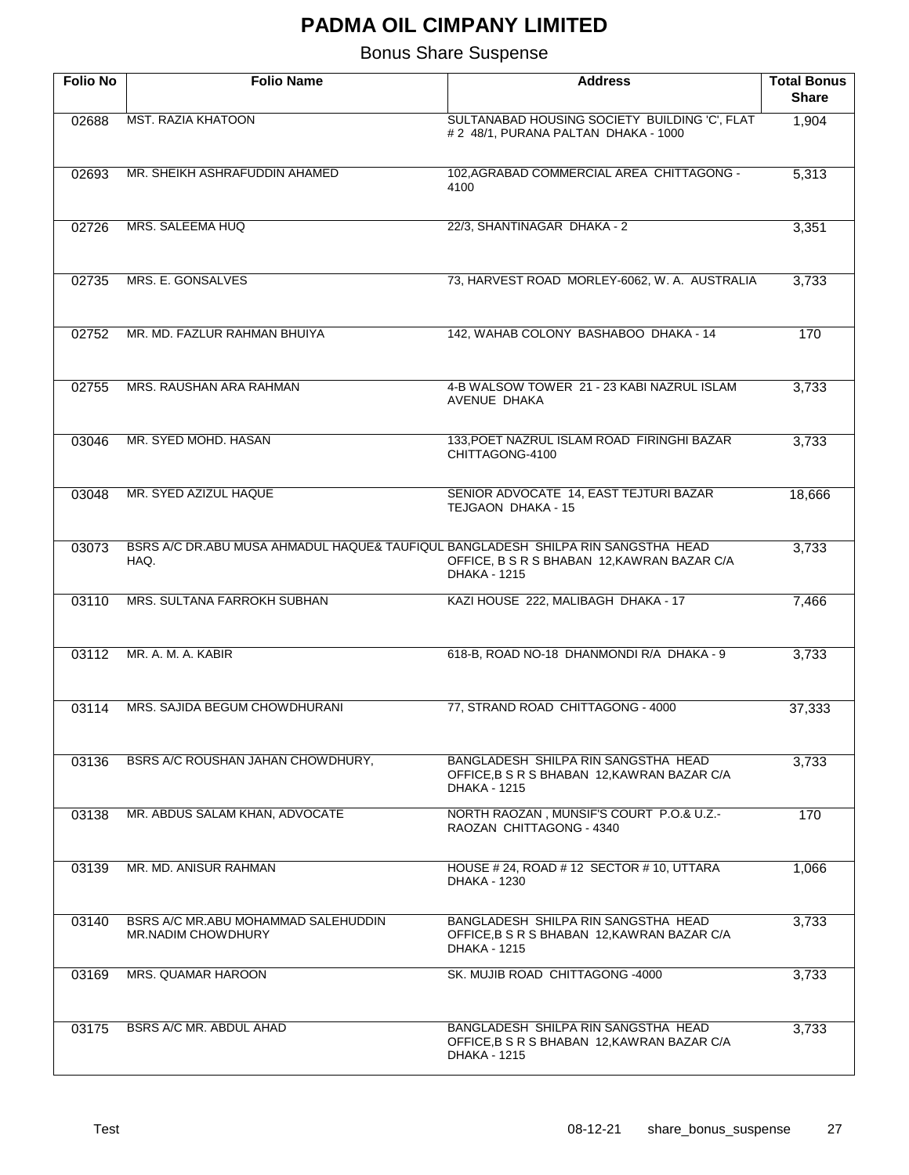| <b>Folio No</b> | <b>Folio Name</b>                                                                        | <b>Address</b>                                                                                            | <b>Total Bonus</b><br><b>Share</b> |
|-----------------|------------------------------------------------------------------------------------------|-----------------------------------------------------------------------------------------------------------|------------------------------------|
| 02688           | <b>MST. RAZIA KHATOON</b>                                                                | SULTANABAD HOUSING SOCIETY BUILDING 'C', FLAT<br># 2 48/1, PURANA PALTAN DHAKA - 1000                     | 1,904                              |
| 02693           | MR. SHEIKH ASHRAFUDDIN AHAMED                                                            | 102, AGRABAD COMMERCIAL AREA CHITTAGONG -<br>4100                                                         | 5,313                              |
| 02726           | MRS. SALEEMA HUQ                                                                         | 22/3, SHANTINAGAR DHAKA - 2                                                                               | 3,351                              |
| 02735           | MRS. E. GONSALVES                                                                        | 73, HARVEST ROAD MORLEY-6062, W. A. AUSTRALIA                                                             | 3,733                              |
| 02752           | MR. MD. FAZLUR RAHMAN BHUIYA                                                             | 142, WAHAB COLONY BASHABOO DHAKA - 14                                                                     | 170                                |
| 02755           | MRS. RAUSHAN ARA RAHMAN                                                                  | 4-B WALSOW TOWER 21 - 23 KABI NAZRUL ISLAM<br>AVENUE DHAKA                                                | 3,733                              |
| 03046           | MR. SYED MOHD. HASAN                                                                     | 133, POET NAZRUL ISLAM ROAD FIRINGHI BAZAR<br>CHITTAGONG-4100                                             | 3,733                              |
| 03048           | MR. SYED AZIZUL HAQUE                                                                    | SENIOR ADVOCATE 14, EAST TEJTURI BAZAR<br>TEJGAON DHAKA - 15                                              | 18,666                             |
| 03073           | BSRS A/C DR.ABU MUSA AHMADUL HAQUE& TAUFIQUL BANGLADESH SHILPA RIN SANGSTHA HEAD<br>HAQ. | OFFICE, B S R S BHABAN 12, KAWRAN BAZAR C/A<br><b>DHAKA - 1215</b>                                        | 3,733                              |
| 03110           | MRS. SULTANA FARROKH SUBHAN                                                              | KAZI HOUSE 222, MALIBAGH DHAKA - 17                                                                       | 7,466                              |
| 03112           | MR. A. M. A. KABIR                                                                       | 618-B, ROAD NO-18 DHANMONDI R/A DHAKA - 9                                                                 | 3,733                              |
| 03114           | MRS. SAJIDA BEGUM CHOWDHURANI                                                            | 77, STRAND ROAD CHITTAGONG - 4000                                                                         | 37,333                             |
| 03136           | BSRS A/C ROUSHAN JAHAN CHOWDHURY,                                                        | BANGLADESH SHILPA RIN SANGSTHA HEAD<br>OFFICE, B S R S BHABAN 12, KAWRAN BAZAR C/A<br>DHAKA - 1215        | 3,733                              |
| 03138           | MR. ABDUS SALAM KHAN, ADVOCATE                                                           | NORTH RAOZAN, MUNSIF'S COURT P.O.& U.Z.-<br>RAOZAN CHITTAGONG - 4340                                      | 170                                |
| 03139           | MR. MD. ANISUR RAHMAN                                                                    | HOUSE # 24, ROAD # 12 SECTOR # 10, UTTARA<br>DHAKA - 1230                                                 | 1,066                              |
| 03140           | BSRS A/C MR.ABU MOHAMMAD SALEHUDDIN<br>MR.NADIM CHOWDHURY                                | BANGLADESH SHILPA RIN SANGSTHA HEAD<br>OFFICE, B S R S BHABAN 12, KAWRAN BAZAR C/A<br><b>DHAKA - 1215</b> | 3,733                              |
| 03169           | MRS. QUAMAR HAROON                                                                       | SK. MUJIB ROAD CHITTAGONG -4000                                                                           | 3,733                              |
| 03175           | BSRS A/C MR. ABDUL AHAD                                                                  | BANGLADESH SHILPA RIN SANGSTHA HEAD<br>OFFICE, B S R S BHABAN 12, KAWRAN BAZAR C/A<br>DHAKA - 1215        | 3,733                              |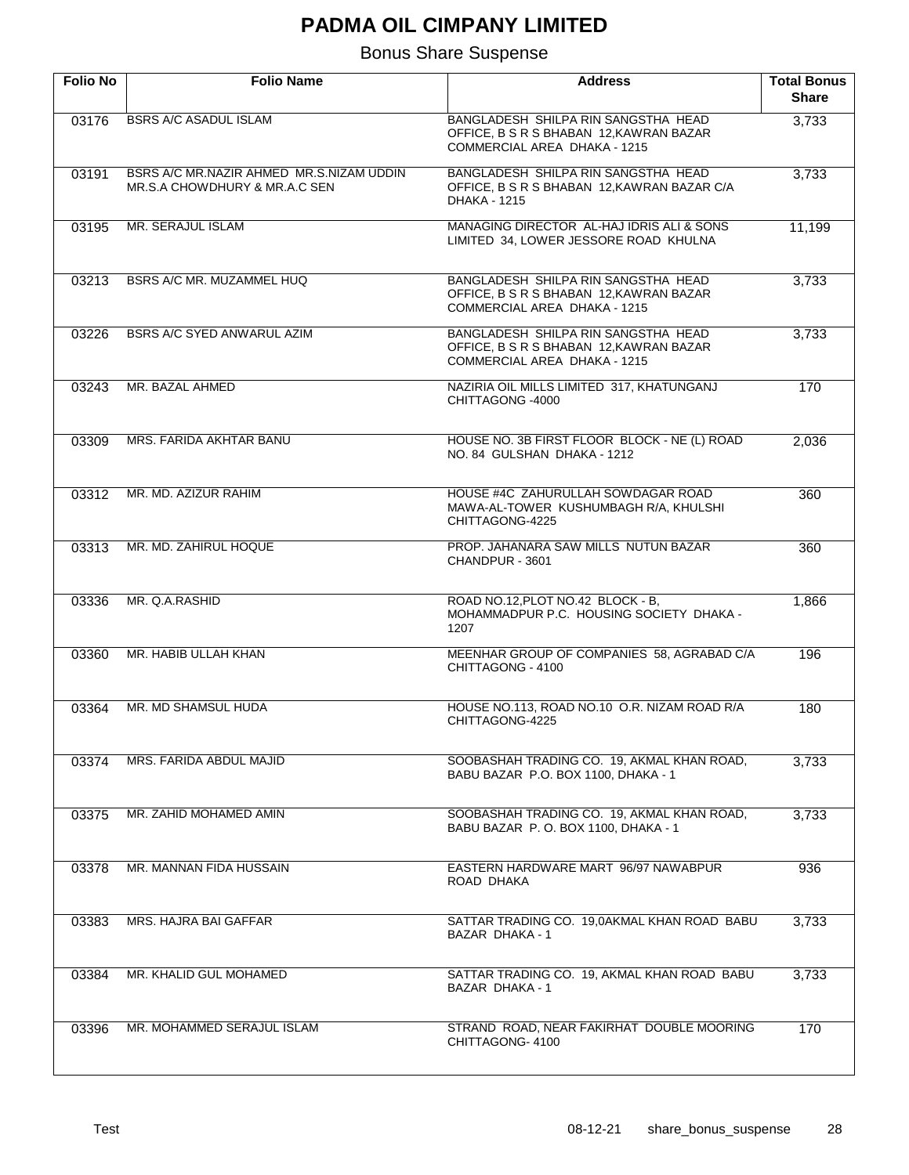| <b>Folio No</b> | <b>Folio Name</b>                                                         | <b>Address</b>                                                                                                 | <b>Total Bonus</b><br><b>Share</b> |
|-----------------|---------------------------------------------------------------------------|----------------------------------------------------------------------------------------------------------------|------------------------------------|
| 03176           | <b>BSRS A/C ASADUL ISLAM</b>                                              | BANGLADESH SHILPA RIN SANGSTHA HEAD<br>OFFICE, B S R S BHABAN 12, KAWRAN BAZAR<br>COMMERCIAL AREA DHAKA - 1215 | 3,733                              |
| 03191           | BSRS A/C MR.NAZIR AHMED MR.S.NIZAM UDDIN<br>MR.S.A CHOWDHURY & MR.A.C SEN | BANGLADESH SHILPA RIN SANGSTHA HEAD<br>OFFICE, B S R S BHABAN 12, KAWRAN BAZAR C/A<br>DHAKA - 1215             | 3,733                              |
| 03195           | MR. SERAJUL ISLAM                                                         | MANAGING DIRECTOR AL-HAJ IDRIS ALI & SONS<br>LIMITED 34, LOWER JESSORE ROAD KHULNA                             | 11,199                             |
| 03213           | BSRS A/C MR. MUZAMMEL HUQ                                                 | BANGLADESH SHILPA RIN SANGSTHA HEAD<br>OFFICE, B S R S BHABAN 12, KAWRAN BAZAR<br>COMMERCIAL AREA DHAKA - 1215 | 3,733                              |
| 03226           | BSRS A/C SYED ANWARUL AZIM                                                | BANGLADESH SHILPA RIN SANGSTHA HEAD<br>OFFICE, B S R S BHABAN 12, KAWRAN BAZAR<br>COMMERCIAL AREA DHAKA - 1215 | 3,733                              |
| 03243           | MR. BAZAL AHMED                                                           | NAZIRIA OIL MILLS LIMITED 317, KHATUNGANJ<br>CHITTAGONG -4000                                                  | 170                                |
| 03309           | MRS. FARIDA AKHTAR BANU                                                   | HOUSE NO. 3B FIRST FLOOR BLOCK - NE (L) ROAD<br>NO. 84 GULSHAN DHAKA - 1212                                    | 2,036                              |
| 03312           | MR. MD. AZIZUR RAHIM                                                      | HOUSE #4C ZAHURULLAH SOWDAGAR ROAD<br>MAWA-AL-TOWER KUSHUMBAGH R/A, KHULSHI<br>CHITTAGONG-4225                 | 360                                |
| 03313           | MR. MD. ZAHIRUL HOQUE                                                     | PROP. JAHANARA SAW MILLS NUTUN BAZAR<br>CHANDPUR - 3601                                                        | 360                                |
| 03336           | MR. Q.A.RASHID                                                            | ROAD NO.12, PLOT NO.42 BLOCK - B.<br>MOHAMMADPUR P.C. HOUSING SOCIETY DHAKA -<br>1207                          | 1,866                              |
| 03360           | MR. HABIB ULLAH KHAN                                                      | MEENHAR GROUP OF COMPANIES 58, AGRABAD C/A<br>CHITTAGONG - 4100                                                | 196                                |
| 03364           | MR. MD SHAMSUL HUDA                                                       | HOUSE NO.113, ROAD NO.10 O.R. NIZAM ROAD R/A<br>CHITTAGONG-4225                                                | 180                                |
| 03374           | MRS. FARIDA ABDUL MAJID                                                   | SOOBASHAH TRADING CO. 19, AKMAL KHAN ROAD,<br>BABU BAZAR P.O. BOX 1100, DHAKA - 1                              | 3,733                              |
| 03375           | MR. ZAHID MOHAMED AMIN                                                    | SOOBASHAH TRADING CO. 19, AKMAL KHAN ROAD,<br>BABU BAZAR P.O. BOX 1100, DHAKA - 1                              | 3,733                              |
| 03378           | MR. MANNAN FIDA HUSSAIN                                                   | EASTERN HARDWARE MART 96/97 NAWABPUR<br>ROAD DHAKA                                                             | 936                                |
| 03383           | MRS. HAJRA BAI GAFFAR                                                     | SATTAR TRADING CO. 19,0AKMAL KHAN ROAD BABU<br>BAZAR DHAKA - 1                                                 | 3,733                              |
| 03384           | MR. KHALID GUL MOHAMED                                                    | SATTAR TRADING CO. 19, AKMAL KHAN ROAD BABU<br>BAZAR DHAKA - 1                                                 | 3,733                              |
| 03396           | MR. MOHAMMED SERAJUL ISLAM                                                | STRAND ROAD, NEAR FAKIRHAT DOUBLE MOORING<br>CHITTAGONG-4100                                                   | 170                                |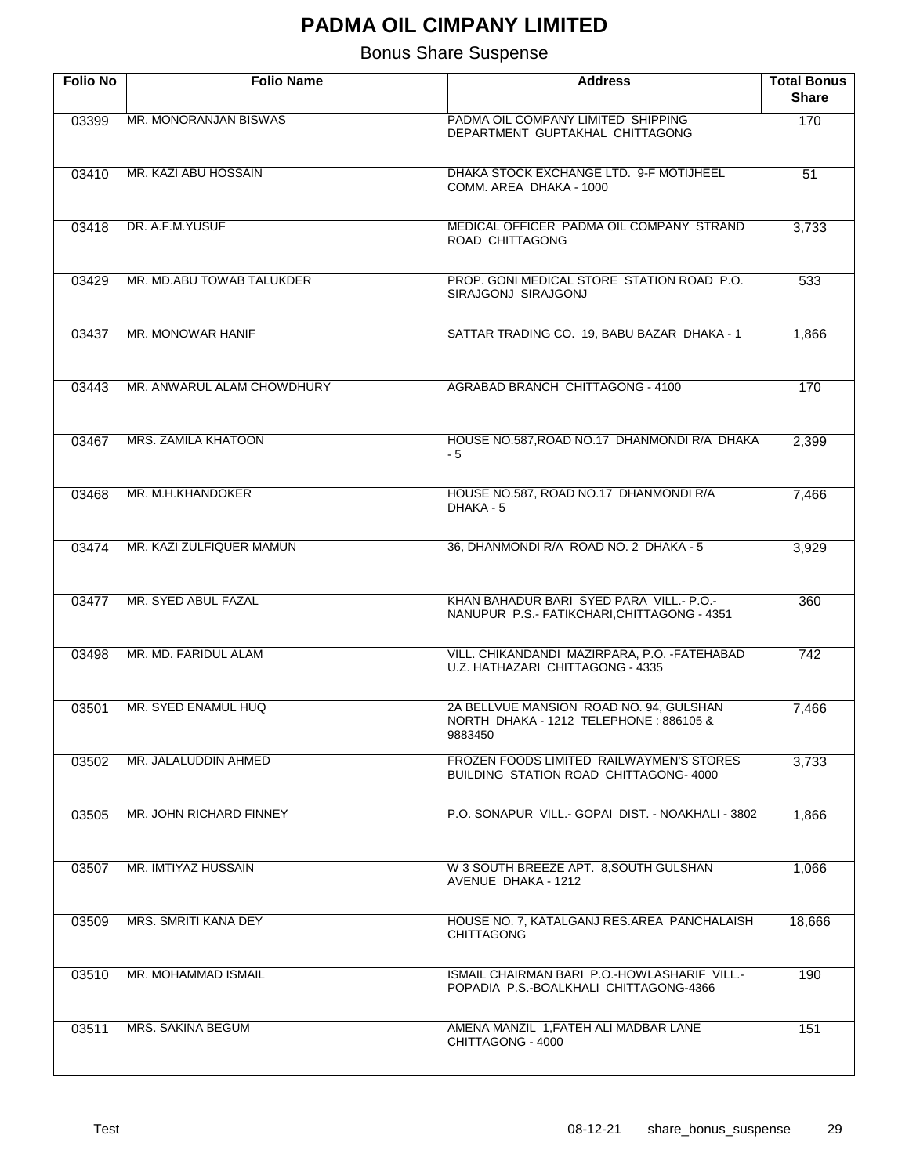| <b>Folio No</b> | <b>Folio Name</b>          | <b>Address</b>                                                                               | <b>Total Bonus</b><br><b>Share</b> |
|-----------------|----------------------------|----------------------------------------------------------------------------------------------|------------------------------------|
| 03399           | MR. MONORANJAN BISWAS      | PADMA OIL COMPANY LIMITED SHIPPING<br>DEPARTMENT GUPTAKHAL CHITTAGONG                        | 170                                |
| 03410           | MR. KAZI ABU HOSSAIN       | DHAKA STOCK EXCHANGE LTD. 9-F MOTIJHEEL<br>COMM. AREA DHAKA - 1000                           | $\overline{51}$                    |
| 03418           | DR. A.F.M.YUSUF            | MEDICAL OFFICER PADMA OIL COMPANY STRAND<br>ROAD CHITTAGONG                                  | 3,733                              |
| 03429           | MR. MD.ABU TOWAB TALUKDER  | PROP. GONI MEDICAL STORE STATION ROAD P.O.<br>SIRAJGONJ SIRAJGONJ                            | 533                                |
| 03437           | MR. MONOWAR HANIF          | SATTAR TRADING CO. 19, BABU BAZAR DHAKA - 1                                                  | 1,866                              |
| 03443           | MR. ANWARUL ALAM CHOWDHURY | <b>AGRABAD BRANCH CHITTAGONG - 4100</b>                                                      | 170                                |
| 03467           | <b>MRS. ZAMILA KHATOON</b> | HOUSE NO.587, ROAD NO.17 DHANMONDI R/A DHAKA<br>- 5                                          | 2,399                              |
| 03468           | MR. M.H.KHANDOKER          | HOUSE NO.587, ROAD NO.17 DHANMONDI R/A<br>DHAKA - 5                                          | 7,466                              |
| 03474           | MR. KAZI ZULFIQUER MAMUN   | 36, DHANMONDI R/A ROAD NO. 2 DHAKA - 5                                                       | 3,929                              |
| 03477           | MR. SYED ABUL FAZAL        | KHAN BAHADUR BARI SYED PARA VILL.- P.O.-<br>NANUPUR P.S.- FATIKCHARI, CHITTAGONG - 4351      | 360                                |
| 03498           | MR. MD. FARIDUL ALAM       | VILL. CHIKANDANDI MAZIRPARA, P.O. -FATEHABAD<br>U.Z. HATHAZARI CHITTAGONG - 4335             | 742                                |
| 03501           | MR. SYED ENAMUL HUQ        | 2A BELLVUE MANSION ROAD NO. 94, GULSHAN<br>NORTH DHAKA - 1212 TELEPHONE: 886105 &<br>9883450 | 7,466                              |
| 03502           | MR. JALALUDDIN AHMED       | FROZEN FOODS LIMITED RAILWAYMEN'S STORES<br><b>BUILDING STATION ROAD CHITTAGONG-4000</b>     | 3,733                              |
| 03505           | MR. JOHN RICHARD FINNEY    | P.O. SONAPUR VILL.- GOPAI DIST. - NOAKHALI - 3802                                            | 1,866                              |
| 03507           | MR. IMTIYAZ HUSSAIN        | W 3 SOUTH BREEZE APT. 8, SOUTH GULSHAN<br>AVENUE DHAKA - 1212                                | 1,066                              |
| 03509           | MRS. SMRITI KANA DEY       | HOUSE NO. 7, KATALGANJ RES.AREA PANCHALAISH<br><b>CHITTAGONG</b>                             | 18,666                             |
| 03510           | MR. MOHAMMAD ISMAIL        | ISMAIL CHAIRMAN BARI P.O.-HOWLASHARIF VILL.-<br>POPADIA P.S.-BOALKHALI CHITTAGONG-4366       | 190                                |
| 03511           | <b>MRS. SAKINA BEGUM</b>   | AMENA MANZIL 1, FATEH ALI MADBAR LANE<br>CHITTAGONG - 4000                                   | 151                                |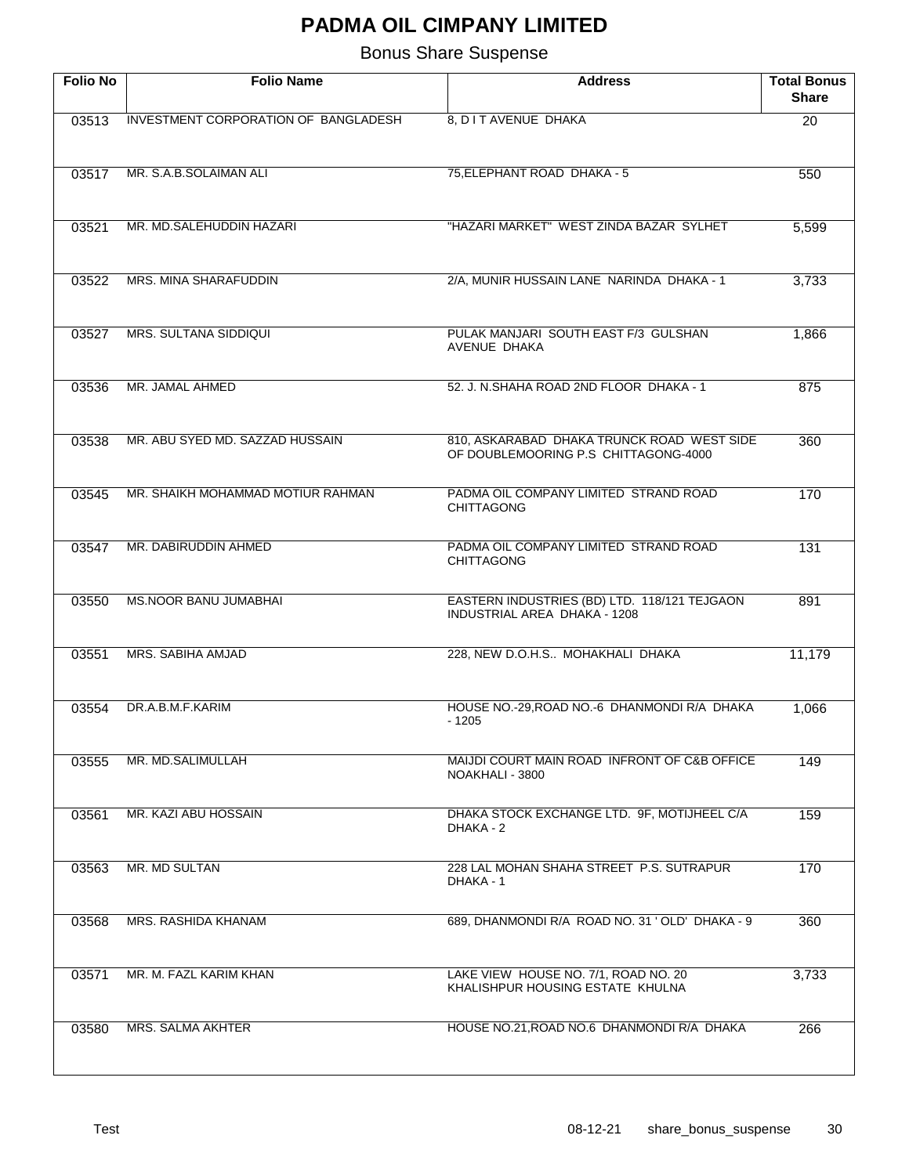| <b>Folio No</b> | <b>Folio Name</b>                    | <b>Address</b>                                                                     | <b>Total Bonus</b><br><b>Share</b> |
|-----------------|--------------------------------------|------------------------------------------------------------------------------------|------------------------------------|
| 03513           | INVESTMENT CORPORATION OF BANGLADESH | 8, D I T AVENUE DHAKA                                                              | $\overline{20}$                    |
| 03517           | MR. S.A.B.SOLAIMAN ALI               | 75, ELEPHANT ROAD DHAKA - 5                                                        | 550                                |
| 03521           | MR. MD.SALEHUDDIN HAZARI             | "HAZARI MARKET" WEST ZINDA BAZAR SYLHET                                            | 5,599                              |
| 03522           | MRS. MINA SHARAFUDDIN                | 2/A, MUNIR HUSSAIN LANE NARINDA DHAKA - 1                                          | 3,733                              |
| 03527           | <b>MRS. SULTANA SIDDIQUI</b>         | PULAK MANJARI SOUTH EAST F/3 GULSHAN<br>AVENUE DHAKA                               | 1,866                              |
| 03536           | MR. JAMAL AHMED                      | 52. J. N. SHAHA ROAD 2ND FLOOR DHAKA - 1                                           | 875                                |
| 03538           | MR. ABU SYED MD. SAZZAD HUSSAIN      | 810, ASKARABAD DHAKA TRUNCK ROAD WEST SIDE<br>OF DOUBLEMOORING P.S CHITTAGONG-4000 | 360                                |
| 03545           | MR. SHAIKH MOHAMMAD MOTIUR RAHMAN    | PADMA OIL COMPANY LIMITED STRAND ROAD<br><b>CHITTAGONG</b>                         | 170                                |
| 03547           | MR. DABIRUDDIN AHMED                 | PADMA OIL COMPANY LIMITED STRAND ROAD<br><b>CHITTAGONG</b>                         | 131                                |
| 03550           | <b>MS.NOOR BANU JUMABHAI</b>         | EASTERN INDUSTRIES (BD) LTD. 118/121 TEJGAON<br>INDUSTRIAL AREA DHAKA - 1208       | 891                                |
| 03551           | <b>MRS. SABIHA AMJAD</b>             | 228, NEW D.O.H.S MOHAKHALI DHAKA                                                   | 11,179                             |
| 03554           | DR.A.B.M.F.KARIM                     | HOUSE NO.-29, ROAD NO.-6 DHANMONDI R/A DHAKA<br>$-1205$                            | 1,066                              |
| 03555           | MR. MD.SALIMULLAH                    | MAIJDI COURT MAIN ROAD INFRONT OF C&B OFFICE<br>NOAKHALI - 3800                    | 149                                |
| 03561           | MR. KAZI ABU HOSSAIN                 | DHAKA STOCK EXCHANGE LTD. 9F, MOTIJHEEL C/A<br>DHAKA - 2                           | 159                                |
| 03563           | MR. MD SULTAN                        | 228 LAL MOHAN SHAHA STREET P.S. SUTRAPUR<br>DHAKA - 1                              | 170                                |
| 03568           | MRS. RASHIDA KHANAM                  | 689, DHANMONDI R/A ROAD NO. 31 ' OLD' DHAKA - 9                                    | 360                                |
| 03571           | MR. M. FAZL KARIM KHAN               | LAKE VIEW HOUSE NO. 7/1, ROAD NO. 20<br>KHALISHPUR HOUSING ESTATE KHULNA           | 3,733                              |
| 03580           | MRS. SALMA AKHTER                    | HOUSE NO.21, ROAD NO.6 DHANMONDI R/A DHAKA                                         | 266                                |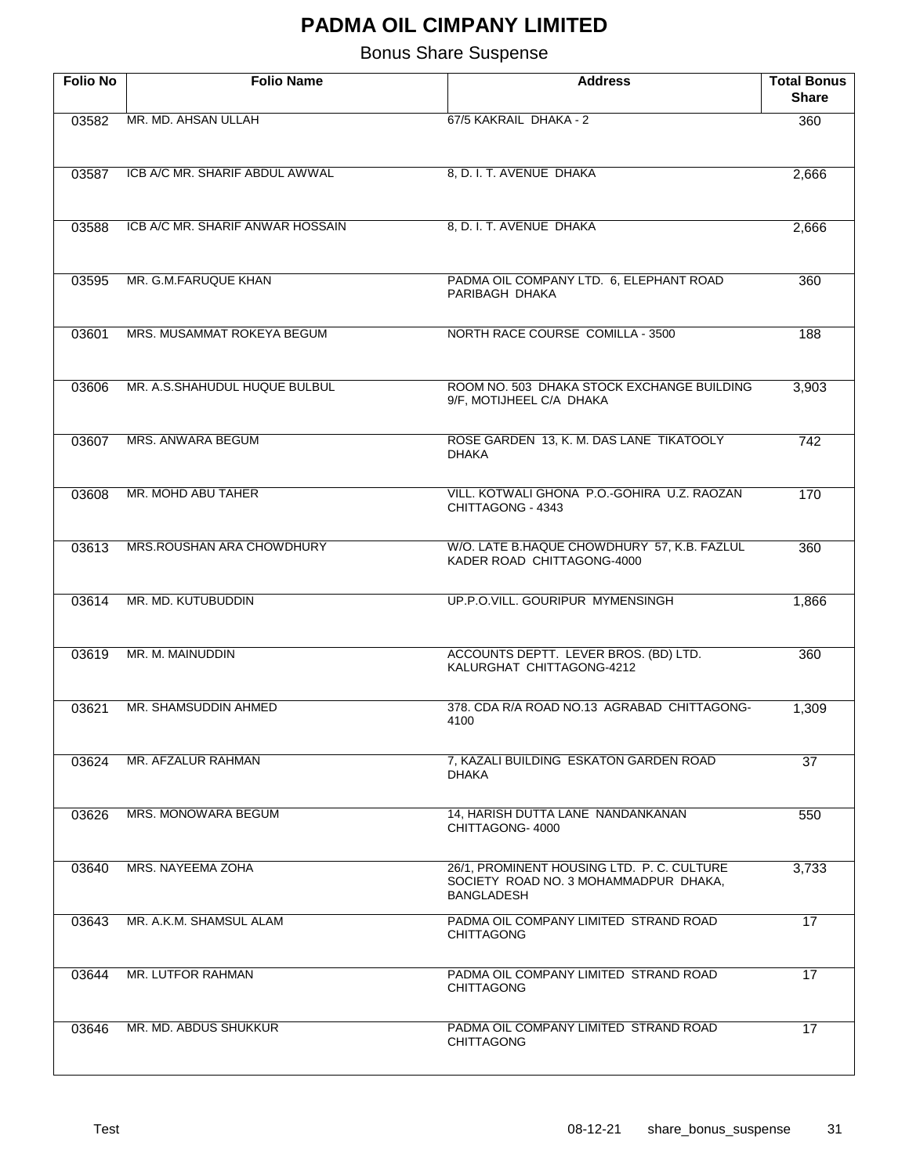| <b>Folio No</b> | <b>Folio Name</b>                | <b>Address</b>                                                                                           | <b>Total Bonus</b><br><b>Share</b> |
|-----------------|----------------------------------|----------------------------------------------------------------------------------------------------------|------------------------------------|
| 03582           | MR. MD. AHSAN ULLAH              | 67/5 KAKRAIL DHAKA - 2                                                                                   | 360                                |
| 03587           | ICB A/C MR. SHARIF ABDUL AWWAL   | 8, D. I. T. AVENUE DHAKA                                                                                 | 2,666                              |
| 03588           | ICB A/C MR. SHARIF ANWAR HOSSAIN | 8, D. I. T. AVENUE DHAKA                                                                                 | 2,666                              |
| 03595           | MR. G.M.FARUQUE KHAN             | PADMA OIL COMPANY LTD. 6, ELEPHANT ROAD<br>PARIBAGH DHAKA                                                | 360                                |
| 03601           | MRS. MUSAMMAT ROKEYA BEGUM       | NORTH RACE COURSE COMILLA - 3500                                                                         | 188                                |
| 03606           | MR. A.S.SHAHUDUL HUQUE BULBUL    | ROOM NO. 503 DHAKA STOCK EXCHANGE BUILDING<br>9/F, MOTIJHEEL C/A DHAKA                                   | 3,903                              |
| 03607           | <b>MRS. ANWARA BEGUM</b>         | ROSE GARDEN 13, K. M. DAS LANE TIKATOOLY<br><b>DHAKA</b>                                                 | $\overline{742}$                   |
| 03608           | MR. MOHD ABU TAHER               | VILL. KOTWALI GHONA P.O.-GOHIRA U.Z. RAOZAN<br>CHITTAGONG - 4343                                         | 170                                |
| 03613           | MRS.ROUSHAN ARA CHOWDHURY        | W/O. LATE B.HAQUE CHOWDHURY 57, K.B. FAZLUL<br>KADER ROAD CHITTAGONG-4000                                | 360                                |
| 03614           | MR. MD. KUTUBUDDIN               | UP.P.O.VILL. GOURIPUR MYMENSINGH                                                                         | 1,866                              |
| 03619           | MR. M. MAINUDDIN                 | ACCOUNTS DEPTT. LEVER BROS. (BD) LTD.<br>KALURGHAT CHITTAGONG-4212                                       | 360                                |
| 03621           | MR. SHAMSUDDIN AHMED             | 378. CDA R/A ROAD NO.13 AGRABAD CHITTAGONG-<br>4100                                                      | 1,309                              |
| 03624           | MR. AFZALUR RAHMAN               | 7, KAZALI BUILDING ESKATON GARDEN ROAD<br><b>DHAKA</b>                                                   | 37                                 |
| 03626           | MRS. MONOWARA BEGUM              | 14. HARISH DUTTA LANE NANDANKANAN<br>CHITTAGONG-4000                                                     | 550                                |
| 03640           | MRS. NAYEEMA ZOHA                | 26/1, PROMINENT HOUSING LTD. P. C. CULTURE<br>SOCIETY ROAD NO. 3 MOHAMMADPUR DHAKA,<br><b>BANGLADESH</b> | 3,733                              |
| 03643           | MR. A.K.M. SHAMSUL ALAM          | PADMA OIL COMPANY LIMITED STRAND ROAD<br><b>CHITTAGONG</b>                                               | 17                                 |
| 03644           | MR. LUTFOR RAHMAN                | PADMA OIL COMPANY LIMITED STRAND ROAD<br><b>CHITTAGONG</b>                                               | 17                                 |
| 03646           | MR. MD. ABDUS SHUKKUR            | PADMA OIL COMPANY LIMITED STRAND ROAD<br><b>CHITTAGONG</b>                                               | 17                                 |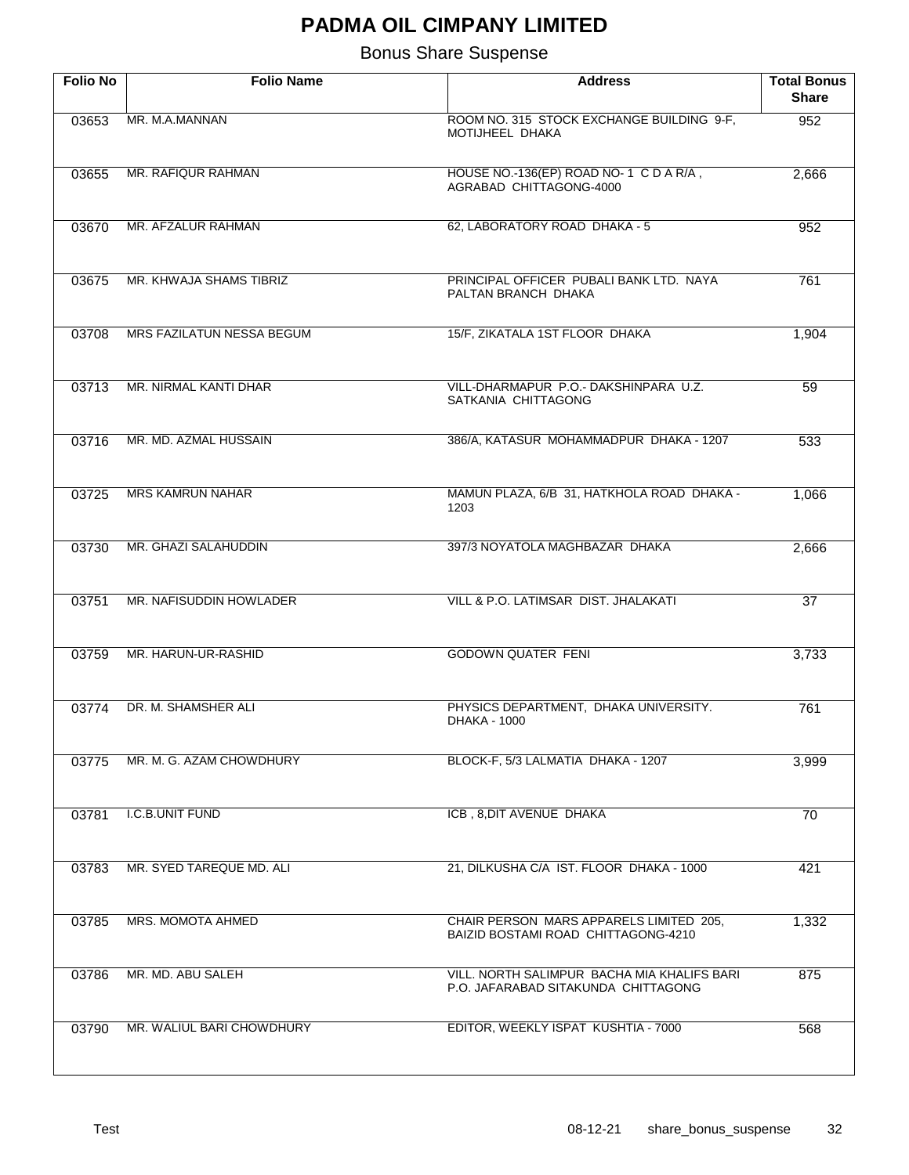| <b>Folio No</b> | <b>Folio Name</b>         | <b>Address</b>                                                                     | <b>Total Bonus</b><br><b>Share</b> |
|-----------------|---------------------------|------------------------------------------------------------------------------------|------------------------------------|
| 03653           | MR. M.A.MANNAN            | ROOM NO. 315 STOCK EXCHANGE BUILDING 9-F,<br>MOTIJHEEL DHAKA                       | 952                                |
| 03655           | MR. RAFIQUR RAHMAN        | HOUSE NO.-136(EP) ROAD NO-1 C D A R/A,<br>AGRABAD CHITTAGONG-4000                  | 2,666                              |
| 03670           | MR. AFZALUR RAHMAN        | 62, LABORATORY ROAD DHAKA - 5                                                      | 952                                |
| 03675           | MR. KHWAJA SHAMS TIBRIZ   | PRINCIPAL OFFICER PUBALI BANK LTD. NAYA<br>PALTAN BRANCH DHAKA                     | 761                                |
| 03708           | MRS FAZILATUN NESSA BEGUM | 15/F, ZIKATALA 1ST FLOOR DHAKA                                                     | 1,904                              |
| 03713           | MR. NIRMAL KANTI DHAR     | VILL-DHARMAPUR P.O.- DAKSHINPARA U.Z.<br>SATKANIA CHITTAGONG                       | $\overline{59}$                    |
| 03716           | MR. MD. AZMAL HUSSAIN     | 386/A, KATASUR MOHAMMADPUR DHAKA - 1207                                            | 533                                |
| 03725           | <b>MRS KAMRUN NAHAR</b>   | MAMUN PLAZA, 6/B 31, HATKHOLA ROAD DHAKA -<br>1203                                 | 1,066                              |
| 03730           | MR. GHAZI SALAHUDDIN      | 397/3 NOYATOLA MAGHBAZAR DHAKA                                                     | 2,666                              |
| 03751           | MR. NAFISUDDIN HOWLADER   | VILL & P.O. LATIMSAR DIST. JHALAKATI                                               | $\overline{37}$                    |
| 03759           | MR. HARUN-UR-RASHID       | <b>GODOWN QUATER FENI</b>                                                          | 3,733                              |
| 03774           | DR. M. SHAMSHER ALI       | PHYSICS DEPARTMENT, DHAKA UNIVERSITY.<br>DHAKA - 1000                              | 761                                |
| 03775           | MR. M. G. AZAM CHOWDHURY  | BLOCK-F, 5/3 LALMATIA DHAKA - 1207                                                 | 3,999                              |
| 03781           | I.C.B.UNIT FUND           | ICB, 8, DIT AVENUE DHAKA                                                           | 70                                 |
| 03783           | MR. SYED TAREQUE MD. ALI  | 21, DILKUSHA C/A IST. FLOOR DHAKA - 1000                                           | 421                                |
| 03785           | MRS. MOMOTA AHMED         | CHAIR PERSON MARS APPARELS LIMITED 205,<br>BAIZID BOSTAMI ROAD CHITTAGONG-4210     | 1,332                              |
| 03786           | MR. MD. ABU SALEH         | VILL. NORTH SALIMPUR BACHA MIA KHALIFS BARI<br>P.O. JAFARABAD SITAKUNDA CHITTAGONG | 875                                |
| 03790           | MR. WALIUL BARI CHOWDHURY | EDITOR, WEEKLY ISPAT KUSHTIA - 7000                                                | 568                                |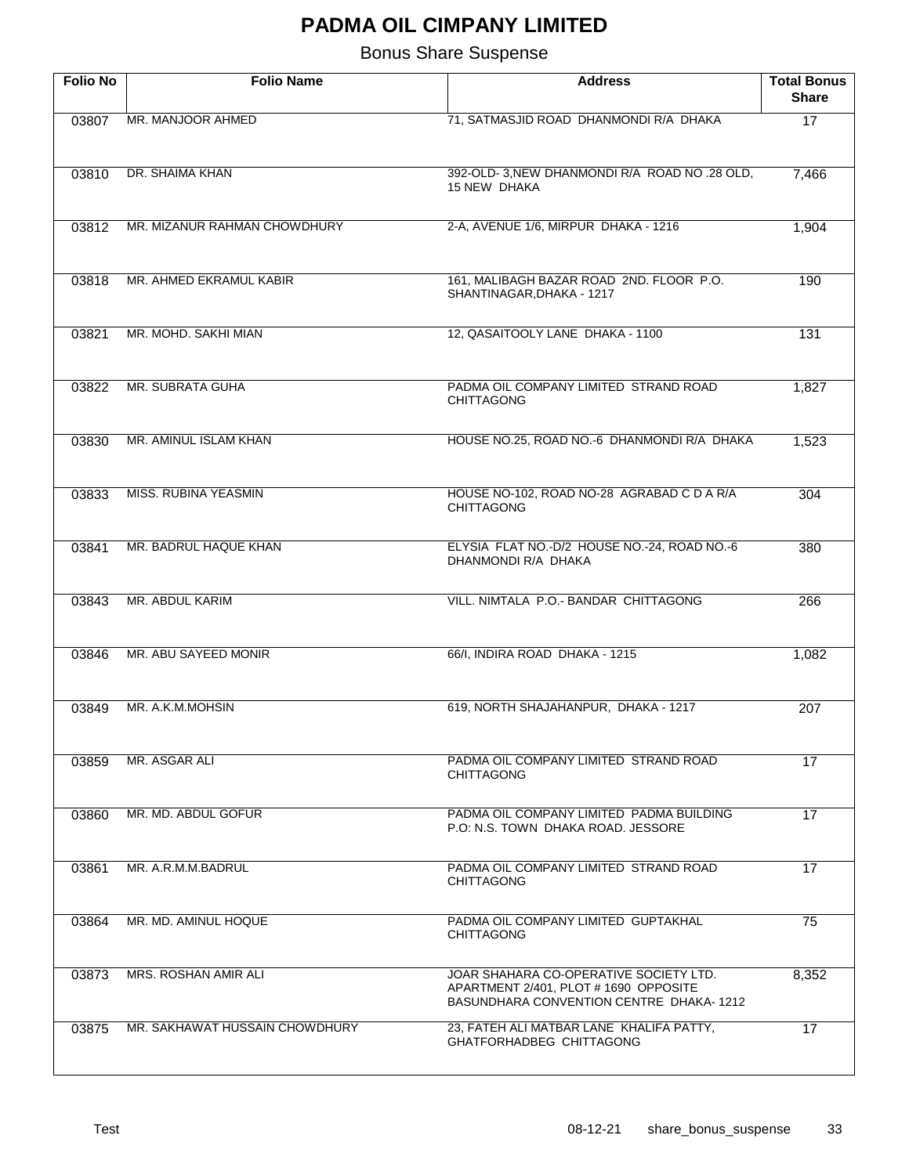| <b>Folio No</b> | <b>Folio Name</b>              | <b>Address</b>                                                                                                             | <b>Total Bonus</b><br><b>Share</b> |
|-----------------|--------------------------------|----------------------------------------------------------------------------------------------------------------------------|------------------------------------|
| 03807           | MR. MANJOOR AHMED              | 71, SATMASJID ROAD DHANMONDI R/A DHAKA                                                                                     | $\overline{17}$                    |
| 03810           | DR. SHAIMA KHAN                | 392-OLD-3, NEW DHANMONDI R/A ROAD NO .28 OLD,<br>15 NEW DHAKA                                                              | 7,466                              |
| 03812           | MR. MIZANUR RAHMAN CHOWDHURY   | 2-A, AVENUE 1/6, MIRPUR DHAKA - 1216                                                                                       | 1,904                              |
| 03818           | MR. AHMED EKRAMUL KABIR        | 161, MALIBAGH BAZAR ROAD 2ND. FLOOR P.O.<br>SHANTINAGAR, DHAKA - 1217                                                      | 190                                |
| 03821           | MR. MOHD. SAKHI MIAN           | 12, QASAITOOLY LANE DHAKA - 1100                                                                                           | 131                                |
| 03822           | MR. SUBRATA GUHA               | PADMA OIL COMPANY LIMITED STRAND ROAD<br><b>CHITTAGONG</b>                                                                 | 1,827                              |
| 03830           | MR. AMINUL ISLAM KHAN          | HOUSE NO.25, ROAD NO.-6 DHANMONDI R/A DHAKA                                                                                | 1,523                              |
| 03833           | <b>MISS. RUBINA YEASMIN</b>    | HOUSE NO-102, ROAD NO-28 AGRABAD C D A R/A<br><b>CHITTAGONG</b>                                                            | 304                                |
| 03841           | MR. BADRUL HAQUE KHAN          | ELYSIA FLAT NO.-D/2 HOUSE NO.-24, ROAD NO.-6<br>DHANMONDI R/A DHAKA                                                        | 380                                |
| 03843           | MR. ABDUL KARIM                | VILL. NIMTALA P.O.- BANDAR CHITTAGONG                                                                                      | 266                                |
| 03846           | MR. ABU SAYEED MONIR           | 66/I, INDIRA ROAD DHAKA - 1215                                                                                             | 1,082                              |
| 03849           | MR. A.K.M.MOHSIN               | 619, NORTH SHAJAHANPUR, DHAKA - 1217                                                                                       | 207                                |
| 03859           | MR. ASGAR ALI                  | PADMA OIL COMPANY LIMITED STRAND ROAD<br><b>CHITTAGONG</b>                                                                 | 17                                 |
| 03860           | MR. MD. ABDUL GOFUR            | PADMA OIL COMPANY LIMITED PADMA BUILDING<br>P.O. N.S. TOWN DHAKA ROAD. JESSORE                                             | 17                                 |
| 03861           | MR. A.R.M.M.BADRUL             | PADMA OIL COMPANY LIMITED STRAND ROAD<br><b>CHITTAGONG</b>                                                                 | 17                                 |
| 03864           | MR. MD. AMINUL HOQUE           | PADMA OIL COMPANY LIMITED GUPTAKHAL<br><b>CHITTAGONG</b>                                                                   | 75                                 |
| 03873           | MRS. ROSHAN AMIR ALI           | JOAR SHAHARA CO-OPERATIVE SOCIETY LTD.<br>APARTMENT 2/401, PLOT # 1690 OPPOSITE<br>BASUNDHARA CONVENTION CENTRE DHAKA-1212 | 8,352                              |
| 03875           | MR. SAKHAWAT HUSSAIN CHOWDHURY | 23, FATEH ALI MATBAR LANE KHALIFA PATTY,<br>GHATFORHADBEG CHITTAGONG                                                       | 17                                 |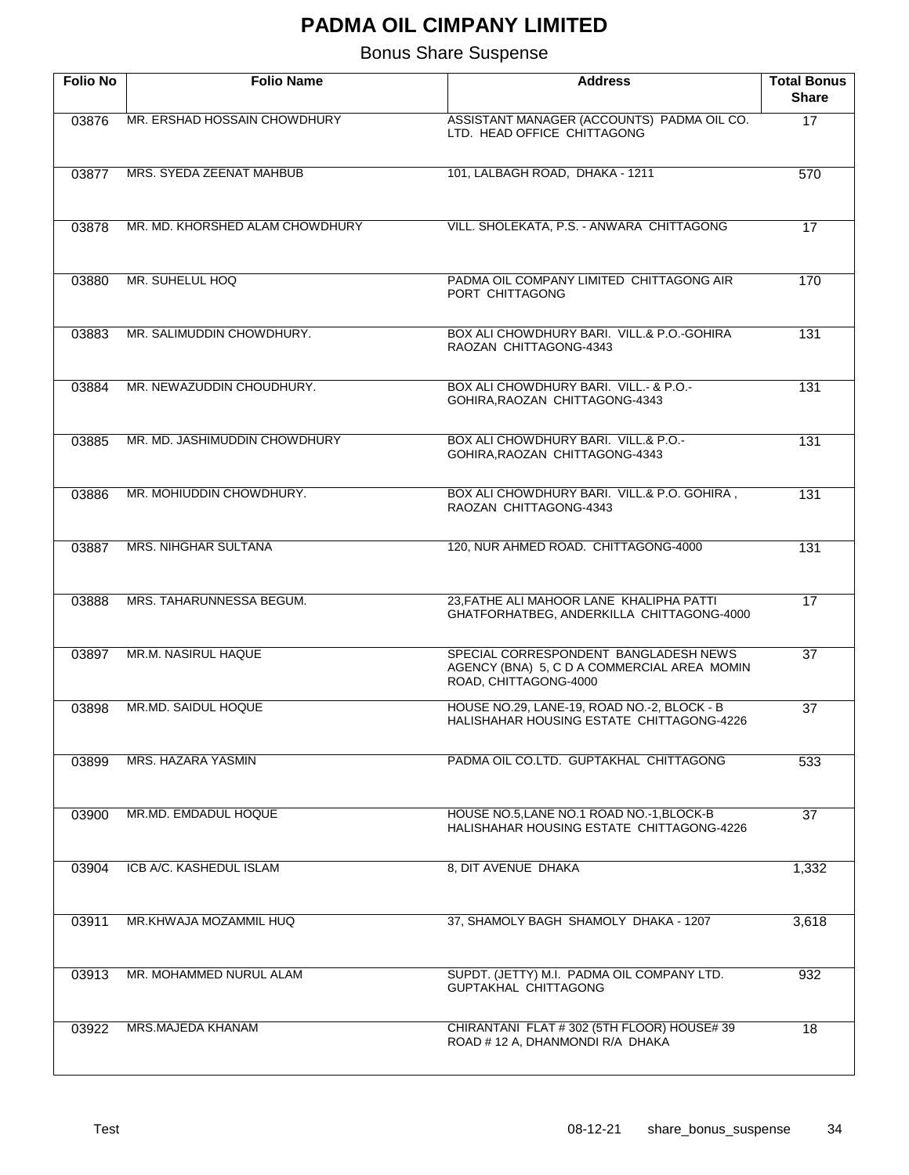| <b>Folio No</b> | <b>Folio Name</b>               | <b>Address</b>                                                                                                | <b>Total Bonus</b><br><b>Share</b> |
|-----------------|---------------------------------|---------------------------------------------------------------------------------------------------------------|------------------------------------|
| 03876           | MR. ERSHAD HOSSAIN CHOWDHURY    | ASSISTANT MANAGER (ACCOUNTS) PADMA OIL CO.<br>LTD. HEAD OFFICE CHITTAGONG                                     | $\overline{17}$                    |
| 03877           | MRS. SYEDA ZEENAT MAHBUB        | 101, LALBAGH ROAD, DHAKA - 1211                                                                               | 570                                |
| 03878           | MR. MD. KHORSHED ALAM CHOWDHURY | VILL. SHOLEKATA, P.S. - ANWARA CHITTAGONG                                                                     | 17                                 |
| 03880           | MR. SUHELUL HOQ                 | PADMA OIL COMPANY LIMITED CHITTAGONG AIR<br>PORT CHITTAGONG                                                   | 170                                |
| 03883           | MR. SALIMUDDIN CHOWDHURY.       | BOX ALI CHOWDHURY BARI. VILL.& P.O.-GOHIRA<br>RAOZAN CHITTAGONG-4343                                          | 131                                |
| 03884           | MR. NEWAZUDDIN CHOUDHURY.       | BOX ALI CHOWDHURY BARI. VILL. & P.O.<br>GOHIRA, RAOZAN CHITTAGONG-4343                                        | 131                                |
| 03885           | MR. MD. JASHIMUDDIN CHOWDHURY   | BOX ALI CHOWDHURY BARI. VILL.& P.O.-<br>GOHIRA, RAOZAN CHITTAGONG-4343                                        | 131                                |
| 03886           | MR. MOHIUDDIN CHOWDHURY.        | BOX ALI CHOWDHURY BARI. VILL.& P.O. GOHIRA,<br>RAOZAN CHITTAGONG-4343                                         | 131                                |
| 03887           | <b>MRS. NIHGHAR SULTANA</b>     | 120, NUR AHMED ROAD. CHITTAGONG-4000                                                                          | 131                                |
| 03888           | MRS. TAHARUNNESSA BEGUM.        | 23, FATHE ALI MAHOOR LANE KHALIPHA PATTI<br>GHATFORHATBEG, ANDERKILLA CHITTAGONG-4000                         | 17                                 |
| 03897           | <b>MR.M. NASIRUL HAQUE</b>      | SPECIAL CORRESPONDENT BANGLADESH NEWS<br>AGENCY (BNA) 5, C D A COMMERCIAL AREA MOMIN<br>ROAD, CHITTAGONG-4000 | $\overline{37}$                    |
| 03898           | MR.MD. SAIDUL HOQUE             | HOUSE NO.29, LANE-19, ROAD NO.-2, BLOCK - B<br>HALISHAHAR HOUSING ESTATE CHITTAGONG-4226                      | $\overline{37}$                    |
| 03899           | MRS. HAZARA YASMIN              | PADMA OIL CO.LTD. GUPTAKHAL CHITTAGONG                                                                        | 533                                |
| 03900           | MR.MD. EMDADUL HOQUE            | HOUSE NO.5, LANE NO.1 ROAD NO.-1, BLOCK-B<br>HALISHAHAR HOUSING ESTATE CHITTAGONG-4226                        | 37                                 |
| 03904           | ICB A/C. KASHEDUL ISLAM         | 8, DIT AVENUE DHAKA                                                                                           | 1,332                              |
| 03911           | MR.KHWAJA MOZAMMIL HUQ          | 37, SHAMOLY BAGH SHAMOLY DHAKA - 1207                                                                         | 3,618                              |
| 03913           | MR. MOHAMMED NURUL ALAM         | SUPDT. (JETTY) M.I. PADMA OIL COMPANY LTD.<br>GUPTAKHAL CHITTAGONG                                            | 932                                |
| 03922           | MRS.MAJEDA KHANAM               | CHIRANTANI FLAT #302 (5TH FLOOR) HOUSE#39<br>ROAD # 12 A, DHANMONDI R/A DHAKA                                 | 18                                 |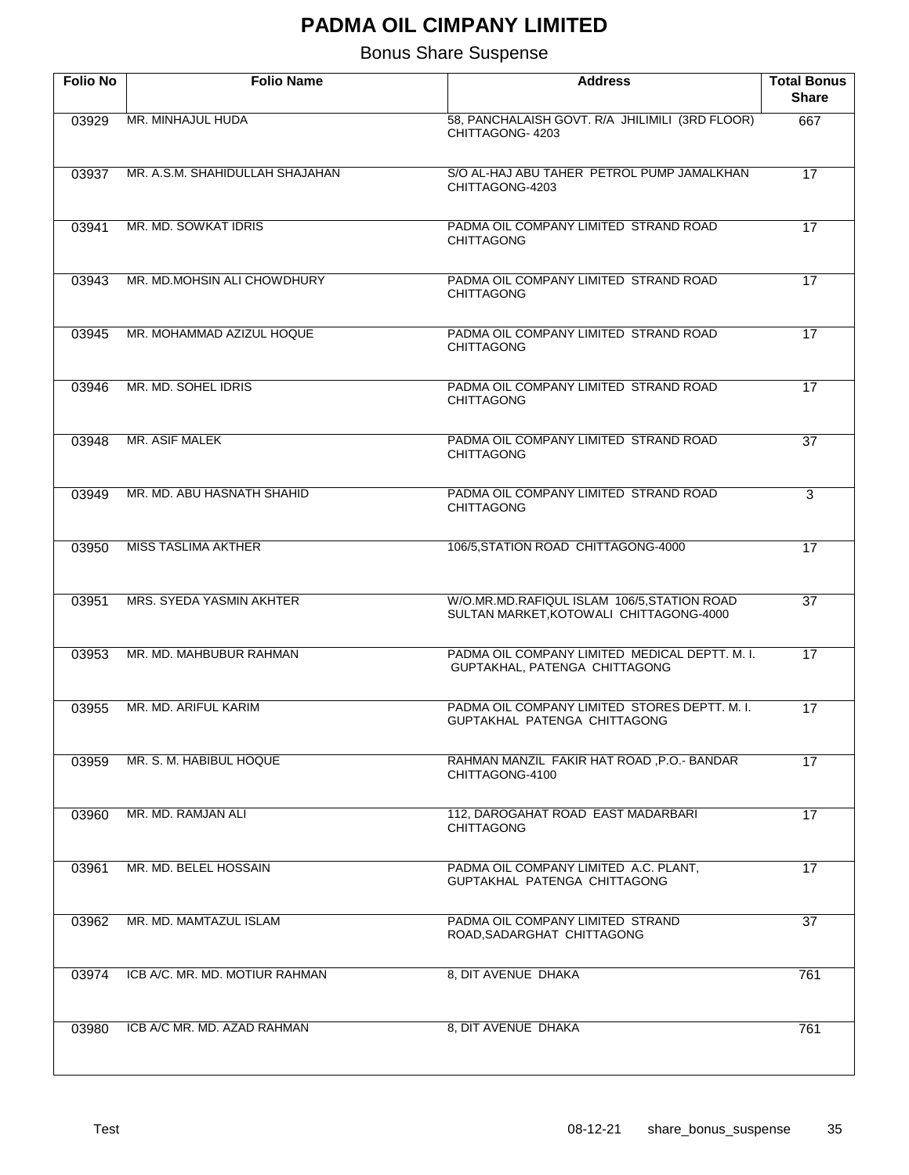| <b>Folio No</b> | <b>Folio Name</b>               | <b>Address</b>                                                                         | <b>Total Bonus</b><br><b>Share</b> |
|-----------------|---------------------------------|----------------------------------------------------------------------------------------|------------------------------------|
| 03929           | MR. MINHAJUL HUDA               | 58, PANCHALAISH GOVT. R/A JHILIMILI (3RD FLOOR)<br>CHITTAGONG-4203                     | 667                                |
| 03937           | MR. A.S.M. SHAHIDULLAH SHAJAHAN | S/O AL-HAJ ABU TAHER PETROL PUMP JAMALKHAN<br>CHITTAGONG-4203                          | $\overline{17}$                    |
| 03941           | MR. MD. SOWKAT IDRIS            | PADMA OIL COMPANY LIMITED STRAND ROAD<br><b>CHITTAGONG</b>                             | 17                                 |
| 03943           | MR. MD.MOHSIN ALI CHOWDHURY     | PADMA OIL COMPANY LIMITED STRAND ROAD<br><b>CHITTAGONG</b>                             | $\overline{17}$                    |
| 03945           | MR. MOHAMMAD AZIZUL HOQUE       | PADMA OIL COMPANY LIMITED STRAND ROAD<br><b>CHITTAGONG</b>                             | $\overline{17}$                    |
| 03946           | MR. MD. SOHEL IDRIS             | PADMA OIL COMPANY LIMITED STRAND ROAD<br><b>CHITTAGONG</b>                             | $\overline{17}$                    |
| 03948           | <b>MR. ASIF MALEK</b>           | PADMA OIL COMPANY LIMITED STRAND ROAD<br><b>CHITTAGONG</b>                             | $\overline{37}$                    |
| 03949           | MR. MD. ABU HASNATH SHAHID      | PADMA OIL COMPANY LIMITED STRAND ROAD<br><b>CHITTAGONG</b>                             | 3                                  |
| 03950           | <b>MISS TASLIMA AKTHER</b>      | 106/5, STATION ROAD CHITTAGONG-4000                                                    | $\overline{17}$                    |
| 03951           | MRS. SYEDA YASMIN AKHTER        | W/O.MR.MD.RAFIQUL ISLAM 106/5, STATION ROAD<br>SULTAN MARKET, KOTOWALI CHITTAGONG-4000 | $\overline{37}$                    |
| 03953           | MR. MD. MAHBUBUR RAHMAN         | PADMA OIL COMPANY LIMITED MEDICAL DEPTT. M. I.<br>GUPTAKHAL, PATENGA CHITTAGONG        | $\overline{17}$                    |
| 03955           | MR. MD. ARIFUL KARIM            | PADMA OIL COMPANY LIMITED STORES DEPTT. M. I.<br>GUPTAKHAL PATENGA CHITTAGONG          | 17                                 |
| 03959           | MR. S. M. HABIBUL HOQUE         | RAHMAN MANZIL FAKIR HAT ROAD, P.O.- BANDAR<br>CHITTAGONG-4100                          | 17                                 |
| 03960           | MR. MD. RAMJAN ALI              | 112. DAROGAHAT ROAD EAST MADARBARI<br><b>CHITTAGONG</b>                                | 17                                 |
| 03961           | MR. MD. BELEL HOSSAIN           | PADMA OIL COMPANY LIMITED A.C. PLANT,<br>GUPTAKHAL PATENGA CHITTAGONG                  | 17                                 |
| 03962           | MR. MD. MAMTAZUL ISLAM          | PADMA OIL COMPANY LIMITED STRAND<br>ROAD, SADARGHAT CHITTAGONG                         | 37                                 |
| 03974           | ICB A/C. MR. MD. MOTIUR RAHMAN  | 8, DIT AVENUE DHAKA                                                                    | 761                                |
| 03980           | ICB A/C MR. MD. AZAD RAHMAN     | 8, DIT AVENUE DHAKA                                                                    | 761                                |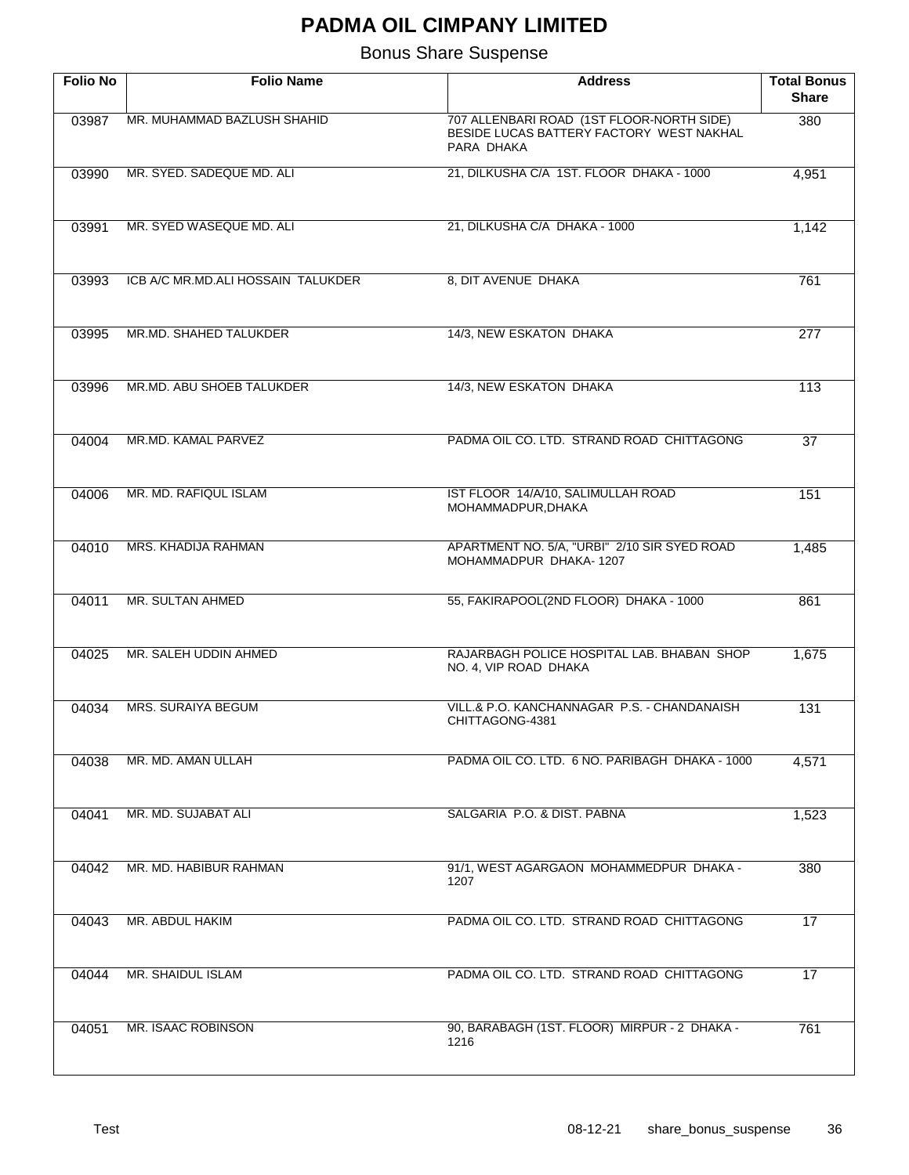| <b>Folio No</b> | <b>Folio Name</b>                  | <b>Address</b>                                                                                      | <b>Total Bonus</b><br><b>Share</b> |
|-----------------|------------------------------------|-----------------------------------------------------------------------------------------------------|------------------------------------|
| 03987           | MR. MUHAMMAD BAZLUSH SHAHID        | 707 ALLENBARI ROAD (1ST FLOOR-NORTH SIDE)<br>BESIDE LUCAS BATTERY FACTORY WEST NAKHAL<br>PARA DHAKA | 380                                |
| 03990           | MR. SYED. SADEQUE MD. ALI          | 21, DILKUSHA C/A 1ST. FLOOR DHAKA - 1000                                                            | 4,951                              |
| 03991           | MR. SYED WASEQUE MD. ALI           | 21, DILKUSHA C/A DHAKA - 1000                                                                       | 1,142                              |
| 03993           | ICB A/C MR.MD.ALI HOSSAIN TALUKDER | 8, DIT AVENUE DHAKA                                                                                 | 761                                |
| 03995           | MR.MD. SHAHED TALUKDER             | 14/3, NEW ESKATON DHAKA                                                                             | 277                                |
| 03996           | MR.MD. ABU SHOEB TALUKDER          | 14/3, NEW ESKATON DHAKA                                                                             | 113                                |
| 04004           | MR.MD. KAMAL PARVEZ                | PADMA OIL CO. LTD. STRAND ROAD CHITTAGONG                                                           | $\overline{37}$                    |
| 04006           | MR. MD. RAFIQUL ISLAM              | IST FLOOR 14/A/10, SALIMULLAH ROAD<br>MOHAMMADPUR, DHAKA                                            | 151                                |
| 04010           | MRS. KHADIJA RAHMAN                | APARTMENT NO. 5/A, "URBI" 2/10 SIR SYED ROAD<br>MOHAMMADPUR DHAKA-1207                              | 1,485                              |
| 04011           | MR. SULTAN AHMED                   | 55, FAKIRAPOOL(2ND FLOOR) DHAKA - 1000                                                              | 861                                |
| 04025           | MR. SALEH UDDIN AHMED              | RAJARBAGH POLICE HOSPITAL LAB. BHABAN SHOP<br>NO. 4, VIP ROAD DHAKA                                 | 1,675                              |
| 04034           | <b>MRS. SURAIYA BEGUM</b>          | VILL.& P.O. KANCHANNAGAR P.S. - CHANDANAISH<br>CHITTAGONG-4381                                      | 131                                |
| 04038           | MR. MD. AMAN ULLAH                 | PADMA OIL CO. LTD. 6 NO. PARIBAGH DHAKA - 1000                                                      | 4,571                              |
| 04041           | MR. MD. SUJABAT ALI                | SALGARIA P.O. & DIST. PABNA                                                                         | 1,523                              |
| 04042           | MR. MD. HABIBUR RAHMAN             | 91/1, WEST AGARGAON MOHAMMEDPUR DHAKA -<br>1207                                                     | 380                                |
| 04043           | MR. ABDUL HAKIM                    | PADMA OIL CO. LTD. STRAND ROAD CHITTAGONG                                                           | 17                                 |
| 04044           | MR. SHAIDUL ISLAM                  | PADMA OIL CO. LTD. STRAND ROAD CHITTAGONG                                                           | 17                                 |
| 04051           | MR. ISAAC ROBINSON                 | 90, BARABAGH (1ST. FLOOR) MIRPUR - 2 DHAKA -<br>1216                                                | 761                                |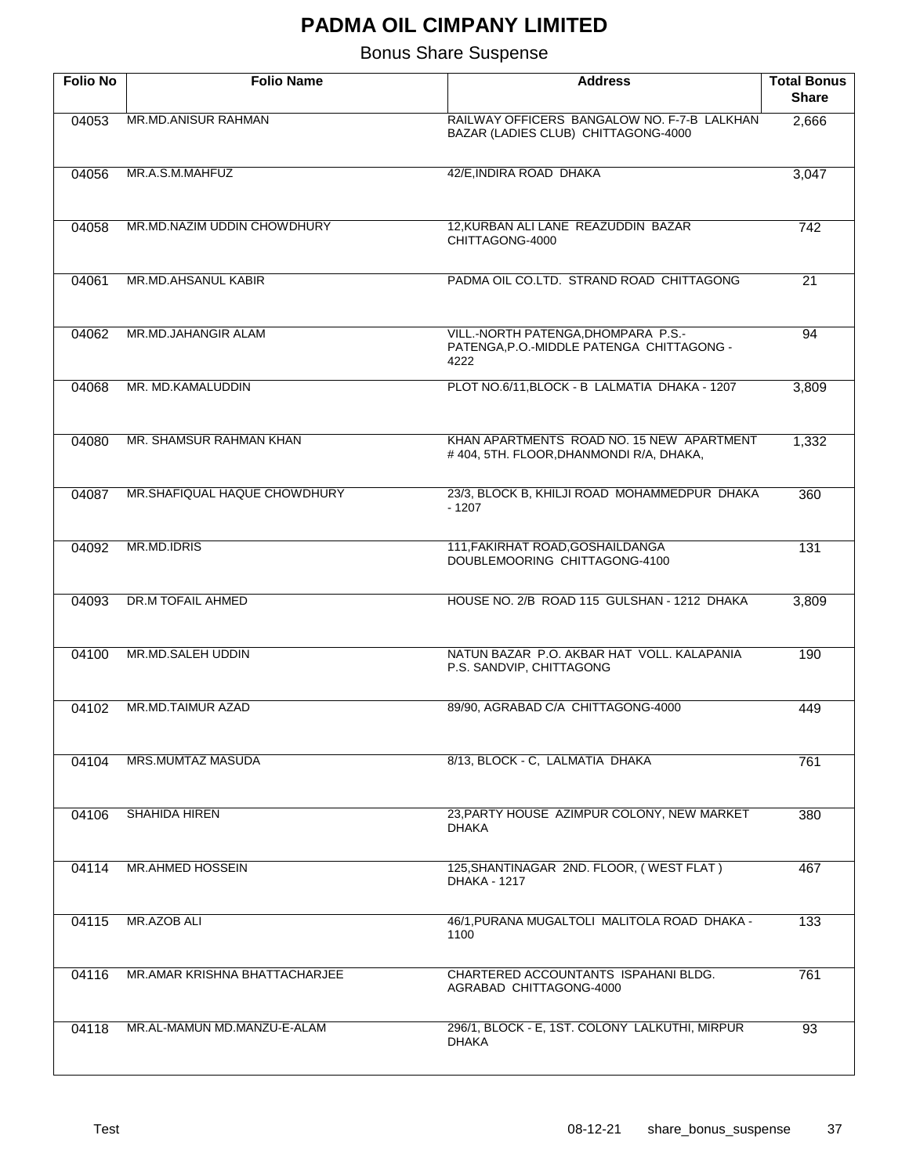| <b>Folio No</b> | <b>Folio Name</b>             | <b>Address</b>                                                                           | <b>Total Bonus</b><br><b>Share</b> |
|-----------------|-------------------------------|------------------------------------------------------------------------------------------|------------------------------------|
| 04053           | MR.MD.ANISUR RAHMAN           | RAILWAY OFFICERS BANGALOW NO. F-7-B LALKHAN<br>BAZAR (LADIES CLUB) CHITTAGONG-4000       | 2,666                              |
| 04056           | MR.A.S.M.MAHFUZ               | 42/E, INDIRA ROAD DHAKA                                                                  | 3,047                              |
| 04058           | MR.MD.NAZIM UDDIN CHOWDHURY   | 12.KURBAN ALI LANE REAZUDDIN BAZAR<br>CHITTAGONG-4000                                    | 742                                |
| 04061           | MR.MD.AHSANUL KABIR           | PADMA OIL CO.LTD. STRAND ROAD CHITTAGONG                                                 | $\overline{21}$                    |
| 04062           | MR.MD.JAHANGIR ALAM           | VILL.-NORTH PATENGA, DHOMPARA P.S.-<br>PATENGA, P.O.-MIDDLE PATENGA CHITTAGONG -<br>4222 | 94                                 |
| 04068           | MR. MD.KAMALUDDIN             | PLOT NO.6/11, BLOCK - B LALMATIA DHAKA - 1207                                            | 3,809                              |
| 04080           | MR. SHAMSUR RAHMAN KHAN       | KHAN APARTMENTS ROAD NO. 15 NEW APARTMENT<br>#404, 5TH. FLOOR, DHANMONDI R/A, DHAKA,     | 1,332                              |
| 04087           | MR.SHAFIQUAL HAQUE CHOWDHURY  | 23/3, BLOCK B, KHILJI ROAD MOHAMMEDPUR DHAKA<br>$-1207$                                  | 360                                |
| 04092           | MR.MD.IDRIS                   | 111, FAKIRHAT ROAD, GOSHAILDANGA<br>DOUBLEMOORING CHITTAGONG-4100                        | 131                                |
| 04093           | DR.M TOFAIL AHMED             | HOUSE NO. 2/B ROAD 115 GULSHAN - 1212 DHAKA                                              | 3,809                              |
| 04100           | MR.MD.SALEH UDDIN             | NATUN BAZAR P.O. AKBAR HAT VOLL. KALAPANIA<br>P.S. SANDVIP, CHITTAGONG                   | 190                                |
| 04102           | MR.MD.TAIMUR AZAD             | 89/90, AGRABAD C/A CHITTAGONG-4000                                                       | 449                                |
| 04104           | <b>MRS.MUMTAZ MASUDA</b>      | 8/13, BLOCK - C, LALMATIA DHAKA                                                          | 761                                |
| 04106           | SHAHIDA HIREN                 | 23, PARTY HOUSE AZIMPUR COLONY, NEW MARKET<br><b>DHAKA</b>                               | 380                                |
| 04114           | <b>MR.AHMED HOSSEIN</b>       | 125, SHANTINAGAR 2ND. FLOOR, (WEST FLAT)<br><b>DHAKA - 1217</b>                          | 467                                |
| 04115           | <b>MR.AZOB ALI</b>            | 46/1, PURANA MUGALTOLI MALITOLA ROAD DHAKA -<br>1100                                     | 133                                |
| 04116           | MR.AMAR KRISHNA BHATTACHARJEE | CHARTERED ACCOUNTANTS ISPAHANI BLDG.<br>AGRABAD CHITTAGONG-4000                          | 761                                |
| 04118           | MR.AL-MAMUN MD.MANZU-E-ALAM   | 296/1, BLOCK - E, 1ST. COLONY LALKUTHI, MIRPUR<br><b>DHAKA</b>                           | 93                                 |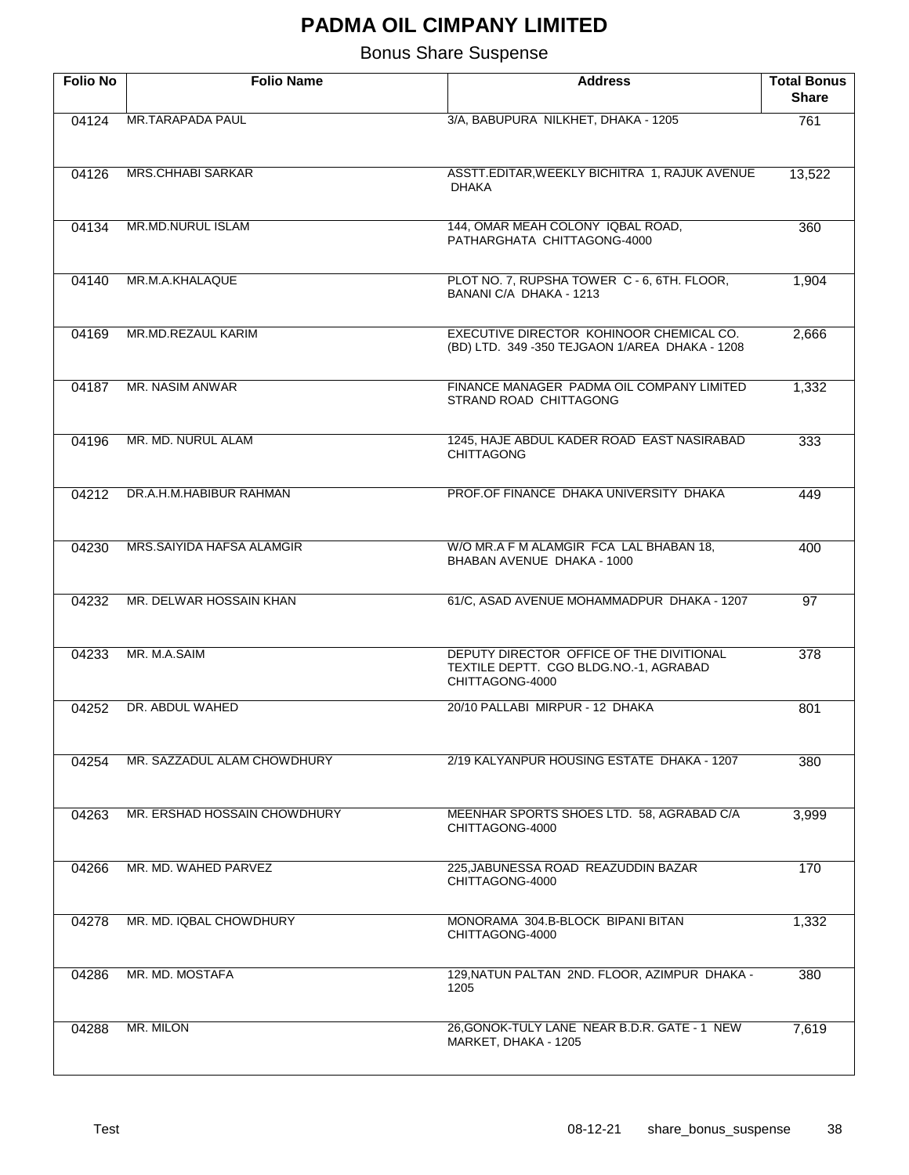| <b>Folio No</b> | <b>Folio Name</b>            | <b>Address</b>                                                                                        | <b>Total Bonus</b><br><b>Share</b> |
|-----------------|------------------------------|-------------------------------------------------------------------------------------------------------|------------------------------------|
| 04124           | MR.TARAPADA PAUL             | 3/A, BABUPURA NILKHET, DHAKA - 1205                                                                   | 761                                |
| 04126           | <b>MRS.CHHABI SARKAR</b>     | ASSTT.EDITAR, WEEKLY BICHITRA 1, RAJUK AVENUE<br><b>DHAKA</b>                                         | 13,522                             |
| 04134           | MR.MD.NURUL ISLAM            | 144, OMAR MEAH COLONY IQBAL ROAD,<br>PATHARGHATA CHITTAGONG-4000                                      | 360                                |
| 04140           | MR.M.A.KHALAQUE              | PLOT NO. 7, RUPSHA TOWER C - 6, 6TH. FLOOR,<br>BANANI C/A DHAKA - 1213                                | 1,904                              |
| 04169           | MR.MD.REZAUL KARIM           | EXECUTIVE DIRECTOR KOHINOOR CHEMICAL CO.<br>(BD) LTD. 349 -350 TEJGAON 1/AREA DHAKA - 1208            | 2,666                              |
| 04187           | MR. NASIM ANWAR              | FINANCE MANAGER PADMA OIL COMPANY LIMITED<br>STRAND ROAD CHITTAGONG                                   | 1,332                              |
| 04196           | MR. MD. NURUL ALAM           | 1245, HAJE ABDUL KADER ROAD EAST NASIRABAD<br><b>CHITTAGONG</b>                                       | 333                                |
| 04212           | DR.A.H.M.HABIBUR RAHMAN      | PROF. OF FINANCE DHAKA UNIVERSITY DHAKA                                                               | 449                                |
| 04230           | MRS.SAIYIDA HAFSA ALAMGIR    | W/O MR.A F M ALAMGIR FCA LAL BHABAN 18,<br>BHABAN AVENUE DHAKA - 1000                                 | 400                                |
| 04232           | MR. DELWAR HOSSAIN KHAN      | 61/C, ASAD AVENUE MOHAMMADPUR DHAKA - 1207                                                            | $\overline{97}$                    |
| 04233           | MR. M.A.SAIM                 | DEPUTY DIRECTOR OFFICE OF THE DIVITIONAL<br>TEXTILE DEPTT. CGO BLDG.NO.-1, AGRABAD<br>CHITTAGONG-4000 | 378                                |
| 04252           | DR. ABDUL WAHED              | 20/10 PALLABI MIRPUR - 12 DHAKA                                                                       | 801                                |
| 04254           | MR. SAZZADUL ALAM CHOWDHURY  | 2/19 KALYANPUR HOUSING ESTATE DHAKA - 1207                                                            | 380                                |
| 04263           | MR. ERSHAD HOSSAIN CHOWDHURY | MEENHAR SPORTS SHOES LTD. 58, AGRABAD C/A<br>CHITTAGONG-4000                                          | 3,999                              |
| 04266           | MR. MD. WAHED PARVEZ         | 225, JABUNESSA ROAD REAZUDDIN BAZAR<br>CHITTAGONG-4000                                                | 170                                |
| 04278           | MR. MD. IQBAL CHOWDHURY      | MONORAMA 304.B-BLOCK BIPANI BITAN<br>CHITTAGONG-4000                                                  | 1,332                              |
| 04286           | MR. MD. MOSTAFA              | 129, NATUN PALTAN 2ND. FLOOR, AZIMPUR DHAKA -<br>1205                                                 | 380                                |
| 04288           | MR. MILON                    | 26, GONOK-TULY LANE NEAR B.D.R. GATE - 1 NEW<br>MARKET, DHAKA - 1205                                  | 7,619                              |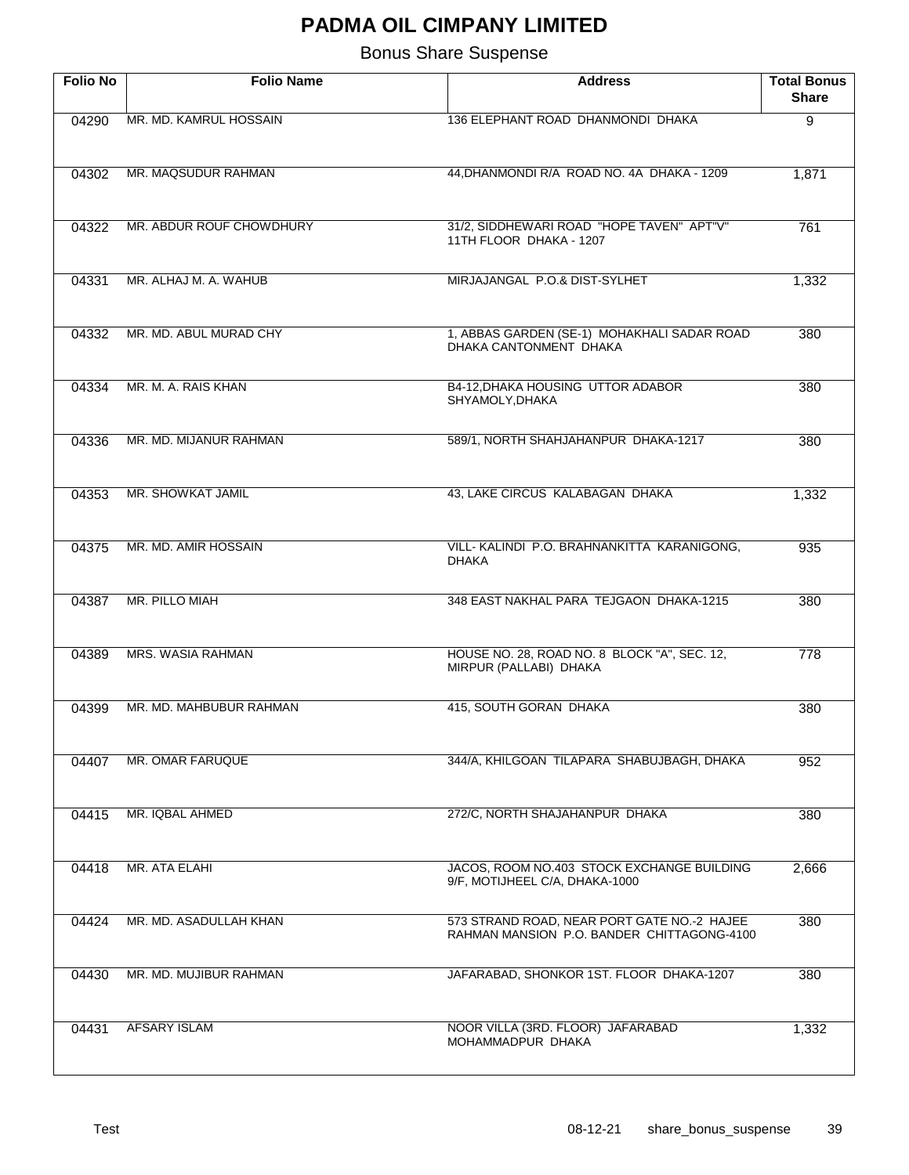| <b>Folio No</b> | <b>Folio Name</b>        | <b>Address</b>                                                                            | <b>Total Bonus</b><br><b>Share</b> |
|-----------------|--------------------------|-------------------------------------------------------------------------------------------|------------------------------------|
| 04290           | MR. MD. KAMRUL HOSSAIN   | 136 ELEPHANT ROAD DHANMONDI DHAKA                                                         | $\overline{9}$                     |
| 04302           | MR. MAQSUDUR RAHMAN      | 44, DHANMONDI R/A ROAD NO. 4A DHAKA - 1209                                                | 1,871                              |
| 04322           | MR. ABDUR ROUF CHOWDHURY | 31/2, SIDDHEWARI ROAD "HOPE TAVEN" APT"V"<br>11TH FLOOR DHAKA - 1207                      | 761                                |
| 04331           | MR. ALHAJ M. A. WAHUB    | MIRJAJANGAL P.O.& DIST-SYLHET                                                             | 1,332                              |
| 04332           | MR. MD. ABUL MURAD CHY   | 1, ABBAS GARDEN (SE-1) MOHAKHALI SADAR ROAD<br>DHAKA CANTONMENT DHAKA                     | 380                                |
| 04334           | MR. M. A. RAIS KHAN      | B4-12, DHAKA HOUSING UTTOR ADABOR<br>SHYAMOLY, DHAKA                                      | 380                                |
| 04336           | MR. MD. MIJANUR RAHMAN   | 589/1, NORTH SHAHJAHANPUR DHAKA-1217                                                      | 380                                |
| 04353           | MR. SHOWKAT JAMIL        | 43, LAKE CIRCUS KALABAGAN DHAKA                                                           | 1,332                              |
| 04375           | MR. MD. AMIR HOSSAIN     | VILL-KALINDI P.O. BRAHNANKITTA KARANIGONG,<br><b>DHAKA</b>                                | 935                                |
| 04387           | MR. PILLO MIAH           | 348 EAST NAKHAL PARA TEJGAON DHAKA-1215                                                   | 380                                |
| 04389           | MRS. WASIA RAHMAN        | HOUSE NO. 28, ROAD NO. 8 BLOCK "A", SEC. 12,<br>MIRPUR (PALLABI) DHAKA                    | $\overline{778}$                   |
| 04399           | MR. MD. MAHBUBUR RAHMAN  | 415, SOUTH GORAN DHAKA                                                                    | 380                                |
| 04407           | MR. OMAR FARUQUE         | 344/A, KHILGOAN TILAPARA SHABUJBAGH, DHAKA                                                | 952                                |
| 04415           | MR. IQBAL AHMED          | 272/C, NORTH SHAJAHANPUR DHAKA                                                            | 380                                |
| 04418           | MR. ATA ELAHI            | JACOS, ROOM NO.403 STOCK EXCHANGE BUILDING<br>9/F, MOTIJHEEL C/A, DHAKA-1000              | 2,666                              |
| 04424           | MR. MD. ASADULLAH KHAN   | 573 STRAND ROAD, NEAR PORT GATE NO.-2 HAJEE<br>RAHMAN MANSION P.O. BANDER CHITTAGONG-4100 | 380                                |
| 04430           | MR. MD. MUJIBUR RAHMAN   | JAFARABAD, SHONKOR 1ST. FLOOR DHAKA-1207                                                  | 380                                |
| 04431           | <b>AFSARY ISLAM</b>      | NOOR VILLA (3RD. FLOOR) JAFARABAD<br>MOHAMMADPUR DHAKA                                    | 1,332                              |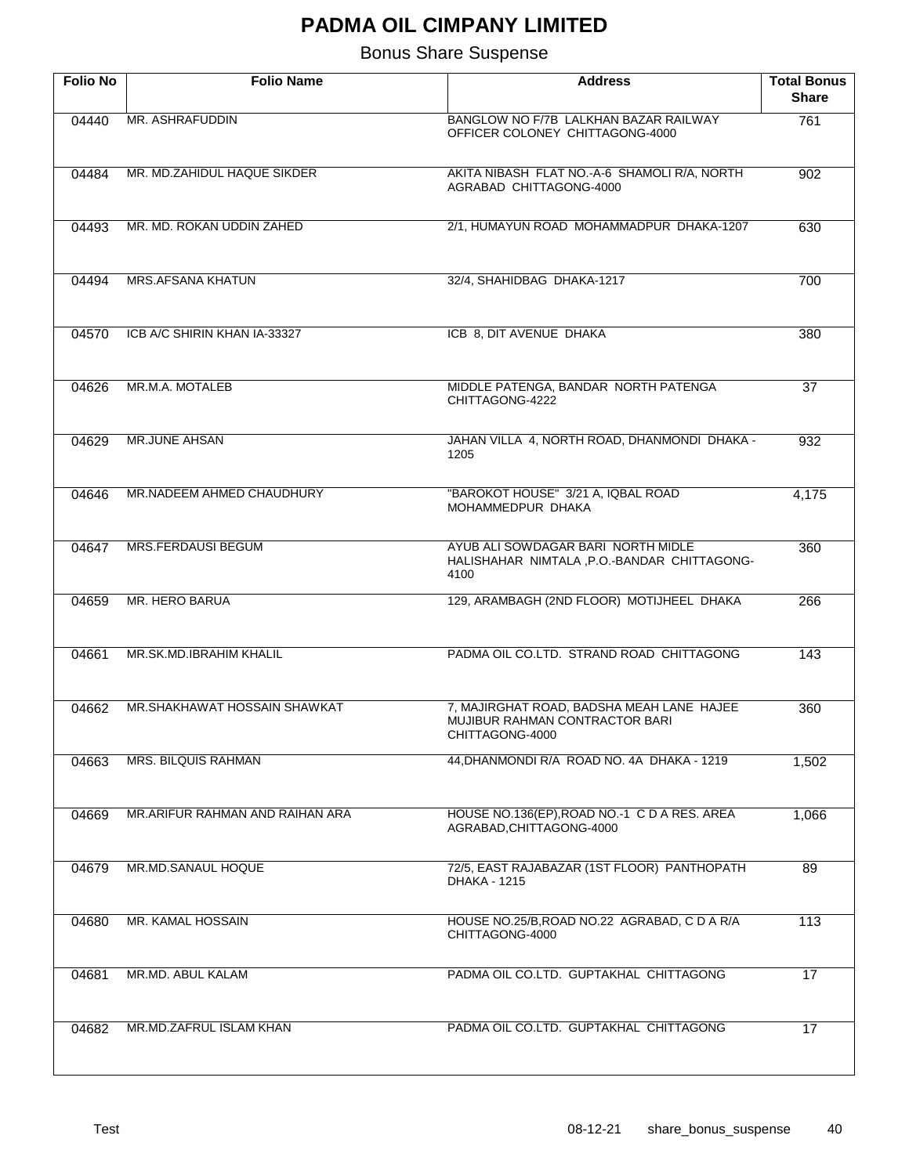| <b>Folio No</b> | <b>Folio Name</b>               | <b>Address</b>                                                                                 | <b>Total Bonus</b><br><b>Share</b> |
|-----------------|---------------------------------|------------------------------------------------------------------------------------------------|------------------------------------|
| 04440           | MR. ASHRAFUDDIN                 | BANGLOW NO F/7B LALKHAN BAZAR RAILWAY<br>OFFICER COLONEY CHITTAGONG-4000                       | 761                                |
| 04484           | MR. MD.ZAHIDUL HAQUE SIKDER     | AKITA NIBASH FLAT NO.-A-6 SHAMOLI R/A, NORTH<br>AGRABAD CHITTAGONG-4000                        | 902                                |
| 04493           | MR. MD. ROKAN UDDIN ZAHED       | 2/1, HUMAYUN ROAD MOHAMMADPUR DHAKA-1207                                                       | 630                                |
| 04494           | <b>MRS.AFSANA KHATUN</b>        | 32/4, SHAHIDBAG DHAKA-1217                                                                     | 700                                |
| 04570           | ICB A/C SHIRIN KHAN IA-33327    | ICB 8, DIT AVENUE DHAKA                                                                        | 380                                |
| 04626           | MR.M.A. MOTALEB                 | MIDDLE PATENGA, BANDAR NORTH PATENGA<br>CHITTAGONG-4222                                        | $\overline{37}$                    |
| 04629           | <b>MR.JUNE AHSAN</b>            | JAHAN VILLA 4, NORTH ROAD, DHANMONDI DHAKA -<br>1205                                           | 932                                |
| 04646           | MR.NADEEM AHMED CHAUDHURY       | "BAROKOT HOUSE" 3/21 A, IQBAL ROAD<br>MOHAMMEDPUR DHAKA                                        | 4,175                              |
| 04647           | <b>MRS.FERDAUSI BEGUM</b>       | AYUB ALI SOWDAGAR BARI NORTH MIDLE<br>HALISHAHAR NIMTALA, P.O.-BANDAR CHITTAGONG-<br>4100      | 360                                |
| 04659           | MR. HERO BARUA                  | 129, ARAMBAGH (2ND FLOOR) MOTIJHEEL DHAKA                                                      | 266                                |
| 04661           | MR.SK.MD.IBRAHIM KHALIL         | PADMA OIL CO.LTD. STRAND ROAD CHITTAGONG                                                       | 143                                |
| 04662           | MR.SHAKHAWAT HOSSAIN SHAWKAT    | 7, MAJIRGHAT ROAD, BADSHA MEAH LANE HAJEE<br>MUJIBUR RAHMAN CONTRACTOR BARI<br>CHITTAGONG-4000 | 360                                |
| 04663           | <b>MRS. BILQUIS RAHMAN</b>      | 44, DHANMONDI R/A ROAD NO. 4A DHAKA - 1219                                                     | 1,502                              |
| 04669           | MR.ARIFUR RAHMAN AND RAIHAN ARA | HOUSE NO.136(EP), ROAD NO.-1 C D A RES. AREA<br>AGRABAD, CHITTAGONG-4000                       | 1,066                              |
| 04679           | MR.MD.SANAUL HOQUE              | 72/5, EAST RAJABAZAR (1ST FLOOR) PANTHOPATH<br><b>DHAKA - 1215</b>                             | 89                                 |
| 04680           | MR. KAMAL HOSSAIN               | HOUSE NO.25/B, ROAD NO.22 AGRABAD, C D A R/A<br>CHITTAGONG-4000                                | 113                                |
| 04681           | MR.MD. ABUL KALAM               | PADMA OIL CO.LTD. GUPTAKHAL CHITTAGONG                                                         | 17                                 |
| 04682           | MR.MD.ZAFRUL ISLAM KHAN         | PADMA OIL CO.LTD. GUPTAKHAL CHITTAGONG                                                         | 17                                 |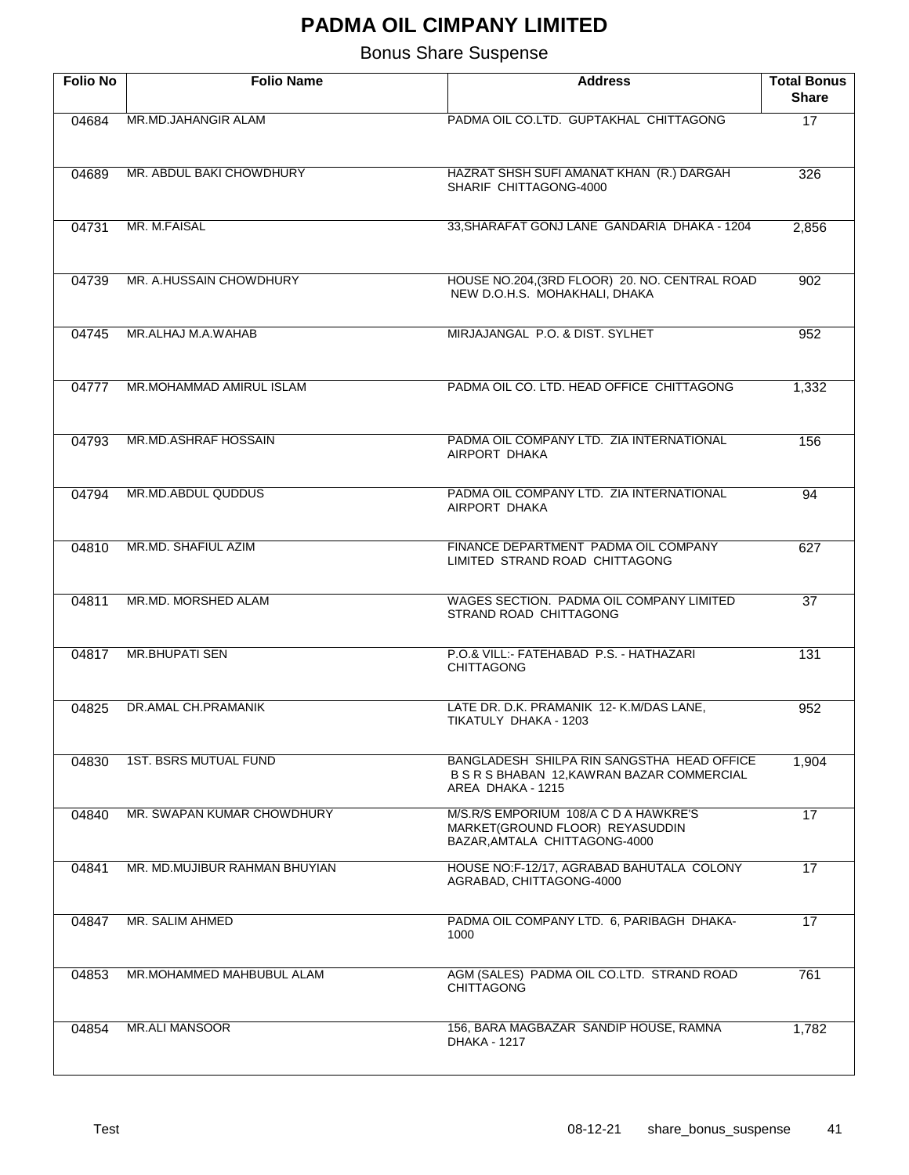| <b>Folio No</b> | <b>Folio Name</b>             | <b>Address</b>                                                                                                | <b>Total Bonus</b><br><b>Share</b> |
|-----------------|-------------------------------|---------------------------------------------------------------------------------------------------------------|------------------------------------|
| 04684           | MR.MD.JAHANGIR ALAM           | PADMA OIL CO.LTD. GUPTAKHAL CHITTAGONG                                                                        | 17                                 |
| 04689           | MR. ABDUL BAKI CHOWDHURY      | HAZRAT SHSH SUFI AMANAT KHAN (R.) DARGAH<br>SHARIF CHITTAGONG-4000                                            | 326                                |
| 04731           | MR. M.FAISAL                  | 33, SHARAFAT GONJ LANE GANDARIA DHAKA - 1204                                                                  | 2,856                              |
| 04739           | MR. A.HUSSAIN CHOWDHURY       | HOUSE NO.204, (3RD FLOOR) 20. NO. CENTRAL ROAD<br>NEW D.O.H.S. MOHAKHALI, DHAKA                               | 902                                |
| 04745           | MR.ALHAJ M.A.WAHAB            | MIRJAJANGAL P.O. & DIST. SYLHET                                                                               | 952                                |
| 04777           | MR.MOHAMMAD AMIRUL ISLAM      | PADMA OIL CO. LTD. HEAD OFFICE CHITTAGONG                                                                     | 1,332                              |
| 04793           | MR.MD.ASHRAF HOSSAIN          | PADMA OIL COMPANY LTD. ZIA INTERNATIONAL<br>AIRPORT DHAKA                                                     | 156                                |
| 04794           | MR.MD.ABDUL QUDDUS            | PADMA OIL COMPANY LTD. ZIA INTERNATIONAL<br>AIRPORT DHAKA                                                     | 94                                 |
| 04810           | MR.MD. SHAFIUL AZIM           | FINANCE DEPARTMENT PADMA OIL COMPANY<br>LIMITED STRAND ROAD CHITTAGONG                                        | 627                                |
| 04811           | MR.MD. MORSHED ALAM           | WAGES SECTION. PADMA OIL COMPANY LIMITED<br>STRAND ROAD CHITTAGONG                                            | $\overline{37}$                    |
| 04817           | <b>MR.BHUPATI SEN</b>         | P.O.& VILL:- FATEHABAD P.S. - HATHAZARI<br>CHITTAGONG                                                         | 131                                |
| 04825           | DR.AMAL CH.PRAMANIK           | LATE DR. D.K. PRAMANIK 12- K.M/DAS LANE,<br>TIKATULY DHAKA - 1203                                             | 952                                |
| 04830           | <b>1ST. BSRS MUTUAL FUND</b>  | BANGLADESH SHILPA RIN SANGSTHA HEAD OFFICE<br>B S R S BHABAN 12, KAWRAN BAZAR COMMERCIAL<br>AREA DHAKA - 1215 | 1,904                              |
| 04840           | MR. SWAPAN KUMAR CHOWDHURY    | M/S.R/S EMPORIUM 108/A C D A HAWKRE'S<br>MARKET(GROUND FLOOR) REYASUDDIN<br>BAZAR, AMTALA CHITTAGONG-4000     | $\overline{17}$                    |
| 04841           | MR. MD.MUJIBUR RAHMAN BHUYIAN | HOUSE NO:F-12/17, AGRABAD BAHUTALA COLONY<br>AGRABAD, CHITTAGONG-4000                                         | 17                                 |
| 04847           | MR. SALIM AHMED               | PADMA OIL COMPANY LTD. 6, PARIBAGH DHAKA-<br>1000                                                             | 17                                 |
| 04853           | MR.MOHAMMED MAHBUBUL ALAM     | AGM (SALES) PADMA OIL CO.LTD. STRAND ROAD<br><b>CHITTAGONG</b>                                                | 761                                |
| 04854           | <b>MR.ALI MANSOOR</b>         | 156, BARA MAGBAZAR SANDIP HOUSE, RAMNA<br>DHAKA - 1217                                                        | 1,782                              |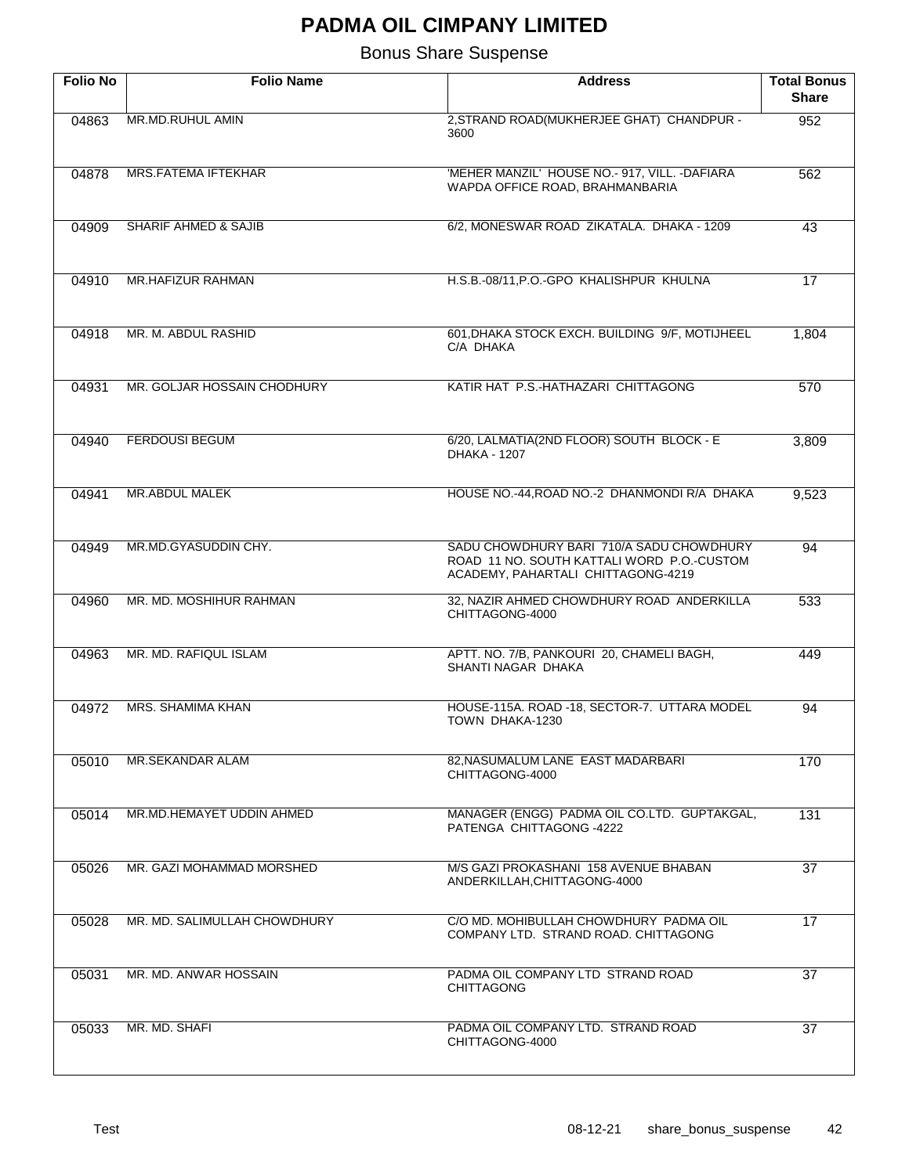| <b>Folio No</b> | <b>Folio Name</b>               | <b>Address</b>                                                                                                               | <b>Total Bonus</b><br><b>Share</b> |
|-----------------|---------------------------------|------------------------------------------------------------------------------------------------------------------------------|------------------------------------|
| 04863           | MR.MD.RUHUL AMIN                | 2, STRAND ROAD(MUKHERJEE GHAT) CHANDPUR -<br>3600                                                                            | 952                                |
| 04878           | <b>MRS.FATEMA IFTEKHAR</b>      | 'MEHER MANZIL' HOUSE NO.- 917, VILL. - DAFIARA<br>WAPDA OFFICE ROAD, BRAHMANBARIA                                            | 562                                |
| 04909           | <b>SHARIF AHMED &amp; SAJIB</b> | 6/2, MONESWAR ROAD ZIKATALA. DHAKA - 1209                                                                                    | 43                                 |
| 04910           | MR.HAFIZUR RAHMAN               | H.S.B.-08/11, P.O.-GPO KHALISHPUR KHULNA                                                                                     | 17                                 |
| 04918           | MR. M. ABDUL RASHID             | 601, DHAKA STOCK EXCH. BUILDING 9/F, MOTIJHEEL<br>C/A DHAKA                                                                  | 1,804                              |
| 04931           | MR. GOLJAR HOSSAIN CHODHURY     | KATIR HAT P.S.-HATHAZARI CHITTAGONG                                                                                          | 570                                |
| 04940           | <b>FERDOUSI BEGUM</b>           | 6/20, LALMATIA(2ND FLOOR) SOUTH BLOCK - E<br>DHAKA - 1207                                                                    | 3,809                              |
| 04941           | MR.ABDUL MALEK                  | HOUSE NO.-44, ROAD NO.-2 DHANMONDI R/A DHAKA                                                                                 | 9,523                              |
| 04949           | MR.MD.GYASUDDIN CHY.            | SADU CHOWDHURY BARI 710/A SADU CHOWDHURY<br>ROAD 11 NO. SOUTH KATTALI WORD P.O. CUSTOM<br>ACADEMY, PAHARTALI CHITTAGONG-4219 | 94                                 |
| 04960           | MR. MD. MOSHIHUR RAHMAN         | 32, NAZIR AHMED CHOWDHURY ROAD ANDERKILLA<br>CHITTAGONG-4000                                                                 | 533                                |
| 04963           | MR. MD. RAFIQUL ISLAM           | APTT. NO. 7/B, PANKOURI 20, CHAMELI BAGH,<br>SHANTI NAGAR DHAKA                                                              | 449                                |
| 04972           | MRS. SHAMIMA KHAN               | HOUSE-115A. ROAD -18, SECTOR-7. UTTARA MODEL<br>TOWN DHAKA-1230                                                              | 94                                 |
| 05010           | MR.SEKANDAR ALAM                | 82. NASUMALUM LANE EAST MADARBARI<br>CHITTAGONG-4000                                                                         | 170                                |
| 05014           | MR.MD.HEMAYET UDDIN AHMED       | MANAGER (ENGG) PADMA OIL CO.LTD. GUPTAKGAL,<br>PATENGA CHITTAGONG -4222                                                      | 131                                |
| 05026           | MR. GAZI MOHAMMAD MORSHED       | M/S GAZI PROKASHANI 158 AVENUE BHABAN<br>ANDERKILLAH, CHITTAGONG-4000                                                        | 37                                 |
| 05028           | MR. MD. SALIMULLAH CHOWDHURY    | C/O MD. MOHIBULLAH CHOWDHURY PADMA OIL<br>COMPANY LTD. STRAND ROAD. CHITTAGONG                                               | 17                                 |
| 05031           | MR. MD. ANWAR HOSSAIN           | PADMA OIL COMPANY LTD STRAND ROAD<br><b>CHITTAGONG</b>                                                                       | 37                                 |
| 05033           | MR. MD. SHAFI                   | PADMA OIL COMPANY LTD. STRAND ROAD<br>CHITTAGONG-4000                                                                        | 37                                 |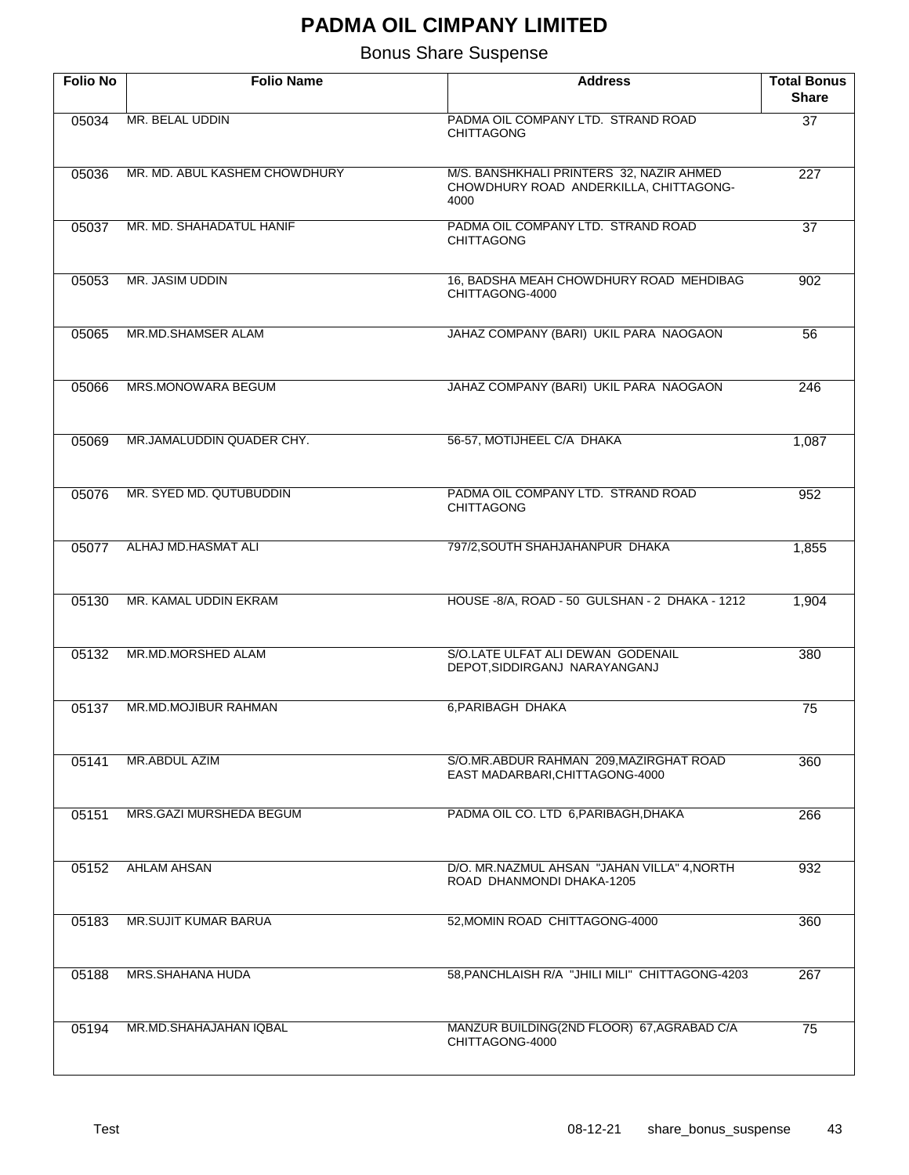| <b>Folio No</b> | <b>Folio Name</b>             | <b>Address</b>                                                                             | <b>Total Bonus</b><br><b>Share</b> |
|-----------------|-------------------------------|--------------------------------------------------------------------------------------------|------------------------------------|
| 05034           | MR. BELAL UDDIN               | PADMA OIL COMPANY LTD. STRAND ROAD<br><b>CHITTAGONG</b>                                    | $\overline{37}$                    |
| 05036           | MR. MD. ABUL KASHEM CHOWDHURY | M/S. BANSHKHALI PRINTERS 32, NAZIR AHMED<br>CHOWDHURY ROAD ANDERKILLA, CHITTAGONG-<br>4000 | $\overline{227}$                   |
| 05037           | MR. MD. SHAHADATUL HANIF      | PADMA OIL COMPANY LTD. STRAND ROAD<br><b>CHITTAGONG</b>                                    | $\overline{37}$                    |
| 05053           | MR. JASIM UDDIN               | 16, BADSHA MEAH CHOWDHURY ROAD MEHDIBAG<br>CHITTAGONG-4000                                 | 902                                |
| 05065           | MR.MD.SHAMSER ALAM            | JAHAZ COMPANY (BARI) UKIL PARA NAOGAON                                                     | 56                                 |
| 05066           | <b>MRS.MONOWARA BEGUM</b>     | JAHAZ COMPANY (BARI) UKIL PARA NAOGAON                                                     | 246                                |
| 05069           | MR.JAMALUDDIN QUADER CHY.     | 56-57, MOTIJHEEL C/A DHAKA                                                                 | 1,087                              |
| 05076           | MR. SYED MD. QUTUBUDDIN       | PADMA OIL COMPANY LTD. STRAND ROAD<br><b>CHITTAGONG</b>                                    | 952                                |
| 05077           | ALHAJ MD.HASMAT ALI           | 797/2, SOUTH SHAHJAHANPUR DHAKA                                                            | 1,855                              |
| 05130           | MR. KAMAL UDDIN EKRAM         | HOUSE -8/A, ROAD - 50 GULSHAN - 2 DHAKA - 1212                                             | 1,904                              |
| 05132           | MR.MD.MORSHED ALAM            | S/O.LATE ULFAT ALI DEWAN GODENAIL<br>DEPOT, SIDDIRGANJ NARAYANGANJ                         | 380                                |
| 05137           | MR.MD.MOJIBUR RAHMAN          | 6, PARIBAGH DHAKA                                                                          | 75                                 |
| 05141           | MR.ABDUL AZIM                 | S/O.MR.ABDUR RAHMAN 209, MAZIRGHAT ROAD<br>EAST MADARBARI, CHITTAGONG-4000                 | 360                                |
| 05151           | MRS.GAZI MURSHEDA BEGUM       | PADMA OIL CO. LTD 6, PARIBAGH, DHAKA                                                       | 266                                |
| 05152           | <b>AHLAM AHSAN</b>            | D/O. MR. NAZMUL AHSAN "JAHAN VILLA" 4, NORTH<br>ROAD DHANMONDI DHAKA-1205                  | 932                                |
| 05183           | <b>MR.SUJIT KUMAR BARUA</b>   | 52, MOMIN ROAD CHITTAGONG-4000                                                             | 360                                |
| 05188           | MRS.SHAHANA HUDA              | 58, PANCHLAISH R/A "JHILI MILI" CHITTAGONG-4203                                            | 267                                |
| 05194           | MR.MD.SHAHAJAHAN IQBAL        | MANZUR BUILDING(2ND FLOOR) 67, AGRABAD C/A<br>CHITTAGONG-4000                              | 75                                 |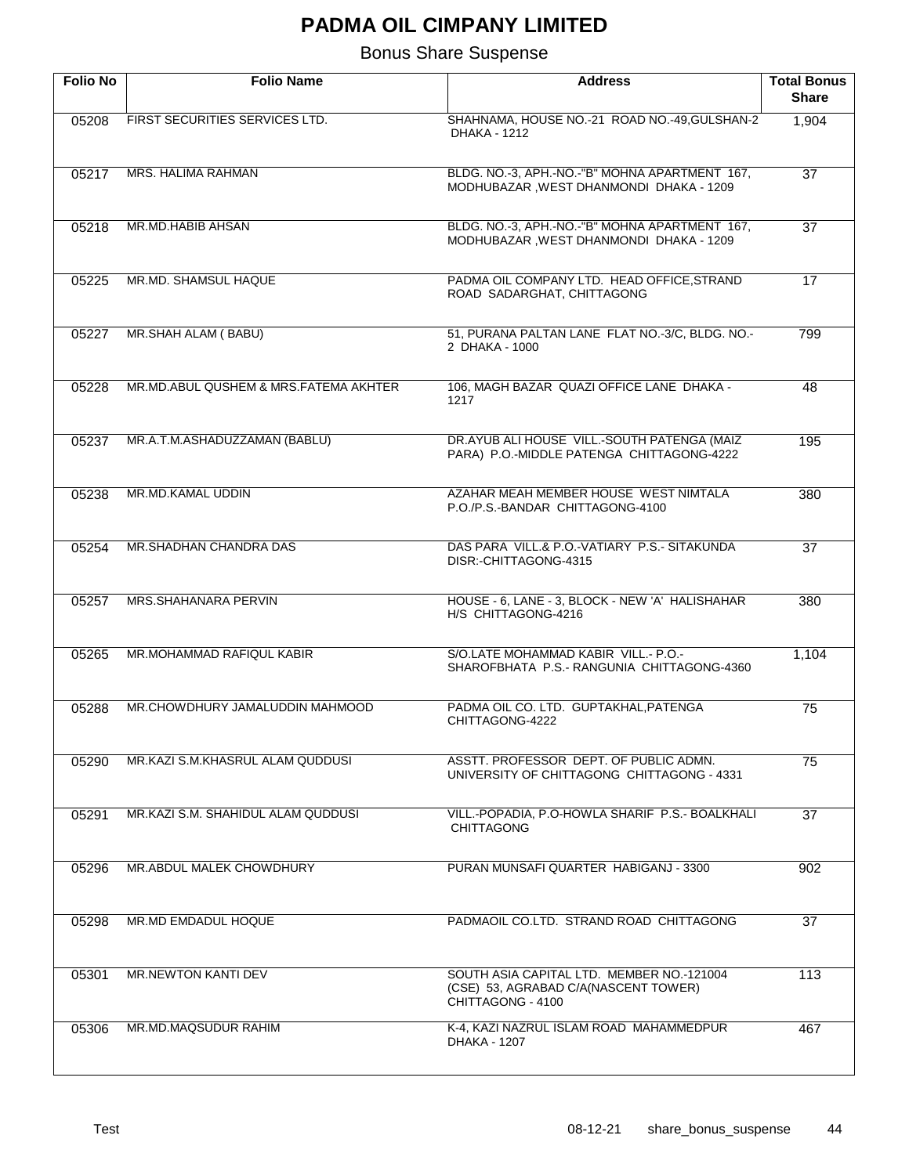| <b>Folio No</b> | <b>Folio Name</b>                     | <b>Address</b>                                                                                         | <b>Total Bonus</b><br><b>Share</b> |
|-----------------|---------------------------------------|--------------------------------------------------------------------------------------------------------|------------------------------------|
| 05208           | FIRST SECURITIES SERVICES LTD.        | SHAHNAMA, HOUSE NO.-21 ROAD NO.-49, GULSHAN-2<br>DHAKA - 1212                                          | 1,904                              |
| 05217           | <b>MRS. HALIMA RAHMAN</b>             | BLDG. NO.-3, APH.-NO.-"B" MOHNA APARTMENT 167,<br>MODHUBAZAR, WEST DHANMONDI DHAKA - 1209              | $\overline{37}$                    |
| 05218           | <b>MR.MD.HABIB AHSAN</b>              | BLDG. NO.-3, APH.-NO.-"B" MOHNA APARTMENT 167,<br>MODHUBAZAR, WEST DHANMONDI DHAKA - 1209              | $\overline{37}$                    |
| 05225           | MR.MD. SHAMSUL HAQUE                  | PADMA OIL COMPANY LTD. HEAD OFFICE, STRAND<br>ROAD SADARGHAT, CHITTAGONG                               | 17                                 |
| 05227           | MR.SHAH ALAM (BABU)                   | 51, PURANA PALTAN LANE FLAT NO.-3/C, BLDG. NO.-<br>2 DHAKA - 1000                                      | 799                                |
| 05228           | MR.MD.ABUL QUSHEM & MRS.FATEMA AKHTER | 106, MAGH BAZAR QUAZI OFFICE LANE DHAKA -<br>1217                                                      | 48                                 |
| 05237           | MR.A.T.M.ASHADUZZAMAN (BABLU)         | DR.AYUB ALI HOUSE VILL.-SOUTH PATENGA (MAIZ<br>PARA) P.O.-MIDDLE PATENGA CHITTAGONG-4222               | 195                                |
| 05238           | <b>MR.MD.KAMAL UDDIN</b>              | AZAHAR MEAH MEMBER HOUSE WEST NIMTALA<br>P.O./P.S.-BANDAR CHITTAGONG-4100                              | 380                                |
| 05254           | MR.SHADHAN CHANDRA DAS                | DAS PARA VILL.& P.O.-VATIARY P.S.- SITAKUNDA<br>DISR: -CHITTAGONG-4315                                 | $\overline{37}$                    |
| 05257           | MRS.SHAHANARA PERVIN                  | HOUSE - 6, LANE - 3, BLOCK - NEW 'A' HALISHAHAR<br>H/S CHITTAGONG-4216                                 | 380                                |
| 05265           | MR.MOHAMMAD RAFIQUL KABIR             | S/O.LATE MOHAMMAD KABIR VILL.- P.O.-<br>SHAROFBHATA P.S.- RANGUNIA CHITTAGONG-4360                     | 1,104                              |
| 05288           | MR.CHOWDHURY JAMALUDDIN MAHMOOD       | PADMA OIL CO. LTD. GUPTAKHAL, PATENGA<br>CHITTAGONG-4222                                               | 75                                 |
| 05290           | MR.KAZI S.M.KHASRUL ALAM QUDDUSI      | ASSTT. PROFESSOR DEPT. OF PUBLIC ADMN.<br>UNIVERSITY OF CHITTAGONG CHITTAGONG - 4331                   | 75                                 |
| 05291           | MR.KAZI S.M. SHAHIDUL ALAM QUDDUSI    | VILL.-POPADIA, P.O-HOWLA SHARIF P.S.- BOALKHALI<br><b>CHITTAGONG</b>                                   | 37                                 |
| 05296           | MR.ABDUL MALEK CHOWDHURY              | PURAN MUNSAFI QUARTER HABIGANJ - 3300                                                                  | 902                                |
| 05298           | MR.MD EMDADUL HOQUE                   | PADMAOIL CO.LTD. STRAND ROAD CHITTAGONG                                                                | 37                                 |
| 05301           | MR.NEWTON KANTI DEV                   | SOUTH ASIA CAPITAL LTD. MEMBER NO.-121004<br>(CSE) 53, AGRABAD C/A(NASCENT TOWER)<br>CHITTAGONG - 4100 | 113                                |
| 05306           | MR.MD.MAQSUDUR RAHIM                  | K-4, KAZI NAZRUL ISLAM ROAD MAHAMMEDPUR<br>DHAKA - 1207                                                | 467                                |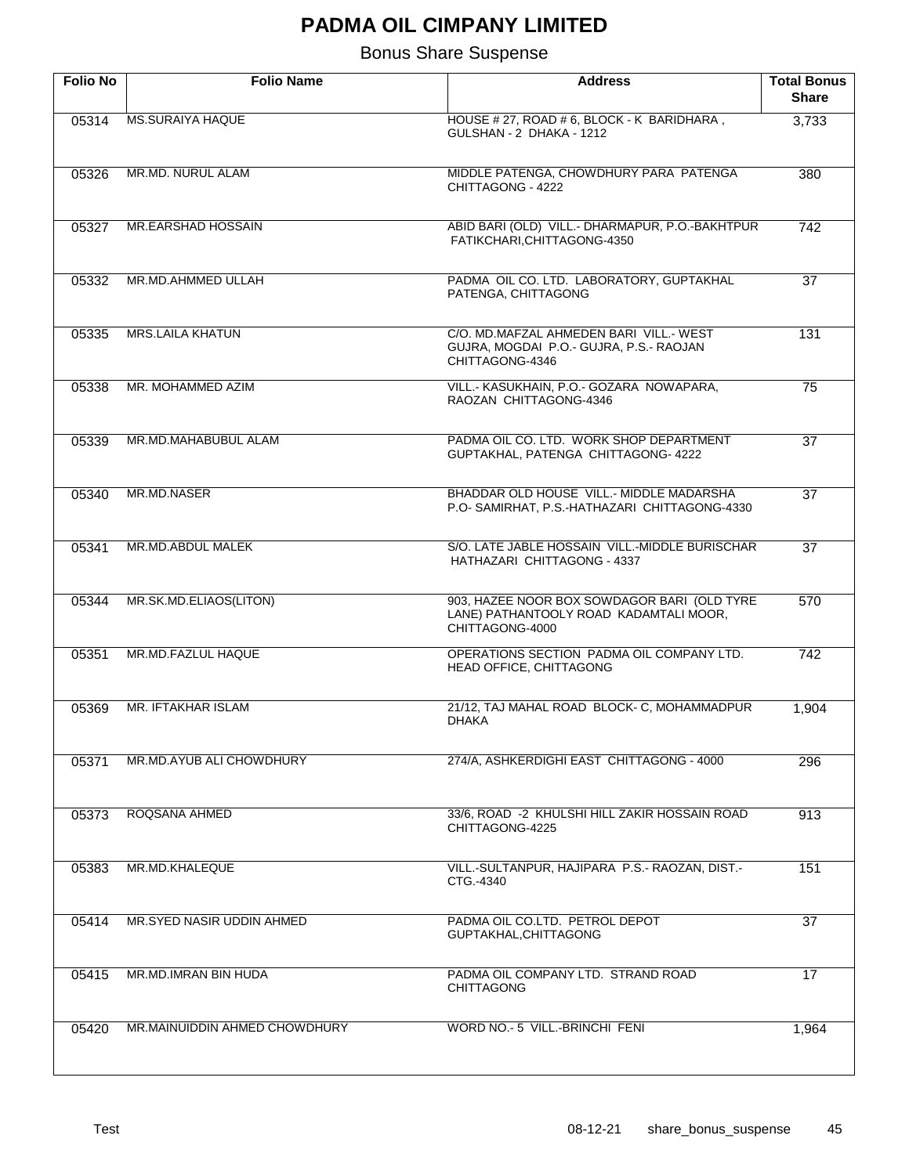| <b>Folio No</b> | <b>Folio Name</b>             | <b>Address</b>                                                                                           | <b>Total Bonus</b><br><b>Share</b> |
|-----------------|-------------------------------|----------------------------------------------------------------------------------------------------------|------------------------------------|
| 05314           | <b>MS.SURAIYA HAQUE</b>       | HOUSE # 27, ROAD # 6, BLOCK - K BARIDHARA,<br>GULSHAN - 2 DHAKA - 1212                                   | 3,733                              |
| 05326           | MR.MD. NURUL ALAM             | MIDDLE PATENGA, CHOWDHURY PARA PATENGA<br>CHITTAGONG - 4222                                              | 380                                |
| 05327           | MR.EARSHAD HOSSAIN            | ABID BARI (OLD) VILL.- DHARMAPUR, P.O.-BAKHTPUR<br>FATIKCHARI, CHITTAGONG-4350                           | 742                                |
| 05332           | MR.MD.AHMMED ULLAH            | PADMA OIL CO. LTD. LABORATORY, GUPTAKHAL<br>PATENGA, CHITTAGONG                                          | $\overline{37}$                    |
| 05335           | <b>MRS.LAILA KHATUN</b>       | C/O. MD.MAFZAL AHMEDEN BARI VILL.- WEST<br>GUJRA, MOGDAI P.O.- GUJRA, P.S.- RAOJAN<br>CHITTAGONG-4346    | 131                                |
| 05338           | MR. MOHAMMED AZIM             | VILL.- KASUKHAIN, P.O.- GOZARA NOWAPARA,<br>RAOZAN CHITTAGONG-4346                                       | 75                                 |
| 05339           | MR.MD.MAHABUBUL ALAM          | PADMA OIL CO. LTD. WORK SHOP DEPARTMENT<br>GUPTAKHAL, PATENGA CHITTAGONG- 4222                           | $\overline{37}$                    |
| 05340           | MR.MD.NASER                   | BHADDAR OLD HOUSE VILL.- MIDDLE MADARSHA<br>P.O-SAMIRHAT, P.S.-HATHAZARI CHITTAGONG-4330                 | $\overline{37}$                    |
| 05341           | MR.MD.ABDUL MALEK             | S/O. LATE JABLE HOSSAIN VILL.-MIDDLE BURISCHAR<br>HATHAZARI CHITTAGONG - 4337                            | $\overline{37}$                    |
| 05344           | MR.SK.MD.ELIAOS(LITON)        | 903, HAZEE NOOR BOX SOWDAGOR BARI (OLD TYRE<br>LANE) PATHANTOOLY ROAD KADAMTALI MOOR,<br>CHITTAGONG-4000 | 570                                |
| 05351           | <b>MR.MD.FAZLUL HAQUE</b>     | OPERATIONS SECTION PADMA OIL COMPANY LTD.<br>HEAD OFFICE, CHITTAGONG                                     | 742                                |
| 05369           | MR. IFTAKHAR ISLAM            | 21/12, TAJ MAHAL ROAD BLOCK- C, MOHAMMADPUR<br><b>DHAKA</b>                                              | 1,904                              |
| 05371           | MR.MD.AYUB ALI CHOWDHURY      | 274/A, ASHKERDIGHI EAST CHITTAGONG - 4000                                                                | 296                                |
| 05373           | ROQSANA AHMED                 | 33/6, ROAD -2 KHULSHI HILL ZAKIR HOSSAIN ROAD<br>CHITTAGONG-4225                                         | 913                                |
| 05383           | MR.MD.KHALEQUE                | VILL.-SULTANPUR, HAJIPARA P.S.- RAOZAN, DIST.-<br>CTG.-4340                                              | 151                                |
| 05414           | MR.SYED NASIR UDDIN AHMED     | PADMA OIL CO.LTD. PETROL DEPOT<br>GUPTAKHAL, CHITTAGONG                                                  | 37                                 |
| 05415           | MR.MD.IMRAN BIN HUDA          | PADMA OIL COMPANY LTD. STRAND ROAD<br><b>CHITTAGONG</b>                                                  | 17                                 |
| 05420           | MR.MAINUIDDIN AHMED CHOWDHURY | WORD NO.- 5 VILL.-BRINCHI FENI                                                                           | 1,964                              |